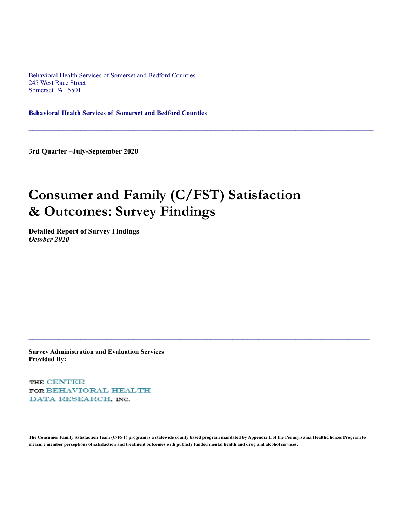Behavioral Health Services of Somerset and Bedford Counties 245 West Race Street Somerset PA 15501

**Behavioral Health Services of Somerset and Bedford Counties**

**3rd Quarter –July-September 2020** 

# **Consumer and Family (C/FST) Satisfaction & Outcomes: Survey Findings**

 $\mathcal{L}_\mathcal{L} = \mathcal{L}_\mathcal{L} = \mathcal{L}_\mathcal{L} = \mathcal{L}_\mathcal{L} = \mathcal{L}_\mathcal{L} = \mathcal{L}_\mathcal{L} = \mathcal{L}_\mathcal{L} = \mathcal{L}_\mathcal{L} = \mathcal{L}_\mathcal{L} = \mathcal{L}_\mathcal{L} = \mathcal{L}_\mathcal{L} = \mathcal{L}_\mathcal{L} = \mathcal{L}_\mathcal{L} = \mathcal{L}_\mathcal{L} = \mathcal{L}_\mathcal{L} = \mathcal{L}_\mathcal{L} = \mathcal{L}_\mathcal{L}$ 

 $\mathcal{L}_\mathcal{L} = \{ \mathcal{L}_\mathcal{L} = \{ \mathcal{L}_\mathcal{L} = \{ \mathcal{L}_\mathcal{L} = \{ \mathcal{L}_\mathcal{L} = \{ \mathcal{L}_\mathcal{L} = \{ \mathcal{L}_\mathcal{L} = \{ \mathcal{L}_\mathcal{L} = \{ \mathcal{L}_\mathcal{L} = \{ \mathcal{L}_\mathcal{L} = \{ \mathcal{L}_\mathcal{L} = \{ \mathcal{L}_\mathcal{L} = \{ \mathcal{L}_\mathcal{L} = \{ \mathcal{L}_\mathcal{L} = \{ \mathcal{L}_\mathcal{$ 

**Detailed Report of Survey Findings** *October 2020*

**Survey Administration and Evaluation Services Provided By:**

THE CENTER FOR BEHAVIORAL HEALTH DATA RESEARCH, INC.

**The Consumer Family Satisfaction Team (C/FST) program is a statewide county based program mandated by Appendix L of the Pennsylvania HealthChoices Program to measure member perceptions of satisfaction and treatment outcomes with publicly funded mental health and drug and alcohol services.**

 $\mathcal{L}_\mathcal{L} = \{ \mathcal{L}_\mathcal{L} = \{ \mathcal{L}_\mathcal{L} = \{ \mathcal{L}_\mathcal{L} = \{ \mathcal{L}_\mathcal{L} = \{ \mathcal{L}_\mathcal{L} = \{ \mathcal{L}_\mathcal{L} = \{ \mathcal{L}_\mathcal{L} = \{ \mathcal{L}_\mathcal{L} = \{ \mathcal{L}_\mathcal{L} = \{ \mathcal{L}_\mathcal{L} = \{ \mathcal{L}_\mathcal{L} = \{ \mathcal{L}_\mathcal{L} = \{ \mathcal{L}_\mathcal{L} = \{ \mathcal{L}_\mathcal{$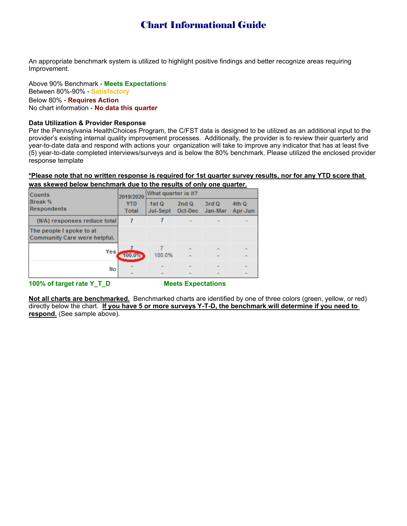# Chart Informational Guide

An appropriate benchmark system is utilized to highlight positive findings and better recognize areas requiring Improvement.

Above 90% Benchmark - **Meets Expectations** Between 80%-90% - **Satisfactory** Below 80% - **Requires Action** No chart information - **No data this quarter**

## **Data Utilization & Provider Response**

Per the Pennsylvania HealthChoices Program, the C/FST data is designed to be utilized as an additional input to the provider's existing internal quality improvement processes. Additionally, the provider is to review their quarterly and year-to-date data and respond with actions your organization will take to improve any indicator that has at least five (5) year-to-date completed interviews/surveys and is below the 80% benchmark. Please utilized the enclosed provider response template

# **\*Please note that no written response is required for 1st quarter survey results, nor for any YTD score that**

|  |  |  | was skewed below benchmark due to the results of only one quarter. |
|--|--|--|--------------------------------------------------------------------|
|  |  |  |                                                                    |

| <b>Counts</b>                                            | 2019/2020           | What quarter is it? |                         |       |                  |  |
|----------------------------------------------------------|---------------------|---------------------|-------------------------|-------|------------------|--|
| <b>Break %</b><br>Respondents                            | <b>YTD</b><br>Total | 1stQ<br>Jul-Sept    | 2ndQ<br>Oct-Dec Jan-Mar | 3rd Q | 4th Q<br>Apr-Jun |  |
| (N/A) responses reduce total                             |                     |                     |                         |       |                  |  |
| The people I spoke to at<br>Community Care were helpful. |                     |                     |                         |       |                  |  |
| Yes                                                      | 100.0%              | 100.0%              |                         |       |                  |  |
| No                                                       |                     |                     |                         |       |                  |  |

**100% of target rate Y\_T\_D Meets Expectations**

**Not all charts are benchmarked.** Benchmarked charts are identified by one of three colors (green, yellow, or red) directly below the chart. **If you have 5 or more surveys Y-T-D, the benchmark will determine if you need to respond.** (See sample above).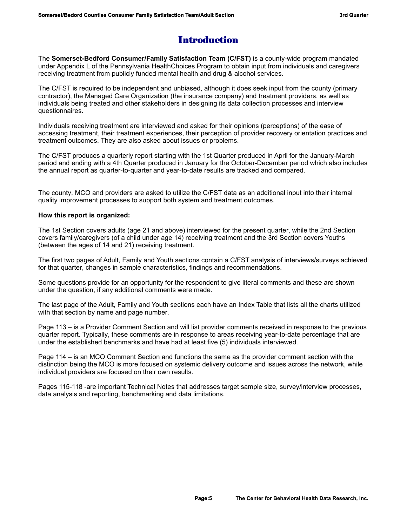# Introduction

The **Somerset-Bedford Consumer/Family Satisfaction Team (C/FST)** is a county-wide program mandated under Appendix L of the Pennsylvania HealthChoices Program to obtain input from individuals and caregivers receiving treatment from publicly funded mental health and drug & alcohol services.

The C/FST is required to be independent and unbiased, although it does seek input from the county (primary contractor), the Managed Care Organization (the insurance company) and treatment providers, as well as individuals being treated and other stakeholders in designing its data collection processes and interview questionnaires.

Individuals receiving treatment are interviewed and asked for their opinions (perceptions) of the ease of accessing treatment, their treatment experiences, their perception of provider recovery orientation practices and treatment outcomes. They are also asked about issues or problems.

The C/FST produces a quarterly report starting with the 1st Quarter produced in April for the January-March period and ending with a 4th Quarter produced in January for the October-December period which also includes the annual report as quarter-to-quarter and year-to-date results are tracked and compared.

The county, MCO and providers are asked to utilize the C/FST data as an additional input into their internal quality improvement processes to support both system and treatment outcomes.

# **How this report is organized:**

The 1st Section covers adults (age 21 and above) interviewed for the present quarter, while the 2nd Section covers family/caregivers (of a child under age 14) receiving treatment and the 3rd Section covers Youths (between the ages of 14 and 21) receiving treatment.

The first two pages of Adult, Family and Youth sections contain a C/FST analysis of interviews/surveys achieved for that quarter, changes in sample characteristics, findings and recommendations.

Some questions provide for an opportunity for the respondent to give literal comments and these are shown under the question, if any additional comments were made.

The last page of the Adult, Family and Youth sections each have an Index Table that lists all the charts utilized with that section by name and page number.

Page 113 – is a Provider Comment Section and will list provider comments received in response to the previous quarter report. Typically, these comments are in response to areas receiving year-to-date percentage that are under the established benchmarks and have had at least five (5) individuals interviewed.

Page 114 – is an MCO Comment Section and functions the same as the provider comment section with the distinction being the MCO is more focused on systemic delivery outcome and issues across the network, while individual providers are focused on their own results.

Pages 115-118 -are important Technical Notes that addresses target sample size, survey/interview processes, data analysis and reporting, benchmarking and data limitations.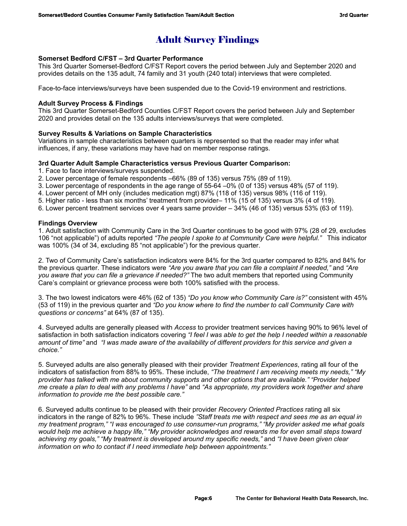# Adult Survey Findings

# **Somerset Bedford C/FST – 3rd Quarter Performance**

This 3rd Quarter Somerset-Bedford C/FST Report covers the period between July and September 2020 and provides details on the 135 adult, 74 family and 31 youth (240 total) interviews that were completed.

Face-to-face interviews/surveys have been suspended due to the Covid-19 environment and restrictions.

## **Adult Survey Process & Findings**

This 3rd Quarter Somerset-Bedford Counties C/FST Report covers the period between July and September 2020 and provides detail on the 135 adults interviews/surveys that were completed.

## **Survey Results & Variations on Sample Characteristics**

Variations in sample characteristics between quarters is represented so that the reader may infer what influences, if any, these variations may have had on member response ratings.

## **3rd Quarter Adult Sample Characteristics versus Previous Quarter Comparison:**

- 1. Face to face interviews/surveys suspended.
- 2. Lower percentage of female respondents –66% (89 of 135) versus 75% (89 of 119).
- 3. Lower percentage of respondents in the age range of 55-64 –0% (0 of 135) versus 48% (57 of 119).
- 4. Lower percent of MH only (includes medication mgt) 87% (118 of 135) versus 98% (116 of 119).
- 5. Higher ratio less than six months' treatment from provider– 11% (15 of 135) versus 3% (4 of 119).
- 6. Lower percent treatment services over 4 years same provider 34% (46 of 135) versus 53% (63 of 119).

## **Findings Overview**

1. Adult satisfaction with Community Care in the 3rd Quarter continues to be good with 97% (28 of 29, excludes 106 "not applicable") of adults reported *"The people I spoke to at Community Care were helpful."* This indicator was 100% (34 of 34, excluding 85 "not applicable") for the previous quarter.

2. Two of Community Care's satisfaction indicators were 84% for the 3rd quarter compared to 82% and 84% for the previous quarter. These indicators were *"Are you aware that you can file a complaint if needed,"* and *"Are you aware that you can file a grievance if needed?"* The two adult members that reported using Community Care's complaint or grievance process were both 100% satisfied with the process.

3. The two lowest indicators were 46% (62 of 135) *"Do you know who Community Care is?"* consistent with 45% (53 of 119) in the previous quarter and *"Do you know where to find the number to call Community Care with questions or concerns"* at 64% (87 of 135).

4. Surveyed adults are generally pleased with *Access* to provider treatment services having 90% to 96% level of satisfaction in both satisfaction indicators covering *"I feel I was able to get the help I needed within a reasonable amount of time"* and *"I was made aware of the availability of different providers for this service and given a choice."* 

5. Surveyed adults are also generally pleased with their provider *Treatment Experiences*, rating all four of the indicators of satisfaction from 88% to 95%. These include, *"The treatment I am receiving meets my needs," "My provider has talked with me about community supports and other options that are available." "Provider helped me create a plan to deal with any problems I have"* and *"As appropriate, my providers work together and share information to provide me the best possible care."*

6. Surveyed adults continue to be pleased with their provider *Recovery Oriented Practices* rating all six indicators in the range of 82% to 96%. These include *"Staff treats me with respect and sees me as an equal in my treatment program," "I was encouraged to use consumer-run programs," "My provider asked me what goals would help me achieve a happy life," "My provider acknowledges and rewards me for even small steps toward achieving my goals," "My treatment is developed around my specific needs,"* and *"I have been given clear information on who to contact if I need immediate help between appointments."*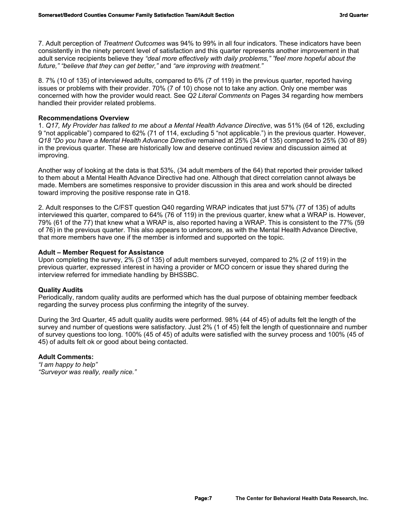7. Adult perception of *Treatment Outcomes* was 94% to 99% in all four indicators. These indicators have been consistently in the ninety percent level of satisfaction and this quarter represents another improvement in that adult service recipients believe they *"deal more effectively with daily problems," "feel more hopeful about the future," "believe that they can get better,"* and *"are improving with treatment."*

8. 7% (10 of 135) of interviewed adults, compared to 6% (7 of 119) in the previous quarter, reported having issues or problems with their provider. 70% (7 of 10) chose not to take any action. Only one member was concerned with how the provider would react. See *Q2 Literal Comments* on Pages 34 regarding how members handled their provider related problems.

## **Recommendations Overview**

1. *Q17, My Provider has talked to me about a Mental Health Advance Directive*, was 51% (64 of 126, excluding 9 "not applicable") compared to 62% (71 of 114, excluding 5 "not applicable.") in the previous quarter. However, *Q18 "Do you have a Mental Health Advance Directive* remained at 25% (34 of 135) compared to 25% (30 of 89) in the previous quarter. These are historically low and deserve continued review and discussion aimed at improving.

Another way of looking at the data is that 53%, (34 adult members of the 64) that reported their provider talked to them about a Mental Health Advance Directive had one. Although that direct correlation cannot always be made. Members are sometimes responsive to provider discussion in this area and work should be directed toward improving the positive response rate in Q18.

2. Adult responses to the C/FST question Q40 regarding WRAP indicates that just 57% (77 of 135) of adults interviewed this quarter, compared to 64% (76 of 119) in the previous quarter, knew what a WRAP is. However, 79% (61 of the 77) that knew what a WRAP is, also reported having a WRAP. This is consistent to the 77% (59 of 76) in the previous quarter. This also appears to underscore, as with the Mental Health Advance Directive, that more members have one if the member is informed and supported on the topic.

## **Adult – Member Request for Assistance**

Upon completing the survey, 2% (3 of 135) of adult members surveyed, compared to 2% (2 of 119) in the previous quarter, expressed interest in having a provider or MCO concern or issue they shared during the interview referred for immediate handling by BHSSBC.

## **Quality Audits**

Periodically, random quality audits are performed which has the dual purpose of obtaining member feedback regarding the survey process plus confirming the integrity of the survey.

During the 3rd Quarter, 45 adult quality audits were performed. 98% (44 of 45) of adults felt the length of the survey and number of questions were satisfactory. Just 2% (1 of 45) felt the length of questionnaire and number of survey questions too long. 100% (45 of 45) of adults were satisfied with the survey process and 100% (45 of 45) of adults felt ok or good about being contacted.

# **Adult Comments:**

*"I am happy to help" "Surveyor was really, really nice."*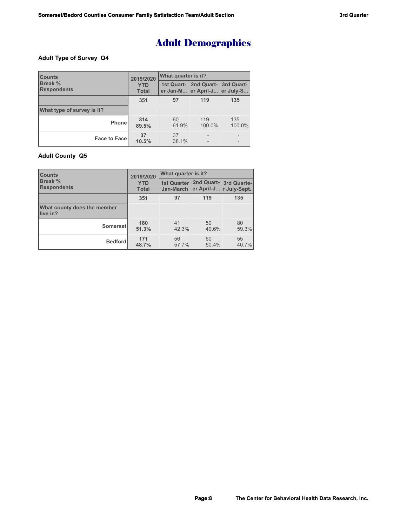# Adult Demographics

## **Adult Type of Survey Q4**

| <b>Counts</b>                        | 2019/2020                  | What quarter is it? |                                                                   |                   |  |  |
|--------------------------------------|----------------------------|---------------------|-------------------------------------------------------------------|-------------------|--|--|
| <b>Break %</b><br><b>Respondents</b> | <b>YTD</b><br><b>Total</b> |                     | 1st Quart- 2nd Quart- 3rd Quart-<br>er Jan-M er April-J er July-S |                   |  |  |
|                                      | 351                        | 97                  | 119                                                               | 135               |  |  |
| What type of survey is it?           |                            |                     |                                                                   |                   |  |  |
| Phonel                               | 314<br>89.5%               | 60<br>61.9%         | 119<br>100.0%                                                     | 135<br>100.0%     |  |  |
| <b>Face to Facel</b>                 | 37<br>10.5%                | 37<br>38.1%         |                                                                   | $\qquad \qquad -$ |  |  |

# **Adult County Q5**

| <b>Counts</b>                           | 2019/2020                  | <b>What quarter is it?</b> |                                   |                                    |  |  |
|-----------------------------------------|----------------------------|----------------------------|-----------------------------------|------------------------------------|--|--|
| <b>Break %</b><br><b>Respondents</b>    | <b>YTD</b><br><b>Total</b> |                            | Jan-March er April-J r July-Sept. | 1st Quarter 2nd Quart- 3rd Quarte- |  |  |
|                                         | 351                        | 97                         | 119                               | 135                                |  |  |
| What county does the member<br>live in? |                            |                            |                                   |                                    |  |  |
| Somerset                                | 180<br>51.3%               | 41<br>42.3%                | 59<br>49.6%                       | 80<br>59.3%                        |  |  |
| <b>Bedford</b>                          | 171<br>48.7%               | 56<br>57.7%                | 60<br>50.4%                       | 55<br>40.7%                        |  |  |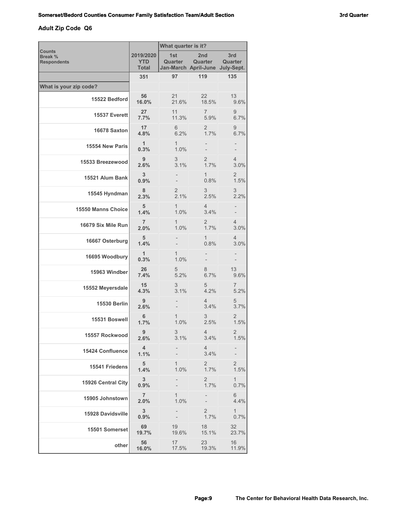# **Adult Zip Code Q6**

| <b>Counts</b>                 |                                  | What quarter is it? |                                                               |                        |  |
|-------------------------------|----------------------------------|---------------------|---------------------------------------------------------------|------------------------|--|
| Break %<br><b>Respondents</b> | 2019/2020<br><b>YTD</b><br>Total | 1st<br>Quarter      | 2 <sub>nd</sub><br>Quarter<br>Jan-March April-June July-Sept. | 3rd<br>Quarter         |  |
|                               | 351                              | 97                  | 119                                                           | 135                    |  |
| What is your zip code?        |                                  |                     |                                                               |                        |  |
| 15522 Bedford                 | 56<br>16.0%                      | 21<br>21.6%         | 22<br>18.5%                                                   | 13<br>9.6%             |  |
| 15537 Everett                 | 27<br>7.7%                       | 11<br>11.3%         | $\overline{7}$<br>5.9%                                        | 9<br>6.7%              |  |
| 16678 Saxton                  | 17<br>4.8%                       | 6<br>6.2%           | 2<br>1.7%                                                     | 9<br>6.7%              |  |
| 15554 New Paris               | 1<br>0.3%                        | 1<br>1.0%           |                                                               |                        |  |
| 15533 Breezewood              | 9<br>2.6%                        | 3<br>3.1%           | 2<br>1.7%                                                     | 4<br>3.0%              |  |
| 15521 Alum Bank               | 3<br>0.9%                        |                     | 1<br>0.8%                                                     | 2<br>1.5%              |  |
| 15545 Hyndman                 | 8<br>2.3%                        | 2<br>2.1%           | 3<br>2.5%                                                     | 3<br>2.2%              |  |
| 15550 Manns Choice            | 5<br>1.4%                        | 1<br>1.0%           | 4<br>3.4%                                                     |                        |  |
| 16679 Six Mile Run            | $\overline{7}$<br>2.0%           | 1<br>1.0%           | 2<br>1.7%                                                     | 4<br>3.0%              |  |
| 16667 Osterburg               | 5<br>1.4%                        |                     | 1<br>0.8%                                                     | 4<br>3.0%              |  |
| 16695 Woodbury                | 1<br>0.3%                        | 1<br>1.0%           |                                                               |                        |  |
| 15963 Windber                 | 26<br>7.4%                       | 5<br>5.2%           | 8<br>6.7%                                                     | 13<br>9.6%             |  |
| 15552 Meyersdale              | 15<br>4.3%                       | 3<br>3.1%           | 5<br>4.2%                                                     | 7<br>5.2%              |  |
| <b>15530 Berlin</b>           | 9<br>2.6%                        |                     | 4<br>3.4%                                                     | 5<br>3.7%              |  |
| 15531 Boswell                 | 6<br>1.7%                        | 1<br>1.0%           | 3<br>2.5%                                                     | 2<br>1.5%              |  |
| 15557 Rockwood                | 9<br>2.6%                        | 3<br>3.1%           | 4<br>3.4%                                                     | $\overline{2}$<br>1.5% |  |
| 15424 Confluence              | 4<br>1.1%                        |                     | 4<br>3.4%                                                     |                        |  |
| 15541 Friedens                | 5<br>1.4%                        | 1<br>1.0%           | $\overline{2}$<br>1.7%                                        | $\overline{2}$<br>1.5% |  |
| 15926 Central City            | 3 <sup>2</sup><br>0.9%           |                     | 2<br>1.7%                                                     | $\mathbf{1}$<br>0.7%   |  |
| 15905 Johnstown               | $\overline{7}$<br>2.0%           | 1<br>1.0%           |                                                               | 6<br>4.4%              |  |
| 15928 Davidsville             | 3 <sup>2</sup><br>0.9%           |                     | $\overline{2}$<br>1.7%                                        | $\mathbf{1}$<br>0.7%   |  |
| 15501 Somerset                | 69<br>19.7%                      | 19<br>19.6%         | 18<br>15.1%                                                   | 32<br>23.7%            |  |
| other                         | 56<br>16.0%                      | 17<br>17.5%         | 23<br>19.3%                                                   | 16<br>11.9%            |  |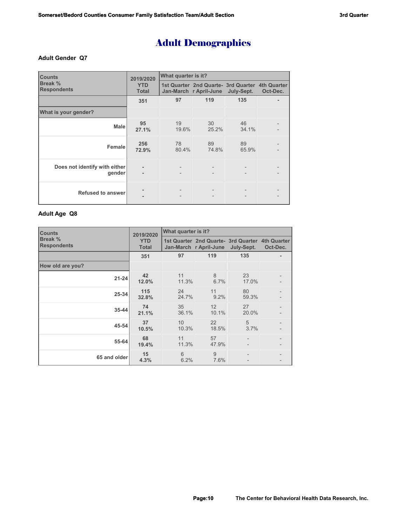# Adult Demographics

### **Adult Gender Q7**

| <b>Counts</b>                           | 2019/2020                  | What quarter is it?      |                                                                           |                          |          |  |
|-----------------------------------------|----------------------------|--------------------------|---------------------------------------------------------------------------|--------------------------|----------|--|
| Break %<br><b>Respondents</b>           | <b>YTD</b><br><b>Total</b> |                          | 1st Quarter 2nd Quarte- 3rd Quarter 4th Quarter<br>Jan-March r April-June | July-Sept.               | Oct-Dec. |  |
|                                         | 351                        | 97                       | 119                                                                       | 135                      |          |  |
| What is your gender?                    |                            |                          |                                                                           |                          |          |  |
| <b>Male</b>                             | 95<br>27.1%                | 19<br>19.6%              | 30<br>25.2%                                                               | 46<br>34.1%              |          |  |
| Female                                  | 256<br>72.9%               | 78<br>80.4%              | 89<br>74.8%                                                               | 89<br>65.9%              |          |  |
| Does not identify with either<br>gender | $\blacksquare$             | $\overline{\phantom{a}}$ |                                                                           | $\overline{\phantom{a}}$ |          |  |
| <b>Refused to answer</b>                |                            |                          |                                                                           | $\overline{\phantom{a}}$ |          |  |

## **Adult Age Q8**

| <b>Counts</b>                 | 2019/2020                  | What quarter is it? |                                                                           |             |          |  |
|-------------------------------|----------------------------|---------------------|---------------------------------------------------------------------------|-------------|----------|--|
| Break %<br><b>Respondents</b> | <b>YTD</b><br><b>Total</b> |                     | 1st Quarter 2nd Quarte- 3rd Quarter 4th Quarter<br>Jan-March r April-June | July-Sept.  | Oct-Dec. |  |
|                               | 351                        | 97                  | 119                                                                       | 135         |          |  |
| How old are you?              |                            |                     |                                                                           |             |          |  |
| $21 - 24$                     | 42<br>12.0%                | 11<br>11.3%         | 8<br>6.7%                                                                 | 23<br>17.0% |          |  |
| 25-34                         | 115<br>32.8%               | 24<br>24.7%         | 11<br>9.2%                                                                | 80<br>59.3% |          |  |
| 35-44                         | 74<br>21.1%                | 35<br>36.1%         | 12<br>10.1%                                                               | 27<br>20.0% |          |  |
| 45-54                         | 37<br>10.5%                | 10<br>10.3%         | 22<br>18.5%                                                               | 5<br>3.7%   |          |  |
| 55-64                         | 68<br>19.4%                | 11<br>11.3%         | 57<br>47.9%                                                               |             |          |  |
| 65 and older                  | 15<br>4.3%                 | 6<br>6.2%           | 9<br>7.6%                                                                 |             |          |  |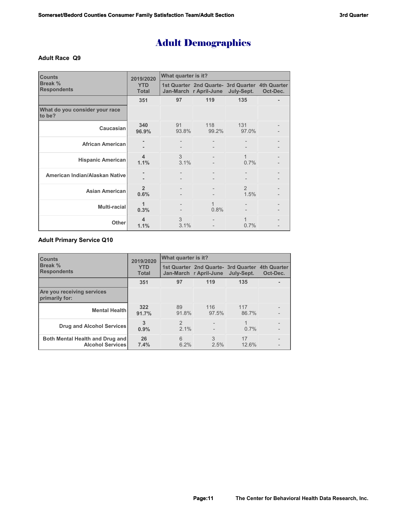# Adult Demographics

### **Adult Race Q9**

| <b>Counts</b>                            | 2019/2020                       | What quarter is it? |                                                                           |                        |          |  |
|------------------------------------------|---------------------------------|---------------------|---------------------------------------------------------------------------|------------------------|----------|--|
| Break %<br><b>Respondents</b>            | <b>YTD</b><br><b>Total</b>      |                     | 1st Quarter 2nd Quarte- 3rd Quarter 4th Quarter<br>Jan-March r April-June | July-Sept.             | Oct-Dec. |  |
|                                          | 351                             | 97                  | 119                                                                       | 135                    |          |  |
| What do you consider your race<br>to be? |                                 |                     |                                                                           |                        |          |  |
| Caucasian                                | 340<br>96.9%                    | 91<br>93.8%         | 118<br>99.2%                                                              | 131<br>97.0%           |          |  |
| <b>African American</b>                  |                                 |                     |                                                                           |                        |          |  |
| <b>Hispanic American</b>                 | $\overline{\mathbf{4}}$<br>1.1% | 3<br>3.1%           |                                                                           | $\mathbf{1}$<br>0.7%   |          |  |
| American Indian/Alaskan Native           |                                 |                     |                                                                           |                        |          |  |
| <b>Asian American</b>                    | $\mathfrak{p}$<br>0.6%          |                     |                                                                           | $\mathfrak{D}$<br>1.5% |          |  |
| Multi-racial                             | 1<br>0.3%                       |                     | 1<br>0.8%                                                                 |                        |          |  |
| Other                                    | 4<br>1.1%                       | 3<br>3.1%           |                                                                           | 1<br>0.7%              |          |  |

# **Adult Primary Service Q10**

| <b>ICounts</b>                                             | 2019/2020                  | What quarter is it?   |                                                                            |              |          |  |
|------------------------------------------------------------|----------------------------|-----------------------|----------------------------------------------------------------------------|--------------|----------|--|
| <b>Break %</b><br><b>Respondents</b>                       | <b>YTD</b><br><b>Total</b> |                       | 1st Quarter 2nd Quarte - 3rd Quarter 4th Quarter<br>Jan-March r April-June | July-Sept.   | Oct-Dec. |  |
|                                                            | 351                        | 97                    | 119                                                                        | 135          |          |  |
| Are you receiving services<br>primarily for:               |                            |                       |                                                                            |              |          |  |
| <b>Mental Health</b>                                       | 322<br>91.7%               | 89<br>91.8%           | 116<br>97.5%                                                               | 117<br>86.7% |          |  |
| <b>Drug and Alcohol Services</b>                           | 3<br>0.9%                  | $\mathcal{P}$<br>2.1% |                                                                            | 1<br>$0.7\%$ |          |  |
| Both Mental Health and Drug and<br><b>Alcohol Services</b> | 26<br>7.4%                 | 6<br>6.2%             | 3<br>2.5%                                                                  | 17<br>12.6%  |          |  |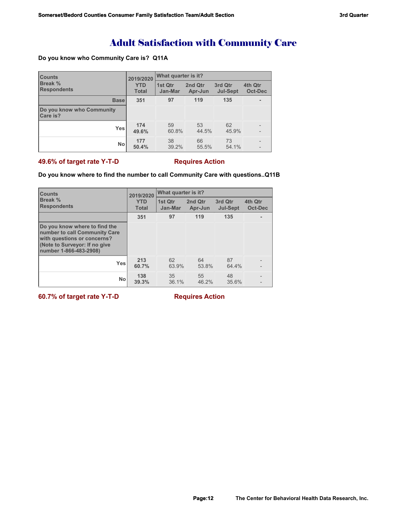# Adult Satisfaction with Community Care

## **Do you know who Community Care is? Q11A**

| <b>Counts</b>                         | 2019/2020                  | What quarter is it? |                    |                            |                    |  |
|---------------------------------------|----------------------------|---------------------|--------------------|----------------------------|--------------------|--|
| Break %<br><b>Respondents</b>         | <b>YTD</b><br><b>Total</b> | 1st Qtr<br>Jan-Mar  | 2nd Qtr<br>Apr-Jun | 3rd Qtr<br><b>Jul-Sept</b> | 4th Qtr<br>Oct-Dec |  |
| <b>Base</b>                           | 351                        | 97                  | 119                | 135                        |                    |  |
| Do you know who Community<br>Care is? |                            |                     |                    |                            |                    |  |
| Yes                                   | 174<br>49.6%               | 59<br>60.8%         | 53<br>44.5%        | 62<br>45.9%                |                    |  |
| <b>No</b>                             | 177<br>50.4%               | 38<br>39.2%         | 66<br>55.5%        | 73<br>54.1%                |                    |  |

## **49.6% of target rate Y-T-D** Requires Action

## **Do you know where to find the number to call Community Care with questions..Q11B**

| <b>Counts</b>                                                                                                                                            | 2019/2020                  | <b>What quarter is it?</b> |                    |                            |                          |  |
|----------------------------------------------------------------------------------------------------------------------------------------------------------|----------------------------|----------------------------|--------------------|----------------------------|--------------------------|--|
| <b>Break %</b><br><b>Respondents</b>                                                                                                                     | <b>YTD</b><br><b>Total</b> | 1st Qtr<br>Jan-Mar         | 2nd Qtr<br>Apr-Jun | 3rd Qtr<br><b>Jul-Sept</b> | 4th Qtr<br>Oct-Dec       |  |
|                                                                                                                                                          | 351                        | 97                         | 119                | 135                        | ۰                        |  |
| Do you know where to find the<br>number to call Community Care<br>with questions or concerns?<br>(Note to Surveyor: If no give<br>number 1-866-483-2908) |                            |                            |                    |                            |                          |  |
| <b>Yes</b>                                                                                                                                               | 213<br>60.7%               | 62<br>63.9%                | 64<br>53.8%        | 87<br>64.4%                | $\overline{\phantom{a}}$ |  |
| No                                                                                                                                                       | 138<br>39.3%               | 35<br>36.1%                | 55<br>46.2%        | 48<br>35.6%                | $\overline{\phantom{a}}$ |  |

**60.7% of target rate Y-T-D Requires Action**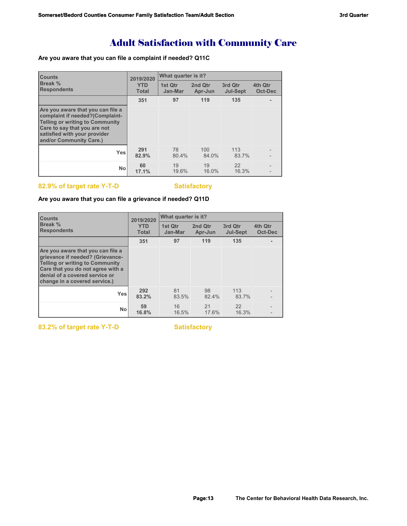# Adult Satisfaction with Community Care

## **Are you aware that you can file a complaint if needed? Q11C**

| <b>Counts</b>                                                                                                                                                                                             | 2019/2020                  | What quarter is it? |                    |                            |                    |  |
|-----------------------------------------------------------------------------------------------------------------------------------------------------------------------------------------------------------|----------------------------|---------------------|--------------------|----------------------------|--------------------|--|
| Break %<br><b>Respondents</b>                                                                                                                                                                             | <b>YTD</b><br><b>Total</b> | 1st Qtr<br>Jan-Mar  | 2nd Qtr<br>Apr-Jun | 3rd Qtr<br><b>Jul-Sept</b> | 4th Qtr<br>Oct-Dec |  |
|                                                                                                                                                                                                           | 351                        | 97                  | 119                | 135                        |                    |  |
| Are you aware that you can file a<br>complaint if needed?(Complaint-<br><b>Telling or writing to Community</b><br>Care to say that you are not<br>satisfied with your provider<br>and/or Community Care.) |                            |                     |                    |                            |                    |  |
| <b>Yes</b>                                                                                                                                                                                                | 291<br>82.9%               | 78<br>80.4%         | 100<br>84.0%       | 113<br>83.7%               |                    |  |
| No                                                                                                                                                                                                        | 60<br>17.1%                | 19<br>19.6%         | 19<br>16.0%        | 22<br>16.3%                |                    |  |

# 82.9% of target rate Y-T-D **Satisfactory**

## **Are you aware that you can file a grievance if needed? Q11D**

| <b>Counts</b>                                                                                                                                                                                                           | 2019/2020                  | What quarter is it? |                    |                            |                    |  |
|-------------------------------------------------------------------------------------------------------------------------------------------------------------------------------------------------------------------------|----------------------------|---------------------|--------------------|----------------------------|--------------------|--|
| Break %<br><b>Respondents</b>                                                                                                                                                                                           | <b>YTD</b><br><b>Total</b> | 1st Qtr<br>Jan-Mar  | 2nd Qtr<br>Apr-Jun | 3rd Qtr<br><b>Jul-Sept</b> | 4th Qtr<br>Oct-Dec |  |
|                                                                                                                                                                                                                         | 351                        | 97                  | 119                | 135                        |                    |  |
| Are you aware that you can file a<br>grievance if needed? (Grievance-<br><b>Telling or writing to Community</b><br>Care that you do not agree with a<br>denial of a covered service or<br>change in a covered service.) |                            |                     |                    |                            |                    |  |
| <b>Yes</b>                                                                                                                                                                                                              | 292<br>83.2%               | 81<br>83.5%         | 98<br>82.4%        | 113<br>83.7%               |                    |  |
| <b>No</b>                                                                                                                                                                                                               | 59<br>16.8%                | 16<br>16.5%         | 21<br>17.6%        | 22<br>16.3%                |                    |  |

83.2% of target rate Y-T-D **Satisfactory**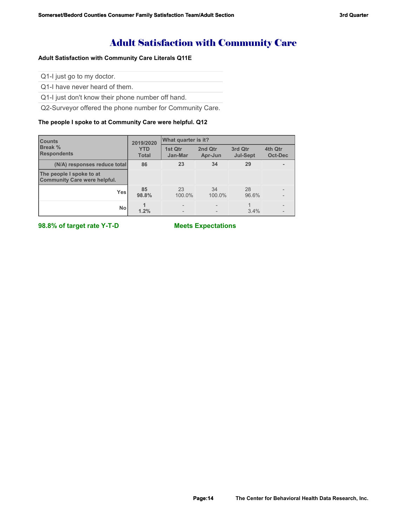# Adult Satisfaction with Community Care

## **Adult Satisfaction with Community Care Literals Q11E**

Q1-I just go to my doctor.

Q1-I have never heard of them.

Q1-I just don't know their phone number off hand.

Q2-Surveyor offered the phone number for Community Care.

### **The people I spoke to at Community Care were helpful. Q12**

| <b>Counts</b><br>Break %<br><b>Respondents</b>                  | 2019/2020                  | What quarter is it? |                    |                            |                    |  |
|-----------------------------------------------------------------|----------------------------|---------------------|--------------------|----------------------------|--------------------|--|
|                                                                 | <b>YTD</b><br><b>Total</b> | 1st Qtr<br>Jan-Mar  | 2nd Qtr<br>Apr-Jun | 3rd Qtr<br><b>Jul-Sept</b> | 4th Qtr<br>Oct-Dec |  |
| (N/A) responses reduce total                                    | 86                         | 23                  | 34                 | 29                         |                    |  |
| The people I spoke to at<br><b>Community Care were helpful.</b> |                            |                     |                    |                            |                    |  |
| <b>Yes</b>                                                      | 85<br>98.8%                | 23<br>100.0%        | 34<br>100.0%       | 28<br>96.6%                |                    |  |
| No                                                              | 1.2%                       | $\overline{a}$      |                    | 3.4%                       |                    |  |

**98.8% of target rate Y-T-D Meets Expectations**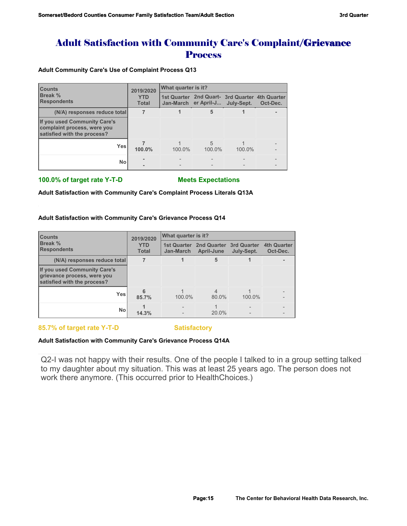# Adult Satisfaction with Community Care's Complaint/Grievance **Process**

### **Adult Community Care's Use of Complaint Process Q13**

| <b>Counts</b><br>Break %<br><b>Respondents</b>                                             | 2019/2020                  | What quarter is it? |                                 |                                                |          |
|--------------------------------------------------------------------------------------------|----------------------------|---------------------|---------------------------------|------------------------------------------------|----------|
|                                                                                            | <b>YTD</b><br><b>Total</b> |                     | Jan-March er April-J July-Sept. | 1st Quarter 2nd Quart- 3rd Quarter 4th Quarter | Oct-Dec. |
| (N/A) responses reduce total                                                               |                            |                     | 5                               |                                                |          |
| If you used Community Care's<br>complaint process, were you<br>satisfied with the process? |                            |                     |                                 |                                                |          |
| <b>Yes</b>                                                                                 | 100.0%                     | 100.0%              | 5<br>100.0%                     | 100.0%                                         |          |
| No                                                                                         |                            |                     |                                 |                                                |          |

## **100.0% of target rate Y-T-D Meets Expectations**

**Adult Satisfaction with Community Care's Complaint Process Literals Q13A**

### **Adult Satisfaction with Community Care's Grievance Process Q14**

| <b>Counts</b><br>Break %<br><b>Respondents</b>                                             | 2019/2020                  | <b>What quarter is it?</b> |                                              |            |                                |  |
|--------------------------------------------------------------------------------------------|----------------------------|----------------------------|----------------------------------------------|------------|--------------------------------|--|
|                                                                                            | <b>YTD</b><br><b>Total</b> | 1st Quarter<br>Jan-March   | 2nd Quarter 3rd Quarter<br><b>April-June</b> | July-Sept. | <b>4th Quarter</b><br>Oct-Dec. |  |
| (N/A) responses reduce total                                                               |                            |                            | 5                                            |            |                                |  |
| If you used Community Care's<br>grievance process, were you<br>satisfied with the process? |                            |                            |                                              |            |                                |  |
| <b>Yes</b>                                                                                 | 6<br>85.7%                 | 100.0%                     | $\overline{4}$<br>80.0%                      | 100.0%     |                                |  |
| <b>No</b>                                                                                  | 14.3%                      |                            | 20.0%                                        |            |                                |  |

85.7% of target rate Y-T-D Satisfactory

## **Adult Satisfaction with Community Care's Grievance Process Q14A**

Q2-I was not happy with their results. One of the people I talked to in a group setting talked to my daughter about my situation. This was at least 25 years ago. The person does not work there anymore. (This occurred prior to HealthChoices.)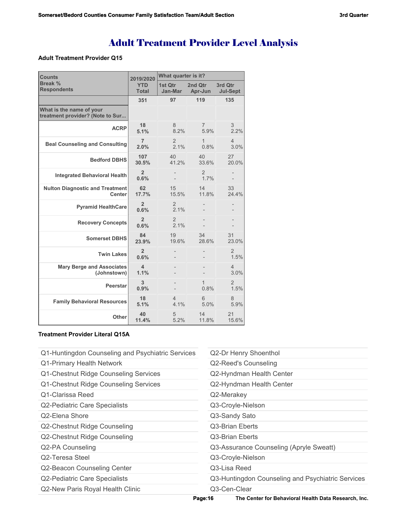### **Adult Treatment Provider Q15**

| <b>Counts</b>                                                | 2019/2020                  | What quarter is it?              |                        |                            |  |
|--------------------------------------------------------------|----------------------------|----------------------------------|------------------------|----------------------------|--|
| Break %<br><b>Respondents</b>                                | <b>YTD</b><br><b>Total</b> | 1st Qtr<br>Jan-Mar               | 2nd Qtr<br>Apr-Jun     | 3rd Qtr<br><b>Jul-Sept</b> |  |
|                                                              | 351                        | 97                               | 119                    | 135                        |  |
| What is the name of your<br>treatment provider? (Note to Sur |                            |                                  |                        |                            |  |
| <b>ACRP</b>                                                  | 18<br>5.1%                 | 8<br>8.2%                        | 7<br>5.9%              | 3<br>2.2%                  |  |
| <b>Beal Counseling and Consulting</b>                        | 7<br>2.0%                  | 2<br>2.1%                        | 1<br>0.8%              | 4<br>3.0%                  |  |
| <b>Bedford DBHS</b>                                          | 107<br>30.5%               | 40<br>41.2%                      | 40<br>33.6%            | 27<br>20.0%                |  |
| <b>Integrated Behavioral Health</b>                          | $\overline{2}$<br>0.6%     |                                  | $\overline{2}$<br>1.7% |                            |  |
| <b>Nulton Diagnostic and Treatment</b><br><b>Center</b>      | 62<br>17.7%                | 15<br>15.5%                      | 14<br>11.8%            | 33<br>24.4%                |  |
| <b>Pyramid HealthCare</b>                                    | $\overline{2}$<br>0.6%     | 2<br>2.1%                        |                        |                            |  |
| <b>Recovery Concepts</b>                                     | $\overline{2}$<br>0.6%     | $\overline{2}$<br>2.1%           |                        |                            |  |
| <b>Somerset DBHS</b>                                         | 84<br>23.9%                | 19<br>19.6%                      | 34<br>28.6%            | 31<br>23.0%                |  |
| <b>Twin Lakes</b>                                            | $\overline{2}$<br>0.6%     |                                  |                        | $\overline{2}$<br>1.5%     |  |
| <b>Mary Berge and Associates</b><br>(Johnstown)              | 4<br>1.1%                  |                                  |                        | $\overline{4}$<br>3.0%     |  |
| <b>Peerstar</b>                                              | 3<br>0.9%                  |                                  | 1<br>0.8%              | $\overline{2}$<br>1.5%     |  |
| <b>Family Behavioral Resources</b>                           | 18<br>5.1%                 | $\overline{\mathcal{L}}$<br>4.1% | 6<br>5.0%              | 8<br>5.9%                  |  |
| <b>Other</b>                                                 | 40<br>11.4%                | 5<br>5.2%                        | 14<br>11.8%            | 21<br>15.6%                |  |

## **Treatment Provider Literal Q15A**

- Q1-Huntingdon Counseling and Psychiatric Services Q1-Primary Health Network Q1-Chestnut Ridge Counseling Services Q1-Chestnut Ridge Counseling Services Q1-Clarissa Reed Q2-Pediatric Care Specialists Q2-Elena Shore Q2-Chestnut Ridge Counseling Q2-Chestnut Ridge Counseling Q2-PA Counseling Q2-Teresa Steel Q2-Beacon Counseling Center Q2-Pediatric Care Specialists Q2-Dr Henry Shoenthol Q2-Reed's Counseling Q2-Hyndman Health Center Q2-Hyndman Health Center Q2-Merakey Q3-Croyle-Nielson Q3-Sandy Sato Q3-Brian Eberts Q3-Brian Eberts Q3-Assurance Counseling (Apryle Sweatt) Q3-Croyle-Nielson Q3-Lisa Reed Q3-Huntingdon Counseling and Psychiatric Services
- Q2-New Paris Royal Health Clinic

Q3-Cen-Clear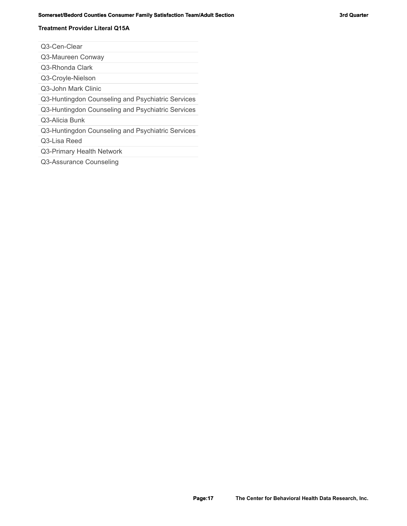### **Somerset/Bedord Counties Consumer Family Satisfaction Team/Adult Section 3rd 3rd Quarter 3rd Quarter 3rd Quarter 1**

# **Treatment Provider Literal Q15A**

Q3-Cen-Clear

Q3-Maureen Conway

Q3-Rhonda Clark

Q3-Croyle-Nielson

Q3-John Mark Clinic

Q3-Huntingdon Counseling and Psychiatric Services

Q3-Huntingdon Counseling and Psychiatric Services

Q3-Alicia Bunk

Q3-Huntingdon Counseling and Psychiatric Services

Q3-Lisa Reed

Q3-Primary Health Network

Q3-Assurance Counseling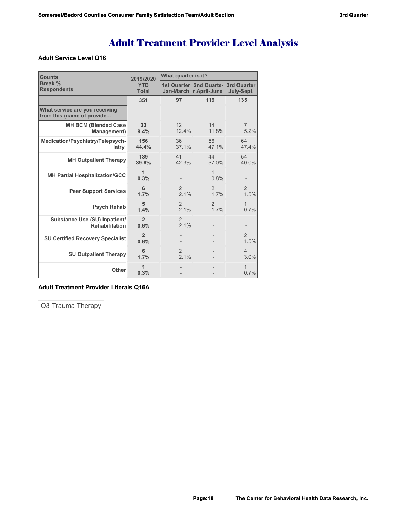## **Adult Service Level Q16**

| <b>Counts</b>                                                | 2019/2020                  | What quarter is it?      |                                                               |                        |  |  |
|--------------------------------------------------------------|----------------------------|--------------------------|---------------------------------------------------------------|------------------------|--|--|
| <b>Break %</b><br><b>Respondents</b>                         | <b>YTD</b><br><b>Total</b> |                          | 1st Quarter 2nd Quarte- 3rd Quarter<br>Jan-March r April-June | July-Sept.             |  |  |
|                                                              | 351                        | 97                       | 119                                                           | 135                    |  |  |
| What service are you receiving<br>from this (name of provide |                            |                          |                                                               |                        |  |  |
| <b>MH BCM (Blended Case</b><br>Management)                   | 33 <sup>2</sup><br>9.4%    | 12 <sup>2</sup><br>12.4% | 14<br>11.8%                                                   | $\overline{7}$<br>5.2% |  |  |
| Medication/Psychiatry/Telepsych-<br>iatry                    | 156<br>44.4%               | 36<br>37.1%              | 56<br>47.1%                                                   | 64<br>47.4%            |  |  |
| <b>MH Outpatient Therapy</b>                                 | 139<br>39.6%               | 41<br>42.3%              | 44<br>37.0%                                                   | 54<br>40.0%            |  |  |
| <b>MH Partial Hospitalization/GCC</b>                        | $\mathbf{1}$<br>0.3%       |                          | 1<br>0.8%                                                     |                        |  |  |
| <b>Peer Support Services</b>                                 | 6<br>1.7%                  | $\overline{2}$<br>21%    | $\overline{2}$<br>17%                                         | $\overline{2}$<br>1.5% |  |  |
| <b>Psych Rehab</b>                                           | 5<br>1.4%                  | $\overline{2}$<br>2.1%   | $\overline{2}$<br>17%                                         | 1<br>0.7%              |  |  |
| Substance Use (SU) Inpatient/<br><b>Rehabilitation</b>       | $\overline{2}$<br>0.6%     | $\overline{2}$<br>2.1%   |                                                               |                        |  |  |
| <b>SU Certified Recovery Specialist</b>                      | $\overline{2}$<br>0.6%     |                          |                                                               | $\overline{2}$<br>1.5% |  |  |
| <b>SU Outpatient Therapy</b>                                 | 6<br>1.7%                  | $\overline{2}$<br>2.1%   |                                                               | $\overline{4}$<br>3.0% |  |  |
| Other                                                        | 1<br>0.3%                  |                          |                                                               | 1<br>0.7%              |  |  |

## **Adult Treatment Provider Literals Q16A**

Q3-Trauma Therapy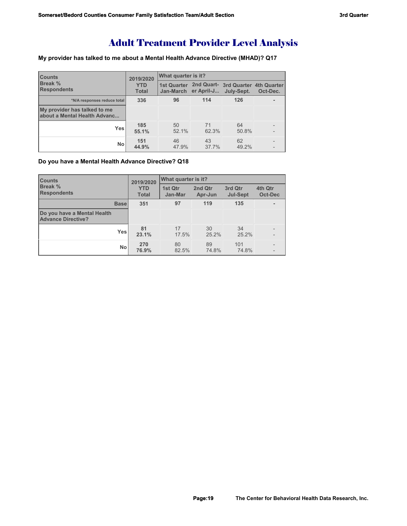## **My provider has talked to me about a Mental Health Advance Directive (MHAD)? Q17**

| <b>Counts</b><br><b>Break %</b><br><b>Respondents</b>               | 2019/2020                  | What quarter is it? |                      |                                                              |          |  |
|---------------------------------------------------------------------|----------------------------|---------------------|----------------------|--------------------------------------------------------------|----------|--|
|                                                                     | <b>YTD</b><br><b>Total</b> |                     | Jan-March er April-J | 1st Quarter 2nd Quart- 3rd Quarter 4th Quarter<br>July-Sept. | Oct-Dec. |  |
| *N/A responses reduce total                                         | 336                        | 96                  | 114                  | 126                                                          |          |  |
| My provider has talked to me<br><b>about a Mental Health Advanc</b> |                            |                     |                      |                                                              |          |  |
| Yes                                                                 | 185<br>55.1%               | 50<br>52.1%         | 71<br>62.3%          | 64<br>50.8%                                                  |          |  |
| <b>No</b>                                                           | 151<br>44.9%               | 46<br>47.9%         | 43<br>37.7%          | 62<br>49.2%                                                  |          |  |

# **Do you have a Mental Health Advance Directive? Q18**

| <b>Counts</b>                                            | 2019/2020                  | <b>What quarter is it?</b> |                    |                            |                    |  |
|----------------------------------------------------------|----------------------------|----------------------------|--------------------|----------------------------|--------------------|--|
| <b>Break %</b><br><b>Respondents</b>                     | <b>YTD</b><br><b>Total</b> | 1st Qtr<br>Jan-Mar         | 2nd Qtr<br>Apr-Jun | 3rd Qtr<br><b>Jul-Sept</b> | 4th Qtr<br>Oct-Dec |  |
| <b>Base</b>                                              | 351                        | 97                         | 119                | 135                        |                    |  |
| Do you have a Mental Health<br><b>Advance Directive?</b> |                            |                            |                    |                            |                    |  |
| Yes                                                      | 81<br>23.1%                | 17<br>17.5%                | 30<br>25.2%        | 34<br>25.2%                |                    |  |
| <b>No</b>                                                | 270<br>76.9%               | 80<br>82.5%                | 89<br>74.8%        | 101<br>74.8%               |                    |  |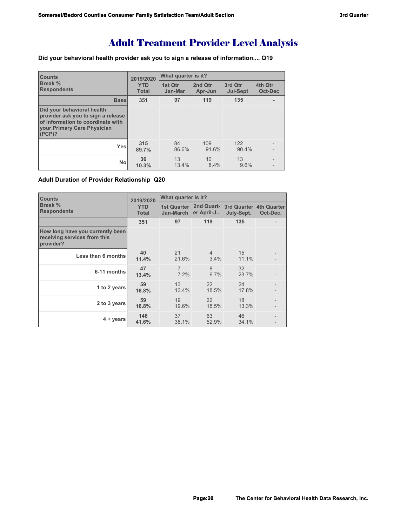**Did your behavioral health provider ask you to sign a release of information.... Q19**

| <b>Counts</b>                                                                                                                                         | 2019/2020                  | What quarter is it? |                    |                            |                           |
|-------------------------------------------------------------------------------------------------------------------------------------------------------|----------------------------|---------------------|--------------------|----------------------------|---------------------------|
| Break %<br><b>Respondents</b>                                                                                                                         | <b>YTD</b><br><b>Total</b> | 1st Qtr<br>Jan-Mar  | 2nd Qtr<br>Apr-Jun | 3rd Qtr<br><b>Jul-Sept</b> | 4th Qtr<br><b>Oct-Dec</b> |
| <b>Base</b>                                                                                                                                           | 351                        | 97                  | 119                | 135                        |                           |
| Did your behavioral health<br>provider ask you to sign a release<br>of information to coordinate with<br><b>Vour Primary Care Physician</b><br>(PCP)? |                            |                     |                    |                            |                           |
| <b>Yes</b>                                                                                                                                            | 315<br>89.7%               | 84<br>86.6%         | 109<br>91.6%       | 122<br>90.4%               |                           |
| <b>No</b>                                                                                                                                             | 36<br>10.3%                | 13<br>13.4%         | 10<br>8.4%         | 13<br>9.6%                 |                           |

**Adult Duration of Provider Relationship Q20**

| <b>Counts</b>                                                                 | 2019/2020                  | What quarter is it?       |                        |                                                              |          |  |
|-------------------------------------------------------------------------------|----------------------------|---------------------------|------------------------|--------------------------------------------------------------|----------|--|
| Break %<br><b>Respondents</b>                                                 | <b>YTD</b><br><b>Total</b> | Jan-March                 | er April-J             | 1st Quarter 2nd Quart- 3rd Quarter 4th Quarter<br>July-Sept. | Oct-Dec. |  |
|                                                                               | 351                        | 97                        | 119                    | 135                                                          |          |  |
| How long have you currently been<br>receiving services from this<br>provider? |                            |                           |                        |                                                              |          |  |
| Less than 6 months                                                            | 40<br>11.4%                | 21<br>21.6%               | $\overline{4}$<br>3.4% | 15<br>11.1%                                                  |          |  |
| 6-11 months                                                                   | 47<br>13.4%                | $\overline{7}$<br>$7.2\%$ | 8<br>6.7%              | 32<br>23.7%                                                  |          |  |
| 1 to 2 years                                                                  | 59<br>16.8%                | 13<br>13.4%               | 22<br>18.5%            | 24<br>17.8%                                                  |          |  |
| 2 to 3 years                                                                  | 59<br>16.8%                | 19<br>19.6%               | 22<br>18.5%            | 18<br>13.3%                                                  |          |  |
| $4 + \gamma$ ears                                                             | 146<br>41.6%               | 37<br>38.1%               | 63<br>52.9%            | 46<br>34.1%                                                  |          |  |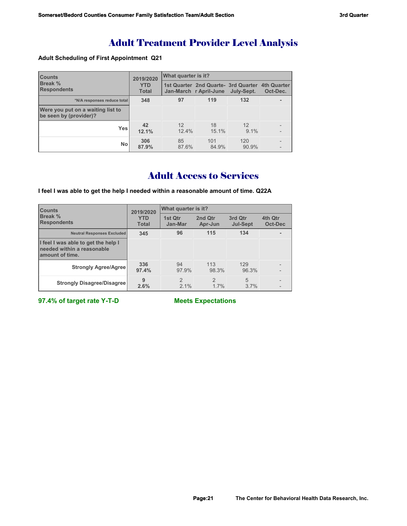## **Adult Scheduling of First Appointment Q21**

| <b>Counts</b><br>Break %<br><b>Respondents</b>              | 2019/2020                  | What quarter is it? |                                                                           |               |          |  |
|-------------------------------------------------------------|----------------------------|---------------------|---------------------------------------------------------------------------|---------------|----------|--|
|                                                             | <b>YTD</b><br><b>Total</b> |                     | 1st Quarter 2nd Quarte- 3rd Quarter 4th Quarter<br>Jan-March r April-June | July-Sept.    | Oct-Dec. |  |
| *N/A responses reduce total                                 | 348                        | 97                  | 119                                                                       | 132           |          |  |
| Were you put on a waiting list to<br>be seen by (provider)? |                            |                     |                                                                           |               |          |  |
| <b>Yes</b>                                                  | 42<br>12.1%                | 12<br>12.4%         | 18<br>15.1%                                                               | 12<br>$9.1\%$ |          |  |
| <b>No</b>                                                   | 306<br>87.9%               | 85<br>87.6%         | 101<br>84.9%                                                              | 120<br>90.9%  |          |  |

# Adult Access to Services

**I feel I was able to get the help I needed within a reasonable amount of time. Q22A**

| <b>Counts</b><br>Break %<br><b>Respondents</b>                                       | 2019/2020                  | What quarter is it?    |                       |                            |                    |  |
|--------------------------------------------------------------------------------------|----------------------------|------------------------|-----------------------|----------------------------|--------------------|--|
|                                                                                      | <b>YTD</b><br><b>Total</b> | 1st Qtr<br>Jan-Mar     | 2nd Qtr<br>Apr-Jun    | 3rd Qtr<br><b>Jul-Sept</b> | 4th Qtr<br>Oct-Dec |  |
| <b>Neutral Responses Excluded</b>                                                    | 345                        | 96                     | 115                   | 134                        |                    |  |
| I feel I was able to get the help I<br>needed within a reasonable<br>amount of time. |                            |                        |                       |                            |                    |  |
| <b>Strongly Agree/Agree</b>                                                          | 336<br>97.4%               | 94<br>97.9%            | 113<br>98.3%          | 129<br>96.3%               |                    |  |
| <b>Strongly Disagree/Disagree</b>                                                    | 9<br>2.6%                  | $\mathfrak{D}$<br>2.1% | $\mathcal{P}$<br>1.7% | 5<br>3.7%                  |                    |  |

**97.4% of target rate Y-T-D Meets Expectations**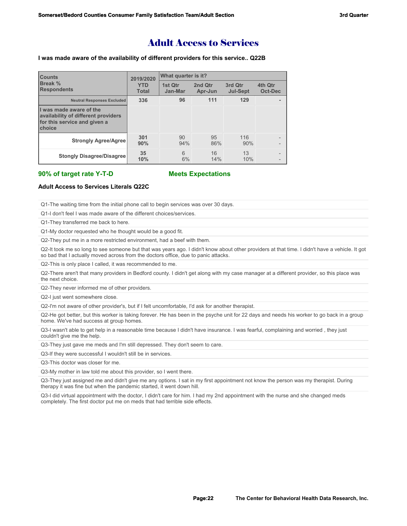# Adult Access to Services

### **I was made aware of the availability of different providers for this service.. Q22B**

| <b>Counts</b><br>Break %<br><b>Respondents</b>                                                           | 2019/2020                  | What quarter is it? |                    |                            |                                                      |  |
|----------------------------------------------------------------------------------------------------------|----------------------------|---------------------|--------------------|----------------------------|------------------------------------------------------|--|
|                                                                                                          | <b>YTD</b><br><b>Total</b> | 1st Otr<br>Jan-Mar  | 2nd Otr<br>Apr-Jun | 3rd Qtr<br><b>Jul-Sept</b> | 4th Qtr<br><b>Oct-Dec</b>                            |  |
| <b>Neutral Responses Excluded</b>                                                                        | 336                        | 96                  | 111                | 129                        |                                                      |  |
| I was made aware of the<br>availability of different providers<br>for this service and given a<br>choice |                            |                     |                    |                            |                                                      |  |
| <b>Strongly Agree/Agree</b>                                                                              | 301<br>90%                 | 90<br>94%           | 95<br>86%          | 116<br>90%                 | $\overline{\phantom{0}}$<br>$\overline{\phantom{0}}$ |  |
| <b>Stongly Disagree/Disagree</b>                                                                         | 35<br>10%                  | 6<br>6%             | 16<br>14%          | 13<br>10%                  | $\overline{\phantom{0}}$                             |  |

### **90% of target rate Y-T-D Meets Expectations**

### **Adult Access to Services Literals Q22C**

Q1-The waiting time from the initial phone call to begin services was over 30 days.

Q1-I don't feel I was made aware of the different choices/services.

Q1-They transferred me back to here.

Q1-My doctor requested who he thought would be a good fit.

Q2-They put me in a more restricted environment, had a beef with them.

Q2-It took me so long to see someone but that was years ago. I didn't know about other providers at that time. I didn't have a vehicle. It got so bad that I actually moved across from the doctors office, due to panic attacks.

Q2-This is only place I called, it was recommended to me.

Q2-There aren't that many providers in Bedford county. I didn't get along with my case manager at a different provider, so this place was the next choice.

Q2-They never informed me of other providers.

Q2-I just went somewhere close.

Q2-I'm not aware of other provider's, but if I felt uncomfortable, I'd ask for another therapist.

Q2-He got better, but this worker is taking forever. He has been in the psyche unit for 22 days and needs his worker to go back in a group home. We've had success at group homes.

Q3-I wasn't able to get help in a reasonable time because I didn't have insurance. I was fearful, complaining and worried , they just couldn't give me the help.

Q3-They just gave me meds and I'm still depressed. They don't seem to care.

Q3-If they were successful I wouldn't still be in services.

Q3-This doctor was closer for me.

Q3-My mother in law told me about this provider, so I went there.

Q3-They just assigned me and didn't give me any options. I sat in my first appointment not know the person was my therapist. During therapy it was fine but when the pandemic started, it went down hill.

Q3-I did virtual appointment with the doctor, I didn't care for him. I had my 2nd appointment with the nurse and she changed meds completely. The first doctor put me on meds that had terrible side effects.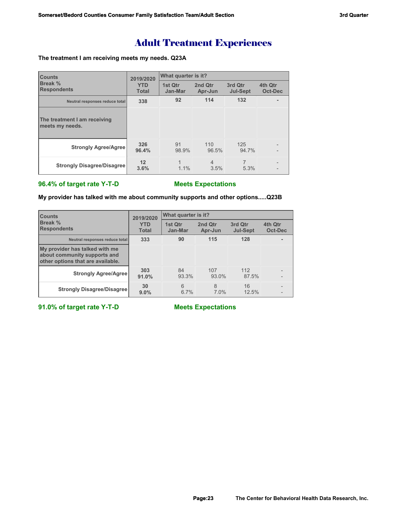# Adult Treatment Experiences

## **The treatment I am receiving meets my needs. Q23A**

| <b>Counts</b>                                   | 2019/2020                  | What quarter is it? |                    |                            |                           |  |
|-------------------------------------------------|----------------------------|---------------------|--------------------|----------------------------|---------------------------|--|
| Break %<br><b>Respondents</b>                   | <b>YTD</b><br><b>Total</b> | 1st Qtr<br>Jan-Mar  | 2nd Qtr<br>Apr-Jun | 3rd Qtr<br><b>Jul-Sept</b> | 4th Qtr<br><b>Oct-Dec</b> |  |
| Neutral responses reduce total                  | 338                        | 92                  | 114                | 132                        |                           |  |
| The treatment I am receiving<br>meets my needs. |                            |                     |                    |                            |                           |  |
| <b>Strongly Agree/Agree</b>                     | 326<br>96.4%               | 91<br>98.9%         | 110<br>96.5%       | 125<br>94.7%               |                           |  |
| <b>Strongly Disagree/Disagree</b>               | 12<br>3.6%                 | 1.1%                | 4<br>3.5%          | 5.3%                       |                           |  |

# **96.4% of target rate Y-T-D Meets Expectations**

**My provider has talked with me about community supports and other options.....Q23B**

| <b>Counts</b><br>Break %<br><b>Respondents</b>                                                      | 2019/2020                  | What quarter is it? |                    |                            |                    |  |
|-----------------------------------------------------------------------------------------------------|----------------------------|---------------------|--------------------|----------------------------|--------------------|--|
|                                                                                                     | <b>YTD</b><br><b>Total</b> | 1st Qtr<br>Jan-Mar  | 2nd Qtr<br>Apr-Jun | 3rd Qtr<br><b>Jul-Sept</b> | 4th Qtr<br>Oct-Dec |  |
| Neutral responses reduce total                                                                      | 333                        | 90                  | 115                | 128                        |                    |  |
| My provider has talked with me<br>about community supports and<br>other options that are available. |                            |                     |                    |                            |                    |  |
| <b>Strongly Agree/Agree</b>                                                                         | 303<br>91.0%               | 84<br>93.3%         | 107<br>93.0%       | 112<br>87.5%               |                    |  |
| <b>Strongly Disagree/Disagree</b>                                                                   | 30<br>9.0%                 | 6<br>6.7%           | 8<br>7.0%          | 16<br>12.5%                |                    |  |

**91.0% of target rate Y-T-D Meets Expectations**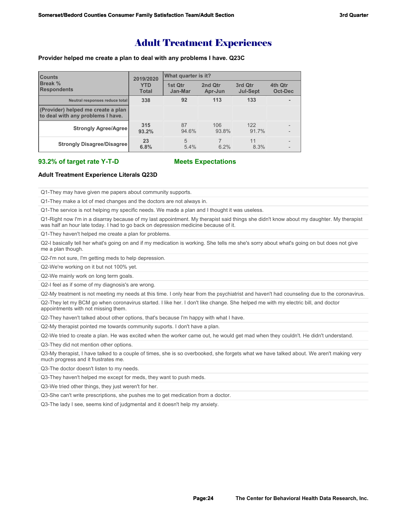# Adult Treatment Experiences

### **Provider helped me create a plan to deal with any problems I have. Q23C**

| <b>Counts</b>                                                           | 2019/2020                  | What quarter is it? |                    |                            |                    |  |
|-------------------------------------------------------------------------|----------------------------|---------------------|--------------------|----------------------------|--------------------|--|
| Break %<br><b>Respondents</b>                                           | <b>YTD</b><br><b>Total</b> | 1st Qtr<br>Jan-Mar  | 2nd Qtr<br>Apr-Jun | 3rd Qtr<br><b>Jul-Sept</b> | 4th Qtr<br>Oct-Dec |  |
| Neutral responses reduce total                                          | 338                        | 92                  | 113                | 133                        |                    |  |
| (Provider) helped me create a plan<br>to deal with any problems I have. |                            |                     |                    |                            |                    |  |
| <b>Strongly Agree/Agree</b>                                             | 315<br>93.2%               | 87<br>94.6%         | 106<br>93.8%       | 122<br>91.7%               |                    |  |
| <b>Strongly Disagree/Disagree</b>                                       | 23<br>6.8%                 | 5<br>5.4%           | 6.2%               | 11<br>8.3%                 |                    |  |

### **93.2% of target rate Y-T-D Meets Expectations**

### **Adult Treatment Experience Literals Q23D**

Q1-They may have given me papers about community supports.

Q1-They make a lot of med changes and the doctors are not always in.

Q1-The service is not helping my specific needs. We made a plan and I thought it was useless.

Q1-Right now I'm in a disarray because of my last appointment. My therapist said things she didn't know about my daughter. My therapist was half an hour late today. I had to go back on depression medicine because of it.

Q1-They haven't helped me create a plan for problems.

Q2-I basically tell her what's going on and if my medication is working. She tells me she's sorry about what's going on but does not give me a plan though.

Q2-I'm not sure, I'm getting meds to help depression.

Q2-We're working on it but not 100% yet.

Q2-We mainly work on long term goals.

Q2-I feel as if some of my diagnosis's are wrong.

Q2-My treatment is not meeting my needs at this time. I only hear from the psychiatrist and haven't had counseling due to the coronavirus.

Q2-They let my BCM go when coronavirus started. I like her. I don't like change. She helped me with my electric bill, and doctor appointments with not missing them.

Q2-They haven't talked about other options, that's because I'm happy with what I have.

Q2-My therapist pointed me towards community suports. I don't have a plan.

Q2-We tried to create a plan. He was excited when the worker came out, he would get mad when they couldn't. He didn't understand.

Q3-They did not mention other options.

Q3-My therapist, I have talked to a couple of times, she is so overbooked, she forgets what we have talked about. We aren't making very much progress and it frustrates me.

Q3-The doctor doesn't listen to my needs.

Q3-They haven't helped me except for meds, they want to push meds.

Q3-We tried other things, they just weren't for her.

Q3-She can't write prescriptions, she pushes me to get medication from a doctor.

Q3-The lady I see, seems kind of judgmental and it doesn't help my anxiety.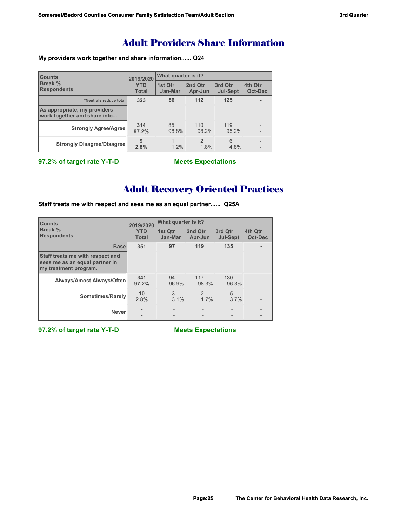# Adult Providers Share Information

**My providers work together and share information...... Q24**

| <b>Counts</b><br>Break %<br><b>Respondents</b>               | 2019/2020                  | What quarter is it? |                       |                            |                           |  |
|--------------------------------------------------------------|----------------------------|---------------------|-----------------------|----------------------------|---------------------------|--|
|                                                              | <b>YTD</b><br><b>Total</b> | 1st Qtr<br>Jan-Mar  | 2nd Qtr<br>Apr-Jun    | 3rd Qtr<br><b>Jul-Sept</b> | 4th Qtr<br><b>Oct-Dec</b> |  |
| *Neutrals reduce total                                       | 323                        | 86                  | 112                   | 125                        |                           |  |
| As appropriate, my providers<br>work together and share info |                            |                     |                       |                            |                           |  |
| <b>Strongly Agree/Agree</b>                                  | 314<br>97.2%               | 85<br>98.8%         | 110<br>98.2%          | 119<br>95.2%               |                           |  |
| <b>Strongly Disagree/Disagree</b>                            | 9<br>2.8%                  | 1.2%                | $\mathcal{P}$<br>1.8% | 6<br>4.8%                  |                           |  |

**97.2% of target rate Y-T-D Meets Expectations**

# Adult Recovery Oriented Practices

**Staff treats me with respect and sees me as an equal partner...... Q25A**

| <b>Counts</b>                                                                               | 2019/2020                  | What quarter is it? |                        |                            |                           |  |
|---------------------------------------------------------------------------------------------|----------------------------|---------------------|------------------------|----------------------------|---------------------------|--|
| Break %<br><b>Respondents</b>                                                               | <b>YTD</b><br><b>Total</b> | 1st Qtr<br>Jan-Mar  | 2nd Qtr<br>Apr-Jun     | 3rd Qtr<br><b>Jul-Sept</b> | 4th Qtr<br><b>Oct-Dec</b> |  |
| <b>Base</b>                                                                                 | 351                        | 97                  | 119                    | 135                        |                           |  |
| Staff treats me with respect and<br>sees me as an equal partner in<br>my treatment program. |                            |                     |                        |                            |                           |  |
| Always/Amost Always/Often                                                                   | 341<br>97.2%               | 94<br>96.9%         | 117<br>98.3%           | 130<br>96.3%               |                           |  |
| Sometimes/Rarely                                                                            | 10<br>2.8%                 | 3<br>$3.1\%$        | $\mathfrak{D}$<br>1.7% | 5<br>3.7%                  |                           |  |
| <b>Never</b>                                                                                |                            |                     |                        |                            |                           |  |

**97.2% of target rate Y-T-D Meets Expectations**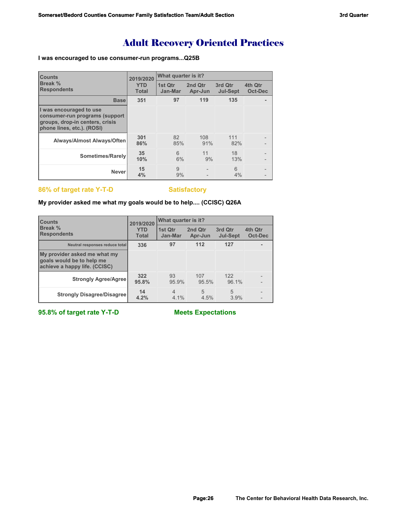# Adult Recovery Oriented Practices

## **I was encouraged to use consumer-run programs...Q25B**

| <b>Counts</b>                                                                                                              | 2019/2020                  | What quarter is it? |                    |                            |                    |  |
|----------------------------------------------------------------------------------------------------------------------------|----------------------------|---------------------|--------------------|----------------------------|--------------------|--|
| Break %<br><b>Respondents</b>                                                                                              | <b>YTD</b><br><b>Total</b> | 1st Qtr<br>Jan-Mar  | 2nd Qtr<br>Apr-Jun | 3rd Qtr<br><b>Jul-Sept</b> | 4th Qtr<br>Oct-Dec |  |
| <b>Base</b>                                                                                                                | 351                        | 97                  | 119                | 135                        |                    |  |
| I was encouraged to use<br>consumer-run programs (support<br>groups, drop-in centers, crisis<br>phone lines, etc.). (ROSI) |                            |                     |                    |                            |                    |  |
| <b>Always/Almost Always/Often</b>                                                                                          | 301<br>86%                 | 82<br>85%           | 108<br>91%         | 111<br>82%                 |                    |  |
| Sometimes/Rarely                                                                                                           | 35<br>10%                  | 6<br>6%             | 11<br>9%           | 18<br>13%                  |                    |  |
| <b>Never</b>                                                                                                               | 15<br>4%                   | 9<br>9%             |                    | 6<br>4%                    |                    |  |

# **86% of target rate Y-T-D** Satisfactory

## **My provider asked me what my goals would be to help.... (CCISC) Q26A**

| <b>Counts</b>                                                                              | 2019/2020                  | What quarter is it?       |                    |                            |                    |  |
|--------------------------------------------------------------------------------------------|----------------------------|---------------------------|--------------------|----------------------------|--------------------|--|
| Break %<br><b>Respondents</b>                                                              | <b>YTD</b><br><b>Total</b> | 1st Qtr<br>Jan-Mar        | 2nd Qtr<br>Apr-Jun | 3rd Qtr<br><b>Jul-Sept</b> | 4th Qtr<br>Oct-Dec |  |
| Neutral responses reduce total                                                             | 336                        | 97                        | 112                | 127                        |                    |  |
| My provider asked me what my<br>goals would be to help me<br>achieve a happy life. (CCISC) |                            |                           |                    |                            |                    |  |
| <b>Strongly Agree/Agree</b>                                                                | 322<br>95.8%               | 93<br>95.9%               | 107<br>95.5%       | 122<br>96.1%               |                    |  |
| <b>Strongly Disagree/Disagree</b>                                                          | 14<br>4.2%                 | $\overline{4}$<br>$4.1\%$ | 5<br>4.5%          | 5<br>3.9%                  |                    |  |

**95.8% of target rate Y-T-D Meets Expectations**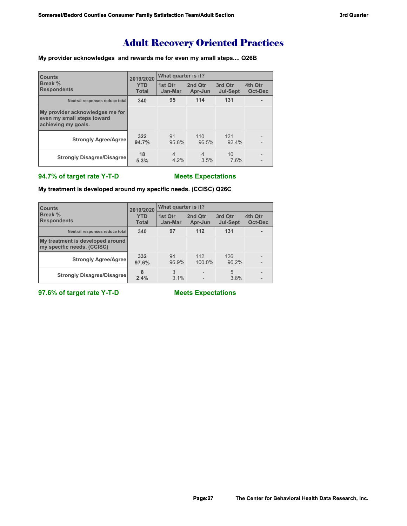# Adult Recovery Oriented Practices

## **My provider acknowledges and rewards me for even my small steps.... Q26B**

| <b>Counts</b><br>Break %<br><b>Respondents</b>                                       | 2019/2020                  | What quarter is it?    |                        |                            |                    |  |
|--------------------------------------------------------------------------------------|----------------------------|------------------------|------------------------|----------------------------|--------------------|--|
|                                                                                      | <b>YTD</b><br><b>Total</b> | 1st Otr<br>Jan-Mar     | 2nd Qtr<br>Apr-Jun     | 3rd Qtr<br><b>Jul-Sept</b> | 4th Qtr<br>Oct-Dec |  |
| Neutral responses reduce total                                                       | 340                        | 95                     | 114                    | 131                        |                    |  |
| My provider acknowledges me for<br>even my small steps toward<br>achieving my goals. |                            |                        |                        |                            |                    |  |
| <b>Strongly Agree/Agree</b>                                                          | 322<br>94.7%               | 91<br>95.8%            | 110<br>96.5%           | 121<br>92.4%               |                    |  |
| <b>Strongly Disagree/Disagree</b>                                                    | 18<br>5.3%                 | $\overline{4}$<br>4.2% | $\overline{4}$<br>3.5% | 10<br>7.6%                 |                    |  |

# **94.7% of target rate Y-T-D Meets Expectations**

**My treatment is developed around my specific needs. (CCISC) Q26C**

| <b>Counts</b>                                                  | 2019/2020                  | What quarter is it? |                    |                            |                    |  |
|----------------------------------------------------------------|----------------------------|---------------------|--------------------|----------------------------|--------------------|--|
| <b>Break %</b><br><b>Respondents</b>                           | <b>YTD</b><br><b>Total</b> | 1st Otr<br>Jan-Mar  | 2nd Qtr<br>Apr-Jun | 3rd Qtr<br><b>Jul-Sept</b> | 4th Qtr<br>Oct-Dec |  |
| Neutral responses reduce total                                 | 340                        | 97                  | 112                | 131                        |                    |  |
| My treatment is developed around<br>my specific needs. (CCISC) |                            |                     |                    |                            |                    |  |
| <b>Strongly Agree/Agree</b>                                    | 332<br>97.6%               | 94<br>96.9%         | 112<br>100.0%      | 126<br>96.2%               |                    |  |
| <b>Strongly Disagree/Disagree</b>                              | 8<br>2.4%                  | 3<br>3.1%           |                    | 5<br>3.8%                  |                    |  |

**97.6% of target rate Y-T-D Meets Expectations**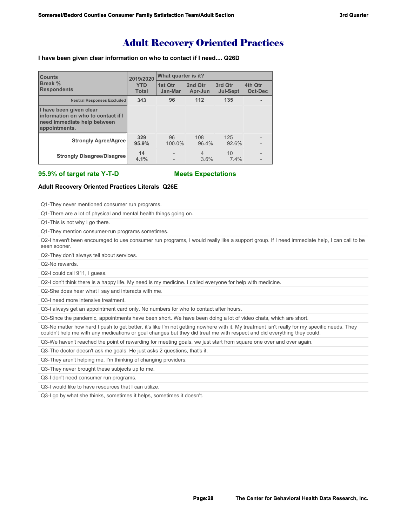# Adult Recovery Oriented Practices

### **I have been given clear information on who to contact if I need.... Q26D**

| <b>Counts</b>                                                                                                  | 2019/2020                  | <b>What quarter is it?</b> |                    |                            |                    |  |
|----------------------------------------------------------------------------------------------------------------|----------------------------|----------------------------|--------------------|----------------------------|--------------------|--|
| Break %<br><b>Respondents</b>                                                                                  | <b>YTD</b><br><b>Total</b> | 1st Qtr<br>Jan-Mar         | 2nd Qtr<br>Apr-Jun | 3rd Qtr<br><b>Jul-Sept</b> | 4th Qtr<br>Oct-Dec |  |
| <b>Neutral Responses Excluded</b>                                                                              | 343                        | 96                         | 112                | 135                        |                    |  |
| I have been given clear<br>linformation on who to contact if I<br>need immediate help between<br>appointments. |                            |                            |                    |                            |                    |  |
| <b>Strongly Agree/Agree</b>                                                                                    | 329<br>95.9%               | 96<br>100.0%               | 108<br>96.4%       | 125<br>92.6%               |                    |  |
| <b>Strongly Disagree/Disagree</b>                                                                              | 14<br>4.1%                 |                            | 4<br>3.6%          | 10<br>7.4%                 |                    |  |

**95.9% of target rate Y-T-D Meets Expectations**

### **Adult Recovery Oriented Practices Literals Q26E**

Q1-They never mentioned consumer run programs.

Q1-There are a lot of physical and mental health things going on.

Q1-This is not why I go there.

Q1-They mention consumer-run programs sometimes.

Q2-I haven't been encouraged to use consumer run programs, I would really like a support group. If I need immediate help, I can call to be seen sooner.

Q2-They don't always tell about services.

Q2-No rewards.

Q2-I could call 911, I guess.

Q2-I don't think there is a happy life. My need is my medicine. I called everyone for help with medicine.

Q2-She does hear what I say and interacts with me.

Q3-I need more intensive treatment.

Q3-I always get an appointment card only. No numbers for who to contact after hours.

Q3-Since the pandemic, appointments have been short. We have been doing a lot of video chats, which are short.

Q3-No matter how hard I push to get better, it's like I'm not getting nowhere with it. My treatment isn't really for my specific needs. They couldn't help me with any medications or goal changes but they did treat me with respect and did everything they could.

Q3-We haven't reached the point of rewarding for meeting goals, we just start from square one over and over again.

Q3-The doctor doesn't ask me goals. He just asks 2 questions, that's it.

Q3-They aren't helping me, I'm thinking of changing providers.

Q3-They never brought these subjects up to me.

Q3-I don't need consumer run programs.

Q3-I would like to have resources that I can utilize.

Q3-I go by what she thinks, sometimes it helps, sometimes it doesn't.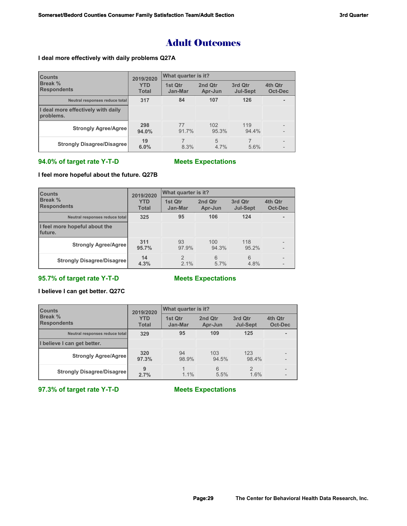# Adult Outcomes

## **I deal more effectively with daily problems Q27A**

| <b>Counts</b>                                   | 2019/2020                  | What quarter is it? |                    |                            |                    |  |
|-------------------------------------------------|----------------------------|---------------------|--------------------|----------------------------|--------------------|--|
| Break %<br><b>Respondents</b>                   | <b>YTD</b><br><b>Total</b> | 1st Qtr<br>Jan-Mar  | 2nd Qtr<br>Apr-Jun | 3rd Qtr<br><b>Jul-Sept</b> | 4th Qtr<br>Oct-Dec |  |
| Neutral responses reduce total                  | 317                        | 84                  | 107                | 126                        |                    |  |
| I deal more effectively with daily<br>problems. |                            |                     |                    |                            |                    |  |
| <b>Strongly Agree/Agree</b>                     | 298<br>94.0%               | 77<br>91.7%         | 102<br>95.3%       | 119<br>94.4%               |                    |  |
| <b>Strongly Disagree/Disagree</b>               | 19<br>6.0%                 | 8.3%                | 5<br>$4.7\%$       | 5.6%                       |                    |  |

# **94.0% of target rate Y-T-D Meets Expectations**

## **I feel more hopeful about the future. Q27B**

| <b>Counts</b>                             | 2019/2020                  | What quarter is it?   |                    |                            |                    |
|-------------------------------------------|----------------------------|-----------------------|--------------------|----------------------------|--------------------|
| <b>Break %</b><br><b>Respondents</b>      | <b>YTD</b><br><b>Total</b> | 1st Qtr<br>Jan-Mar    | 2nd Qtr<br>Apr-Jun | 3rd Qtr<br><b>Jul-Sept</b> | 4th Qtr<br>Oct-Dec |
| Neutral responses reduce total            | 325                        | 95                    | 106                | 124                        |                    |
| I feel more hopeful about the<br>Ifuture. |                            |                       |                    |                            |                    |
| <b>Strongly Agree/Agree</b>               | 311<br>95.7%               | 93<br>97.9%           | 100<br>94.3%       | 118<br>95.2%               |                    |
| <b>Strongly Disagree/Disagree</b>         | 14<br>4.3%                 | $\mathcal{P}$<br>2.1% | 6<br>$5.7\%$       | 6<br>4.8%                  |                    |

# **95.7% of target rate Y-T-D Meets Expectations**

## **I believe I can get better. Q27C**

| <b>Counts</b>                        | 2019/2020                  | What quarter is it? |                    |                            |                           |
|--------------------------------------|----------------------------|---------------------|--------------------|----------------------------|---------------------------|
| <b>Break %</b><br><b>Respondents</b> | <b>YTD</b><br><b>Total</b> | 1st Qtr<br>Jan-Mar  | 2nd Qtr<br>Apr-Jun | 3rd Qtr<br><b>Jul-Sept</b> | 4th Qtr<br><b>Oct-Dec</b> |
| Neutral responses reduce total       | 329                        | 95                  | 109                | 125                        |                           |
| I believe I can get better.          |                            |                     |                    |                            |                           |
| <b>Strongly Agree/Agree</b>          | 320<br>97.3%               | 94<br>98.9%         | 103<br>94.5%       | 123<br>98.4%               |                           |
| <b>Strongly Disagree/Disagree</b>    | 9<br>2.7%                  | 1.1%                | 6<br>5.5%          | $\mathfrak{D}$<br>1.6%     |                           |

# **97.3% of target rate Y-T-D Meets Expectations**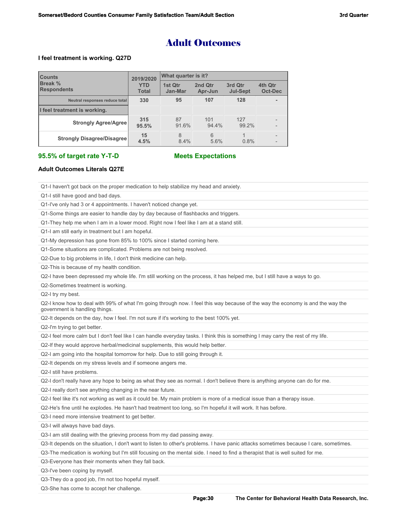# Adult Outcomes

### **I feel treatment is working. Q27D**

| <b>Counts</b>                        | 2019/2020                  | What quarter is it? |                    |                            |                           |  |
|--------------------------------------|----------------------------|---------------------|--------------------|----------------------------|---------------------------|--|
| <b>Break %</b><br><b>Respondents</b> | <b>YTD</b><br><b>Total</b> | 1st Qtr<br>Jan-Mar  | 2nd Qtr<br>Apr-Jun | 3rd Qtr<br><b>Jul-Sept</b> | 4th Qtr<br><b>Oct-Dec</b> |  |
| Neutral responses reduce total       | 330                        | 95                  | 107                | 128                        |                           |  |
| I feel treatment is working.         |                            |                     |                    |                            |                           |  |
| <b>Strongly Agree/Agree</b>          | 315<br>95.5%               | 87<br>91.6%         | 101<br>94.4%       | 127<br>99.2%               |                           |  |
| <b>Strongly Disagree/Disagree</b>    | 15<br>4.5%                 | 8<br>8.4%           | 6<br>5.6%          | 0.8%                       |                           |  |

### **95.5% of target rate Y-T-D Meets Expectations**

### **Adult Outcomes Literals Q27E**

Q1-I haven't got back on the proper medication to help stabilize my head and anxiety.

Q1-I still have good and bad days.

Q1-I've only had 3 or 4 appointments. I haven't noticed change yet.

Q1-Some things are easier to handle day by day because of flashbacks and triggers.

Q1-They help me when I am in a lower mood. Right now I feel like I am at a stand still.

Q1-I am still early in treatment but I am hopeful.

Q1-My depression has gone from 85% to 100% since I started coming here.

Q1-Some situations are complicated. Problems are not being resolved.

Q2-Due to big problems in life, I don't think medicine can help.

Q2-This is because of my health condition.

Q2-I have been depressed my whole life. I'm still working on the process, it has helped me, but I still have a ways to go.

Q2-Sometimes treatment is working.

Q2-I try my best.

Q2-I know how to deal with 99% of what I'm going through now. I feel this way because of the way the economy is and the way the government is handling things.

Q2-It depends on the day, how I feel. I'm not sure if it's working to the best 100% yet.

Q2-I'm trying to get better.

Q2-I feel more calm but I don't feel like I can handle everyday tasks. I think this is something I may carry the rest of my life.

Q2-If they would approve herbal/medicinal supplements, this would help better.

Q2-I am going into the hospital tomorrow for help. Due to still going through it.

Q2-It depends on my stress levels and if someone angers me.

Q2-I still have problems.

Q2-I don't really have any hope to being as what they see as normal. I don't believe there is anything anyone can do for me.

Q2-I really don't see anything changing in the near future.

Q2-I feel like it's not working as well as it could be. My main problem is more of a medical issue than a therapy issue.

Q2-He's fine until he explodes. He hasn't had treatment too long, so I'm hopeful it will work. It has before.

Q3-I need more intensive treatment to get better.

Q3-I will always have bad days.

Q3-I am still dealing with the grieving process from my dad passing away.

Q3-It depends on the situation, I don't want to listen to other's problems. I have panic attacks sometimes because I care, sometimes.

Q3-The medication is working but I'm still focusing on the mental side. I need to find a therapist that is well suited for me.

Q3-Everyone has their moments when they fall back.

Q3-I've been coping by myself.

Q3-They do a good job, I'm not too hopeful myself.

Q3-She has come to accept her challenge.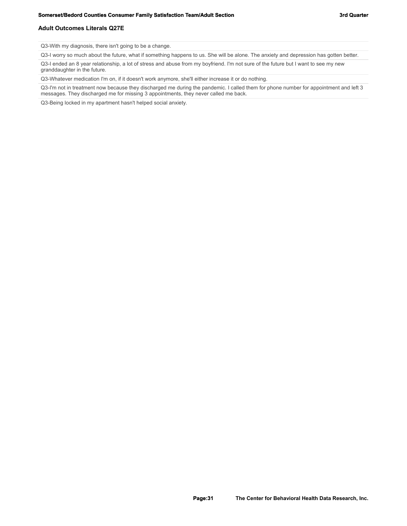### **Adult Outcomes Literals Q27E**

Q3-With my diagnosis, there isn't going to be a change.

Q3-I worry so much about the future, what if something happens to us. She will be alone. The anxiety and depression has gotten better.

Q3-I ended an 8 year relationship, a lot of stress and abuse from my boyfriend. I'm not sure of the future but I want to see my new granddaughter in the future.

Q3-Whatever medication I'm on, if it doesn't work anymore, she'll either increase it or do nothing.

Q3-I'm not in treatment now because they discharged me during the pandemic. I called them for phone number for appointment and left 3 messages. They discharged me for missing 3 appointments, they never called me back.

Q3-Being locked in my apartment hasn't helped social anxiety.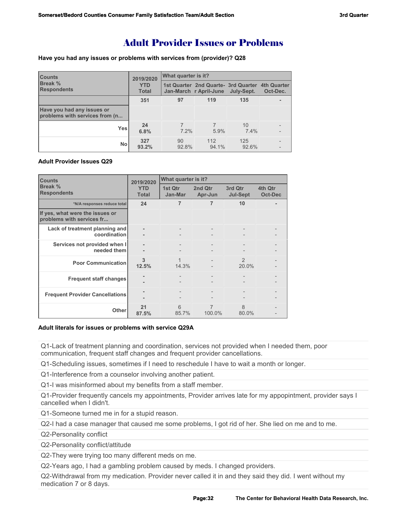# Adult Provider Issues or Problems

**Have you had any issues or problems with services from (provider)? Q28**

| <b>Counts</b>                                                | 2019/2020                  | What quarter is it? |                                                                           |              |          |  |
|--------------------------------------------------------------|----------------------------|---------------------|---------------------------------------------------------------------------|--------------|----------|--|
| <b>Break %</b><br><b>Respondents</b>                         | <b>YTD</b><br><b>Total</b> |                     | 1st Quarter 2nd Quarte- 3rd Quarter 4th Quarter<br>Jan-March r April-June | July-Sept.   | Oct-Dec. |  |
|                                                              | 351                        | 97                  | 119                                                                       | 135          |          |  |
| Have you had any issues or<br>problems with services from (n |                            |                     |                                                                           |              |          |  |
| <b>Yes</b>                                                   | 24<br>6.8%                 | $7.2\%$             | 5.9%                                                                      | 10<br>7.4%   |          |  |
| No                                                           | 327<br>93.2%               | 90<br>92.8%         | 112<br>94.1%                                                              | 125<br>92.6% |          |  |

## **Adult Provider Issues Q29**

| <b>Counts</b>                                                | 2019/2020                  | What quarter is it? |                    |                            |                    |
|--------------------------------------------------------------|----------------------------|---------------------|--------------------|----------------------------|--------------------|
| Break %<br><b>Respondents</b>                                | <b>YTD</b><br><b>Total</b> | 1st Qtr<br>Jan-Mar  | 2nd Qtr<br>Apr-Jun | 3rd Qtr<br><b>Jul-Sept</b> | 4th Qtr<br>Oct-Dec |
| *N/A responses reduce total                                  | 24                         | 7                   | 7                  | 10                         |                    |
| If yes, what were the issues or<br>problems with services fr |                            |                     |                    |                            |                    |
| Lack of treatment planning and<br>coordination               |                            | $\qquad \qquad -$   |                    |                            |                    |
| Services not provided when I<br>needed them                  |                            |                     |                    |                            |                    |
| <b>Poor Communication</b>                                    | 3<br>12.5%                 | 1<br>14.3%          |                    | $\mathfrak{D}$<br>20.0%    |                    |
| <b>Frequent staff changes</b>                                |                            |                     |                    |                            |                    |
| <b>Frequent Provider Cancellations</b>                       |                            |                     |                    |                            |                    |
| <b>Other</b>                                                 | 21<br>87.5%                | 6<br>85.7%          | 7<br>100.0%        | $\mathcal{B}$<br>80.0%     |                    |

### **Adult literals for issues or problems with service Q29A**

Q1-Lack of treatment planning and coordination, services not provided when I needed them, poor communication, frequent staff changes and frequent provider cancellations.

Q1-Scheduling issues, sometimes if I need to reschedule I have to wait a month or longer.

Q1-Interference from a counselor involving another patient.

Q1-I was misinformed about my benefits from a staff member.

Q1-Provider frequently cancels my appointments, Provider arrives late for my appopintment, provider says I cancelled when I didn't.

Q1-Someone turned me in for a stupid reason.

Q2-I had a case manager that caused me some problems, I got rid of her. She lied on me and to me.

Q2-Personality conflict

Q2-Personality conflict/attitude

Q2-They were trying too many different meds on me.

Q2-Years ago, I had a gambling problem caused by meds. I changed providers.

Q2-Withdrawal from my medication. Provider never called it in and they said they did. I went without my medication 7 or 8 days.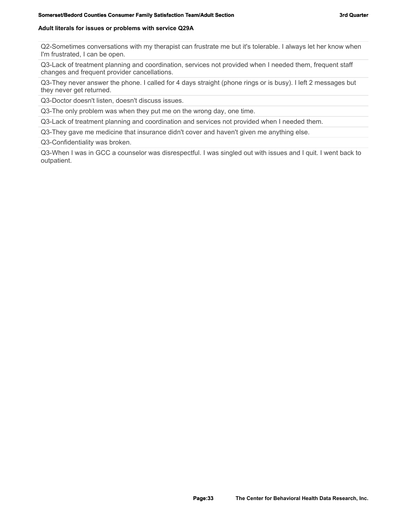### **Adult literals for issues or problems with service Q29A**

Q2-Sometimes conversations with my therapist can frustrate me but it's tolerable. I always let her know when I'm frustrated, I can be open.

Q3-Lack of treatment planning and coordination, services not provided when I needed them, frequent staff changes and frequent provider cancellations.

Q3-They never answer the phone. I called for 4 days straight (phone rings or is busy). I left 2 messages but they never get returned.

Q3-Doctor doesn't listen, doesn't discuss issues.

Q3-The only problem was when they put me on the wrong day, one time.

Q3-Lack of treatment planning and coordination and services not provided when I needed them.

Q3-They gave me medicine that insurance didn't cover and haven't given me anything else.

Q3-Confidentiality was broken.

Q3-When I was in GCC a counselor was disrespectful. I was singled out with issues and I quit. I went back to outpatient.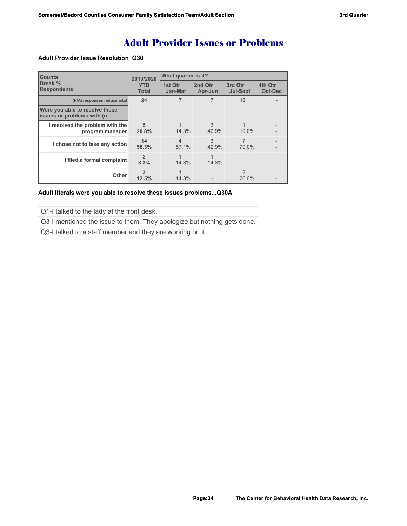# Adult Provider Issues or Problems

### **Adult Provider Issue Resolution Q30**

| <b>Counts</b>                                                | 2019/2020                  | What quarter is it?     |                    |                            |                    |  |
|--------------------------------------------------------------|----------------------------|-------------------------|--------------------|----------------------------|--------------------|--|
| Break %<br><b>Respondents</b>                                | <b>YTD</b><br><b>Total</b> | 1st Qtr<br>Jan-Mar      | 2nd Qtr<br>Apr-Jun | 3rd Qtr<br><b>Jul-Sept</b> | 4th Qtr<br>Oct-Dec |  |
| (N/A) responses reduce total                                 | 24                         |                         |                    | 10                         |                    |  |
| Were you able to resolve these<br>issues or problems with (n |                            |                         |                    |                            |                    |  |
| I resolved the problem with the<br>program manager           | 5<br>20.8%                 | 14.3%                   | 3<br>42.9%         | 10.0%                      |                    |  |
| I chose not to take any action                               | 14<br>58.3%                | $\overline{4}$<br>57.1% | 3<br>42.9%         | 7<br>70.0%                 |                    |  |
| I filed a formal complaint                                   | $\mathfrak{p}$<br>8.3%     | 14.3%                   | 1<br>14.3%         |                            |                    |  |
| Other                                                        | 3<br>12.5%                 | 14.3%                   |                    | $\mathcal{P}$<br>$20.0\%$  |                    |  |

### **Adult literals were you able to resolve these issues problems...Q30A**

Q1-I talked to the lady at the front desk.

Q3-I mentioned the issue to them. They apologize but nothing gets done.

Q3-I talked to a staff member and they are working on it.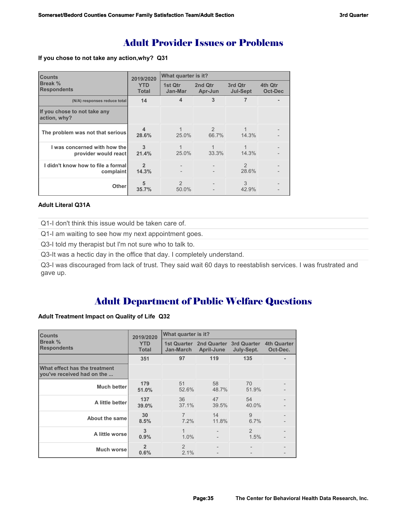# Adult Provider Issues or Problems

**If you chose to not take any action,why? Q31**

| <b>Counts</b>                                        | 2019/2020                  | What quarter is it? |                        |                            |                           |
|------------------------------------------------------|----------------------------|---------------------|------------------------|----------------------------|---------------------------|
| Break %<br><b>Respondents</b>                        | <b>YTD</b><br><b>Total</b> | 1st Qtr<br>Jan-Mar  | 2nd Qtr<br>Apr-Jun     | 3rd Qtr<br><b>Jul-Sept</b> | 4th Qtr<br><b>Oct-Dec</b> |
| (N/A) responses reduce total                         | 14                         | 4                   | 3                      | 7                          |                           |
| If you chose to not take any<br>action, why?         |                            |                     |                        |                            |                           |
| The problem was not that serious                     | $\Delta$<br>28.6%          | 25.0%               | $\mathcal{P}$<br>66.7% | 14.3%                      |                           |
| I was concerned with how the<br>provider would react | 3<br>21.4%                 | 1<br>25.0%          | 33.3%                  | 14.3%                      |                           |
| I didn't know how to file a formal<br>complaint      | $\mathfrak{p}$<br>14.3%    |                     |                        | $\mathfrak{D}$<br>28.6%    |                           |
| <b>Other</b>                                         | 5<br>35.7%                 | 2<br>50.0%          |                        | 3<br>42.9%                 |                           |

# **Adult Literal Q31A**

Q1-I don't think this issue would be taken care of.

Q1-I am waiting to see how my next appointment goes.

Q3-I told my therapist but I'm not sure who to talk to.

Q3-It was a hectic day in the office that day. I completely understand.

Q3-I was discouraged from lack of trust. They said wait 60 days to reestablish services. I was frustrated and gave up.

# Adult Department of Public Welfare Questions

## **Adult Treatment Impact on Quality of Life Q32**

| <b>Counts</b>                                               | 2019/2020                  | What quarter is it? |                                       |                                  |                                |
|-------------------------------------------------------------|----------------------------|---------------------|---------------------------------------|----------------------------------|--------------------------------|
| Break %<br><b>Respondents</b>                               | <b>YTD</b><br><b>Total</b> | Jan-March           | 1st Quarter 2nd Quarter<br>April-June | <b>3rd Quarter</b><br>July-Sept. | <b>4th Quarter</b><br>Oct-Dec. |
|                                                             | 351                        | 97                  | 119                                   | 135                              |                                |
| What effect has the treatment<br>you've received had on the |                            |                     |                                       |                                  |                                |
| <b>Much better</b>                                          | 179<br>51.0%               | 51<br>52.6%         | 58<br>48.7%                           | 70<br>51.9%                      |                                |
| A little better                                             | 137<br>39.0%               | 36<br>37.1%         | 47<br>39.5%                           | 54<br>40.0%                      |                                |
| About the same                                              | 30<br>8.5%                 | 7<br>7.2%           | 14<br>11.8%                           | 9<br>6.7%                        |                                |
| A little worse                                              | 3<br>0.9%                  | 1<br>1.0%           |                                       | $\mathcal{P}$<br>1.5%            |                                |
| Much worse                                                  | $\overline{2}$<br>0.6%     | 2<br>2.1%           |                                       |                                  |                                |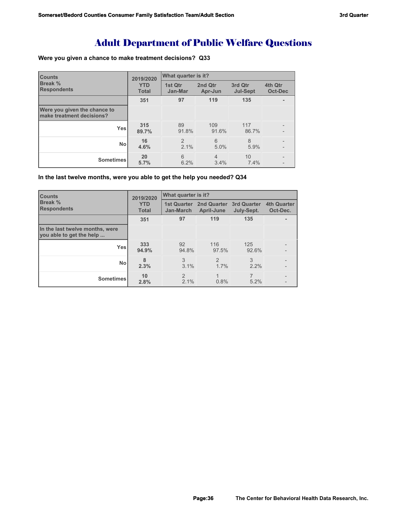# Adult Department of Public Welfare Questions

## **Were you given a chance to make treatment decisions? Q33**

| <b>Counts</b>                                             | 2019/2020                  | What quarter is it?       |                        |                            |                           |
|-----------------------------------------------------------|----------------------------|---------------------------|------------------------|----------------------------|---------------------------|
| <b>Break %</b><br><b>Respondents</b>                      | <b>YTD</b><br><b>Total</b> | 1st Qtr<br>Jan-Mar        | 2nd Qtr<br>Apr-Jun     | 3rd Qtr<br><b>Jul-Sept</b> | 4th Qtr<br><b>Oct-Dec</b> |
|                                                           | 351                        | 97                        | 119                    | 135                        |                           |
| Were you given the chance to<br>make treatment decisions? |                            |                           |                        |                            |                           |
| <b>Yes</b>                                                | 315<br>89.7%               | 89<br>91.8%               | 109<br>91.6%           | 117<br>86.7%               |                           |
| <b>No</b>                                                 | 16<br>4.6%                 | $\overline{2}$<br>$2.1\%$ | 6<br>5.0%              | 8<br>5.9%                  |                           |
| <b>Sometimes</b>                                          | 20<br>5.7%                 | 6<br>6.2%                 | $\overline{4}$<br>3.4% | 10<br>7.4%                 |                           |

## **In the last twelve months, were you able to get the help you needed? Q34**

| <b>Counts</b>                                               | 2019/2020                  | What quarter is it?                    |                                  |                                  |                                |
|-------------------------------------------------------------|----------------------------|----------------------------------------|----------------------------------|----------------------------------|--------------------------------|
| Break %<br><b>Respondents</b>                               | <b>YTD</b><br><b>Total</b> | <b>1st Quarter</b><br><b>Jan-March</b> | 2nd Quarter<br><b>April-June</b> | <b>3rd Quarter</b><br>July-Sept. | <b>4th Quarter</b><br>Oct-Dec. |
|                                                             | 351                        | 97                                     | 119                              | 135                              |                                |
| In the last twelve months, were<br>you able to get the help |                            |                                        |                                  |                                  |                                |
| <b>Yes</b>                                                  | 333<br>94.9%               | 92<br>94.8%                            | 116<br>97.5%                     | 125<br>92.6%                     |                                |
| <b>No</b>                                                   | 8<br>2.3%                  | 3<br>3.1%                              | 2<br>1.7%                        | 3<br>$2.2\%$                     |                                |
| <b>Sometimes</b>                                            | 10<br>2.8%                 | $\overline{2}$<br>2.1%                 | 1<br>0.8%                        | 7<br>5.2%                        |                                |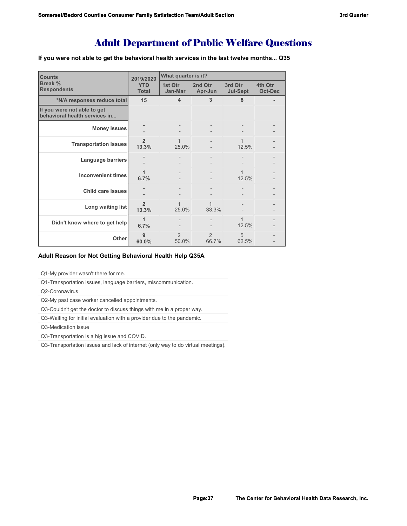## Adult Department of Public Welfare Questions

**If you were not able to get the behavioral health services in the last twelve months... Q35**

| <b>Counts</b>                                                | 2019/2020                  | What quarter is it?     |                        |                            |                           |  |
|--------------------------------------------------------------|----------------------------|-------------------------|------------------------|----------------------------|---------------------------|--|
| Break %<br><b>Respondents</b>                                | <b>YTD</b><br><b>Total</b> | 1st Qtr<br>Jan-Mar      | 2nd Qtr<br>Apr-Jun     | 3rd Qtr<br><b>Jul-Sept</b> | 4th Qtr<br><b>Oct-Dec</b> |  |
| *N/A responses reduce total                                  | 15                         | $\overline{\mathbf{4}}$ | 3                      | 8                          |                           |  |
| If you were not able to get<br>behavioral health services in |                            |                         |                        |                            |                           |  |
| <b>Money issues</b>                                          |                            |                         |                        |                            |                           |  |
| <b>Transportation issues</b>                                 | $\overline{2}$<br>13.3%    | 25.0%                   |                        | 12.5%                      |                           |  |
| Language barriers                                            |                            |                         |                        |                            |                           |  |
| <b>Inconvenient times</b>                                    | 1<br>6.7%                  |                         |                        | 12.5%                      |                           |  |
| <b>Child care issues</b>                                     |                            |                         |                        |                            |                           |  |
| Long waiting list                                            | $\overline{2}$<br>13.3%    | 25.0%                   | 1<br>33.3%             |                            |                           |  |
| Didn't know where to get help                                | 1<br>6.7%                  |                         |                        | 1<br>12.5%                 |                           |  |
| Other                                                        | 9<br>60.0%                 | $\mathcal{P}$<br>50.0%  | $\mathcal{P}$<br>66.7% | 5<br>62.5%                 |                           |  |

#### **Adult Reason for Not Getting Behavioral Health Help Q35A**

Q1-My provider wasn't there for me.

Q1-Transportation issues, language barriers, miscommunication.

Q2-Coronavirus

Q2-My past case worker cancelled appointments.

Q3-Couldn't get the doctor to discuss things with me in a proper way.

Q3-Waiting for initial evaluation with a provider due to the pandemic.

Q3-Medication issue

Q3-Transportation is a big issue and COVID.

Q3-Transportation issues and lack of internet (only way to do virtual meetings).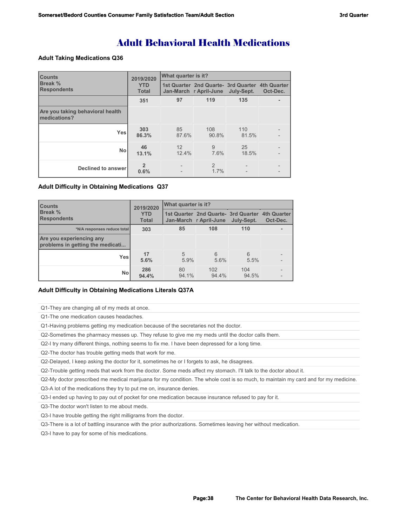# Adult Behavioral Health Medications

#### **Adult Taking Medications Q36**

| <b>Counts</b>                                    | 2019/2020                  | What quarter is it? |                                                                           |              |          |  |
|--------------------------------------------------|----------------------------|---------------------|---------------------------------------------------------------------------|--------------|----------|--|
| <b>Break %</b><br><b>Respondents</b>             | <b>YTD</b><br><b>Total</b> |                     | 1st Quarter 2nd Quarte- 3rd Quarter 4th Quarter<br>Jan-March r April-June | July-Sept.   | Oct-Dec. |  |
|                                                  | 351                        | 97                  | 119                                                                       | 135          |          |  |
| Are you taking behavioral health<br>medications? |                            |                     |                                                                           |              |          |  |
| <b>Yes</b>                                       | 303<br>86.3%               | 85<br>87.6%         | 108<br>90.8%                                                              | 110<br>81.5% |          |  |
| <b>No</b>                                        | 46<br>13.1%                | 12<br>12.4%         | 9<br>7.6%                                                                 | 25<br>18.5%  |          |  |
| Declined to answer                               | $\overline{2}$<br>0.6%     |                     | $\mathfrak{D}$<br>1.7%                                                    |              |          |  |

#### **Adult Difficulty in Obtaining Medications Q37**

| <b>Counts</b>                                                | 2019/2020                  | What quarter is it? |                                                                          |              |                         |  |
|--------------------------------------------------------------|----------------------------|---------------------|--------------------------------------------------------------------------|--------------|-------------------------|--|
| <b>Break %</b><br><b>Respondents</b>                         | <b>YTD</b><br><b>Total</b> |                     | 1st Quarter 2nd Quarte- 3rd Quarter<br>Jan-March r April-June July-Sept. |              | 4th Quarter<br>Oct-Dec. |  |
| *N/A responses reduce total                                  | 303                        | 85                  | 108                                                                      | 110          |                         |  |
| Are you experiencing any<br>problems in getting the medicati |                            |                     |                                                                          |              |                         |  |
| Yesl                                                         | 17<br>5.6%                 | 5<br>5.9%           | 6<br>5.6%                                                                | 6<br>5.5%    |                         |  |
| <b>No</b>                                                    | 286<br>94.4%               | 80<br>94.1%         | 102<br>94.4%                                                             | 104<br>94.5% |                         |  |

#### **Adult Difficulty in Obtaining Medications Literals Q37A**

Q1-They are changing all of my meds at once.

Q1-The one medication causes headaches.

Q1-Having problems getting my medication because of the secretaries not the doctor.

Q2-Sometimes the pharmacy messes up. They refuse to give me my meds until the doctor calls them.

Q2-I try many different things, nothing seems to fix me. I have been depressed for a long time.

Q2-The doctor has trouble getting meds that work for me.

Q2-Delayed, I keep asking the doctor for it, sometimes he or I forgets to ask, he disagrees.

Q2-Trouble getting meds that work from the doctor. Some meds affect my stomach. I'll talk to the doctor about it.

Q2-My doctor prescribed me medical marijuana for my condition. The whole cost is so much, to maintain my card and for my medicine.

Q3-A lot of the medications they try to put me on, insurance denies.

Q3-I ended up having to pay out of pocket for one medication because insurance refused to pay for it.

Q3-The doctor won't listen to me about meds.

Q3-I have trouble getting the right milligrams from the doctor.

Q3-There is a lot of battling insurance with the prior authorizations. Sometimes leaving her without medication.

Q3-I have to pay for some of his medications.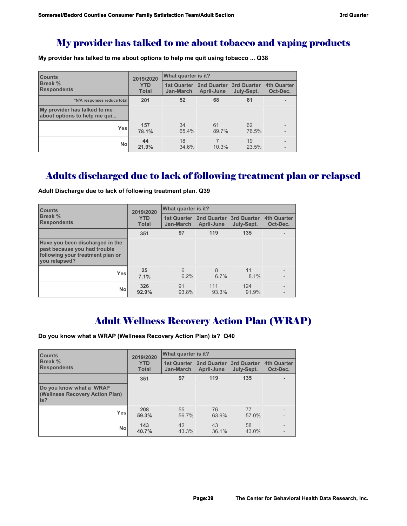## My provider has talked to me about tobacco and vaping products

**My provider has talked to me about options to help me quit using tobacco ... Q38**

| <b>Counts</b>                                                | 2019/2020                  | What quarter is it?             |                                       |             |                                |  |
|--------------------------------------------------------------|----------------------------|---------------------------------|---------------------------------------|-------------|--------------------------------|--|
| Break %<br><b>Respondents</b>                                | <b>YTD</b><br><b>Total</b> | <b>1st Quarter</b><br>Jan-March | 2nd Quarter 3rd Quarter<br>April-June |             | <b>4th Quarter</b><br>Oct-Dec. |  |
| *N/A responses reduce total                                  | 201                        | 52                              | 68                                    | 81          |                                |  |
| My provider has talked to me<br>about options to help me qui |                            |                                 |                                       |             |                                |  |
| <b>Yes</b>                                                   | 157<br>78.1%               | 34<br>65.4%                     | 61<br>89.7%                           | 62<br>76.5% |                                |  |
| No                                                           | 44<br>21.9%                | 18<br>34.6%                     | 10.3%                                 | 19<br>23.5% |                                |  |

# Adults discharged due to lack of following treatment plan or relapsed

| <b>Counts</b>                                                                                                        | 2019/2020                  | What quarter is it?             |                           |                                  |                                |  |
|----------------------------------------------------------------------------------------------------------------------|----------------------------|---------------------------------|---------------------------|----------------------------------|--------------------------------|--|
| Break %<br><b>Respondents</b>                                                                                        | <b>YTD</b><br><b>Total</b> | <b>1st Quarter</b><br>Jan-March | 2nd Quarter<br>April-June | <b>3rd Quarter</b><br>July-Sept. | <b>4th Quarter</b><br>Oct-Dec. |  |
|                                                                                                                      | 351                        | 97                              | 119                       | 135                              |                                |  |
| Have you been discharged in the<br>past because you had trouble<br>following your treatment plan or<br>vou relapsed? |                            |                                 |                           |                                  |                                |  |
| <b>Yes</b>                                                                                                           | 25<br>7.1%                 | 6<br>6.2%                       | 8<br>6.7%                 | 11<br>8.1%                       |                                |  |
| <b>No</b>                                                                                                            | 326<br>92.9%               | 91<br>93.8%                     | 111<br>93.3%              | 124<br>91.9%                     |                                |  |

**Adult Discharge due to lack of following treatment plan. Q39** 

# Adult Wellness Recovery Action Plan (WRAP)

**Do you know what a WRAP (Wellness Recovery Action Plan) is? Q40**

| <b>Counts</b>                                                      | 2019/2020                  | What quarter is it?                    |                                         |                           |                                |  |
|--------------------------------------------------------------------|----------------------------|----------------------------------------|-----------------------------------------|---------------------------|--------------------------------|--|
| <b>Break</b> %<br><b>Respondents</b>                               | <b>YTD</b><br><b>Total</b> | <b>1st Quarter</b><br><b>Jan-March</b> | <b>2nd Quarter</b><br><b>April-June</b> | 3rd Quarter<br>July-Sept. | <b>4th Quarter</b><br>Oct-Dec. |  |
|                                                                    | 351                        | 97                                     | 119                                     | 135                       |                                |  |
| Do you know what a WRAP<br>(Wellness Recovery Action Plan)<br>lis? |                            |                                        |                                         |                           |                                |  |
| <b>Yes</b>                                                         | 208<br>59.3%               | 55<br>56.7%                            | 76<br>63.9%                             | 77<br>57.0%               |                                |  |
| No                                                                 | 143<br>40.7%               | 42<br>43.3%                            | 43<br>36.1%                             | 58<br>43.0%               |                                |  |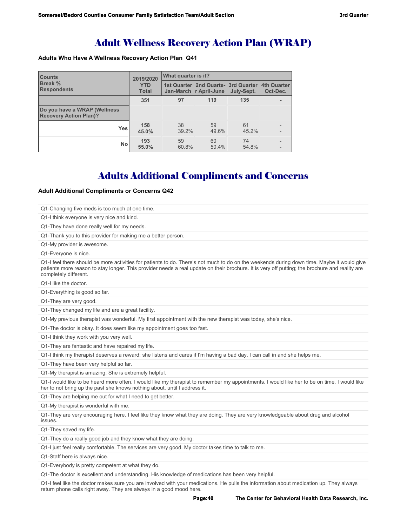## Adult Wellness Recovery Action Plan (WRAP)

#### **Adults Who Have A Wellness Recovery Action Plan Q41**

| <b>Counts</b>                                                 | 2019/2020                  | What quarter is it?                                                        |             |             |          |  |
|---------------------------------------------------------------|----------------------------|----------------------------------------------------------------------------|-------------|-------------|----------|--|
| <b>Break %</b><br><b>Respondents</b>                          | <b>YTD</b><br><b>Total</b> | 1st Quarter 2nd Quarte - 3rd Quarter 4th Quarter<br>Jan-March r April-June |             | July-Sept.  | Oct-Dec. |  |
|                                                               | 351                        | 97                                                                         | 119         | 135         |          |  |
| Do you have a WRAP (Wellness<br><b>Recovery Action Plan)?</b> |                            |                                                                            |             |             |          |  |
| <b>Yes</b>                                                    | 158<br>45.0%               | 38<br>39.2%                                                                | 59<br>49.6% | 61<br>45.2% |          |  |
| <b>No</b>                                                     | 193<br>55.0%               | 59<br>60.8%                                                                | 60<br>50.4% | 74<br>54.8% |          |  |

# Adults Additional Compliments and Concerns

#### **Adult Additional Compliments or Concerns Q42**

| Q1-Changing five meds is too much at one time.                                                     |                                                                                                                                                                                                                                                                                              |
|----------------------------------------------------------------------------------------------------|----------------------------------------------------------------------------------------------------------------------------------------------------------------------------------------------------------------------------------------------------------------------------------------------|
| Q1-I think everyone is very nice and kind.                                                         |                                                                                                                                                                                                                                                                                              |
| Q1-They have done really well for my needs.                                                        |                                                                                                                                                                                                                                                                                              |
| Q1-Thank you to this provider for making me a better person.                                       |                                                                                                                                                                                                                                                                                              |
| Q1-My provider is awesome.                                                                         |                                                                                                                                                                                                                                                                                              |
| Q1-Everyone is nice.                                                                               |                                                                                                                                                                                                                                                                                              |
| completely different.                                                                              | Q1-I feel there should be more activities for patients to do. There's not much to do on the weekends during down time. Maybe it would give<br>patients more reason to stay longer. This provider needs a real update on their brochure. It is very off putting; the brochure and reality are |
| Q1-I like the doctor.                                                                              |                                                                                                                                                                                                                                                                                              |
| Q1-Everything is good so far.                                                                      |                                                                                                                                                                                                                                                                                              |
| Q1-They are very good.                                                                             |                                                                                                                                                                                                                                                                                              |
| Q1-They changed my life and are a great facility.                                                  |                                                                                                                                                                                                                                                                                              |
|                                                                                                    | Q1-My previous therapist was wonderful. My first appointment with the new therapist was today, she's nice.                                                                                                                                                                                   |
| Q1-The doctor is okay. It does seem like my appointment goes too fast.                             |                                                                                                                                                                                                                                                                                              |
| Q1-I think they work with you very well.                                                           |                                                                                                                                                                                                                                                                                              |
| Q1-They are fantastic and have repaired my life.                                                   |                                                                                                                                                                                                                                                                                              |
|                                                                                                    | Q1-I think my therapist deserves a reward; she listens and cares if I'm having a bad day. I can call in and she helps me.                                                                                                                                                                    |
| Q1-They have been very helpful so far.                                                             |                                                                                                                                                                                                                                                                                              |
| Q1-My therapist is amazing. She is extremely helpful.                                              |                                                                                                                                                                                                                                                                                              |
| her to not bring up the past she knows nothing about, until I address it.                          | Q1-I would like to be heard more often. I would like my therapist to remember my appointments. I would like her to be on time. I would like                                                                                                                                                  |
| Q1-They are helping me out for what I need to get better.                                          |                                                                                                                                                                                                                                                                                              |
| Q1-My therapist is wonderful with me.                                                              |                                                                                                                                                                                                                                                                                              |
| issues.                                                                                            | Q1-They are very encouraging here. I feel like they know what they are doing. They are very knowledgeable about drug and alcohol                                                                                                                                                             |
| Q1-They saved my life.                                                                             |                                                                                                                                                                                                                                                                                              |
| Q1-They do a really good job and they know what they are doing.                                    |                                                                                                                                                                                                                                                                                              |
| Q1-I just feel really comfortable. The services are very good. My doctor takes time to talk to me. |                                                                                                                                                                                                                                                                                              |
| Q1-Staff here is always nice.                                                                      |                                                                                                                                                                                                                                                                                              |
| Q1-Everybody is pretty competent at what they do.                                                  |                                                                                                                                                                                                                                                                                              |
| Q1-The doctor is excellent and understanding. His knowledge of medications has been very helpful.  |                                                                                                                                                                                                                                                                                              |
| return phone calls right away. They are always in a good mood here.                                | Q1-I feel like the doctor makes sure you are involved with your medications. He pulls the information about medication up. They always                                                                                                                                                       |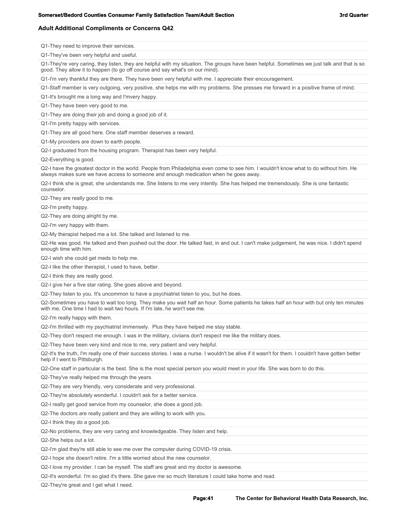#### **Adult Additional Compliments or Concerns Q42**

**Page:41 Page:41 The Center for Behavioral Health Data Research, Inc.**  Q1-They need to improve their services. Q1-They've been very helpful and useful. Q1-They're very caring, they listen, they are helpful with my situation. The groups have been helpful. Sometimes we just talk and that is so good. They allow it to happen (to go off course and say what's on our mind). Q1-I'm very thankful they are there. They have been very helpful with me. I appreciate their encouragement. Q1-Staff member is very outgoing, very positive, she helps me with my problems. She presses me forward in a positive frame of mind. Q1-It's brought me a long way and I'mvery happy. Q1-They have been very good to me. Q1-They are doing their job and doing a good job of it. Q1-I'm pretty happy with services. Q1-They are all good here. One staff member deserves a reward. Q1-My providers are down to earth people. Q2-I graduated from the housing program. Therapist has been very helpful. Q2-Everything is good. Q2-I have the greatest doctor in the world. People from Philadelphia even come to see him. I wouldn't know what to do without him. He always makes sure we have access to someone and enough medication when he goes away. Q2-I think she is great, she understands me. She listens to me very intently. She has helped me tremendously. She is one fantastic counselor. Q2-They are really good to me. Q2-I'm pretty happy. Q2-They are doing alright by me. Q2-I'm very happy with them. Q2-My therapist helped me a lot. She talked and listened to me. Q2-He was good. He talked and then pushed out the door. He talked fast, in and out. I can't make judgement, he was nice. I didn't spend enough time with him. Q2-I wish she could get meds to help me. Q2-I like the other therapist, I used to have, better. Q2-I think they are really good. Q2-I give her a five star rating. She goes above and beyond. Q2-They listen to you. It's uncommon to have a psychiatrist listen to you, but he does. Q2-Sometimes you have to wait too long. They make you wait half an hour. Some patients he takes half an hour with but only ten minutes with me. One time I had to wait two hours. If I'm late, he won't see me. Q2-I'm really happy with them. Q2-I'm thrilled with my psychiatrist immensely. Plus they have helped me stay stable. Q2-They don't respect me enough. I was in the military, civiians don't respect me like the military does. Q2-They have been very kind and nice to me, very patient and very helpful. Q2-It's the truth, I'm really one of their success stories. I was a nurse. I wouldn't be alive if it wasn't for them. I couldn't have gotten better help if I went to Pittsburgh. Q2-One staff in particular is the best. She is the most special person you would meet in your life. She was born to do this. Q2-They've really helped me through the years. Q2-They are very friendly, very considerate and very professional. Q2-They're absolutely wonderful. I couldn't ask for a better service. Q2-I really get good service from my counselor, she does a good job. Q2-The doctors are really patient and they are willing to work with you. Q2-I think they do a good job. Q2-No problems, they are very caring and knowledgeable. They listen and help. Q2-She helps out a lot. Q2-I'm glad they're still able to see me over the computer during COVID-19 crisis. Q2-I hope she doesn't retire. I'm a little worried about the new counselor. Q2-I love my provider. I can be myself. The staff are great and my doctor is awesome. Q2-It's wonderful. I'm so glad it's there. She gave me so much literature I could take home and read. Q2-They're great and I get what I need.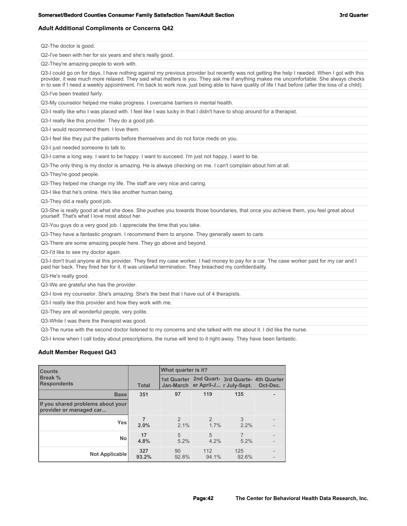#### **Adult Additional Compliments or Concerns Q42**

Q2-The doctor is good.

Q2-I've been with her for six years and she's really good.

Q2-They're amazing people to work with.

Q3-I could go on for days, I have nothing against my previous provider but recently was not getting the help I needed. When I got with this provider, it was much more relaxed. They said what matters is you. They ask me if anything makes me uncomfortable. She always checks in to see if I need a weekly appointment. I'm back to work now, just being able to have quality of life I had before (after the loss of a child).

Q3-I've been treated fairly.

Q3-My counselor helped me make progress. I overcame barriers in mental health.

Q3-I really like who I was placed with. I feel like I was lucky in that I didn't have to shop around for a therapist.

Q3-I really like this provider. They do a good job.

Q3-I would recommend them. I love them.

Q3-I feel like they put the patients before themselves and do not force meds on you.

Q3-I just needed someone to talk to.

Q3-I came a long way. I want to be happy. I want to succeed. I'm just not happy, I want to be.

Q3-The only thing is my doctor is amazing. He is always checking on me. I can't complain about him at all.

Q3-They're good people.

Q3-They helped me change my life. The staff are very nice and caring.

Q3-I like that he's online. He's like another human being.

Q3-They did a really good job.

Q3-She is really good at what she does. She pushes you towards those boundaries, that once you achieve them, you feel great about yourself. That's what I love most about her.

Q3-You guys do a very good job. I appreciate the time that you take.

Q3-They have a fantastic program. I recommend them to anyone. They generally seem to care.

Q3-There are some amazing people here. They go above and beyond.

Q3-I'd like to see my doctor again.

Q3-I don't trust anyone at this provider. They fired my case worker. I had money to pay for a car. The case worker paid for my car and I paid her back. They fired her for it. It was unlawful termination. They breached my confidentiality.

Q3-He's really good.

Q3-We are grateful she has the provider.

Q3-I love my counselor. She's amazing. She's the best that I have out of 4 therapists.

Q3-I really like this provider and how they work with me.

Q3-They are all wonderful people, very polite.

Q3-While I was there the therapist was good.

Q3-The nurse with the second doctor listened to my concerns and she talked with me about it. I did like the nurse.

Q3-I know when I call today about prescriptions, the nurse will tend to it right away. They have been fantastic.

#### **Adult Member Request Q43**

| <b>Counts</b>                                                |              | What quarter is it?   |                       |                                                                                     |          |  |
|--------------------------------------------------------------|--------------|-----------------------|-----------------------|-------------------------------------------------------------------------------------|----------|--|
| <b>Break %</b><br><b>Respondents</b>                         | <b>Total</b> |                       |                       | 1st Quarter 2nd Quart- 3rd Quarte- 4th Quarter<br>Jan-March er April-J r July-Sept. | Oct-Dec. |  |
| <b>Base</b>                                                  | 351          | 97                    | 119                   | 135                                                                                 |          |  |
| If you shared problems about your<br>provider or managed car |              |                       |                       |                                                                                     |          |  |
| <b>Yes</b>                                                   | 2.0%         | $\mathcal{P}$<br>2.1% | $\mathcal{P}$<br>1.7% | 3<br>2.2%                                                                           |          |  |
| <b>No</b>                                                    | 17<br>4.8%   | 5<br>5.2%             | 5<br>4.2%             | 7<br>5.2%                                                                           |          |  |
| Not Applicable                                               | 327<br>93.2% | 90<br>92.8%           | 112<br>94.1%          | 125<br>92.6%                                                                        |          |  |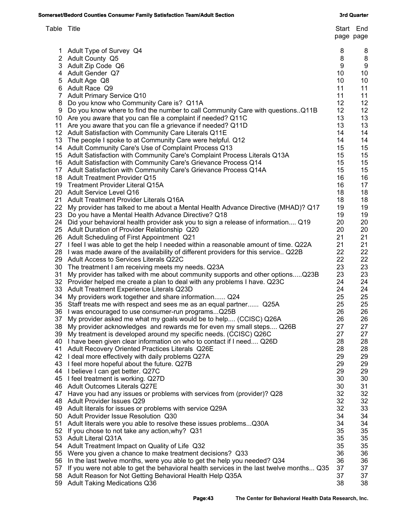| Table Title |                                                                                                                                                      | page page | Start End |
|-------------|------------------------------------------------------------------------------------------------------------------------------------------------------|-----------|-----------|
|             | 1 Adult Type of Survey Q4                                                                                                                            | 8         | 8         |
|             | 2 Adult County Q5                                                                                                                                    | 8         | 8         |
|             | 3 Adult Zip Code Q6                                                                                                                                  | 9         | 9         |
|             | 4 Adult Gender Q7                                                                                                                                    | 10        | 10        |
|             | 5 Adult Age Q8                                                                                                                                       | 10        | 10        |
|             | 6 Adult Race Q9                                                                                                                                      | 11        | 11        |
|             | 7 Adult Primary Service Q10                                                                                                                          | 11        | 11        |
|             | 8 Do you know who Community Care is? Q11A                                                                                                            | 12<br>12  | 12<br>12  |
|             | 9 Do you know where to find the number to call Community Care with questions. Q11B<br>10 Are you aware that you can file a complaint if needed? Q11C | 13        | 13        |
|             | 11 Are you aware that you can file a grievance if needed? Q11D                                                                                       | 13        | 13        |
|             | 12 Adult Satisfaction with Community Care Literals Q11E                                                                                              | 14        | 14        |
|             | 13 The people I spoke to at Community Care were helpful. Q12                                                                                         | 14        | 14        |
|             | 14 Adult Community Care's Use of Complaint Process Q13                                                                                               | 15        | 15        |
|             | 15 Adult Satisfaction with Community Care's Complaint Process Literals Q13A                                                                          | 15        | 15        |
|             | 16 Adult Satisfaction with Community Care's Grievance Process Q14                                                                                    | 15        | 15        |
|             | 17 Adult Satisfaction with Community Care's Grievance Process Q14A                                                                                   | 15        | 15        |
|             | 18 Adult Treatment Provider Q15                                                                                                                      | 16        | 16        |
|             | 19 Treatment Provider Literal Q15A                                                                                                                   | 16        | 17        |
|             | 20 Adult Service Level Q16                                                                                                                           | 18        | 18        |
|             | 21 Adult Treatment Provider Literals Q16A                                                                                                            | 18        | 18        |
|             | 22 My provider has talked to me about a Mental Health Advance Directive (MHAD)? Q17                                                                  | 19        | 19        |
|             | 23 Do you have a Mental Health Advance Directive? Q18                                                                                                | 19        | 19        |
|             | 24 Did your behavioral health provider ask you to sign a release of information Q19                                                                  | 20        | 20        |
|             | 25 Adult Duration of Provider Relationship Q20                                                                                                       | 20        | 20        |
|             | 26 Adult Scheduling of First Appointment Q21                                                                                                         | 21        | 21        |
|             | 27 I feel I was able to get the help I needed within a reasonable amount of time. Q22A                                                               | 21        | 21        |
|             | 28 I was made aware of the availability of different providers for this service Q22B                                                                 | 22        | 22        |
|             | 29 Adult Access to Services Literals Q22C                                                                                                            | 22        | 22        |
|             | 30 The treatment I am receiving meets my needs. Q23A                                                                                                 | 23        | 23        |
|             | 31 My provider has talked with me about community supports and other optionsQ23B                                                                     | 23        | 23        |
|             | 32 Provider helped me create a plan to deal with any problems I have. Q23C                                                                           | 24        | 24        |
|             | 33 Adult Treatment Experience Literals Q23D                                                                                                          | 24        | 24        |
|             | 34 My providers work together and share information Q24                                                                                              | 25        | 25        |
|             | 35 Staff treats me with respect and sees me as an equal partner Q25A                                                                                 | 25        | 25        |
|             | 36 I was encouraged to use consumer-run programsQ25B                                                                                                 | 26<br>26  | 26<br>26  |
| 37          | My provider asked me what my goals would be to help (CCISC) Q26A<br>38 My provider acknowledges and rewards me for even my small steps Q26B          | 27        | 27        |
|             | 39 My treatment is developed around my specific needs. (CCISC) Q26C                                                                                  | 27        | 27        |
|             | 40 I have been given clear information on who to contact if I need Q26D                                                                              | 28        | 28        |
| 41          | <b>Adult Recovery Oriented Practices Literals Q26E</b>                                                                                               | 28        | 28        |
|             | 42 I deal more effectively with daily problems Q27A                                                                                                  | 29        | 29        |
|             | 43 I feel more hopeful about the future. Q27B                                                                                                        | 29        | 29        |
|             | 44 I believe I can get better. Q27C                                                                                                                  | 29        | 29        |
|             | 45 I feel treatment is working. Q27D                                                                                                                 | 30        | 30        |
|             | 46 Adult Outcomes Literals Q27E                                                                                                                      | 30        | 31        |
|             | 47 Have you had any issues or problems with services from (provider)? Q28                                                                            | 32        | 32        |
|             | 48 Adult Provider Issues Q29                                                                                                                         | 32        | 32        |
|             | 49 Adult literals for issues or problems with service Q29A                                                                                           | 32        | 33        |
|             | 50 Adult Provider Issue Resolution Q30                                                                                                               | 34        | 34        |
| 51          | Adult literals were you able to resolve these issues problemsQ30A                                                                                    | 34        | 34        |
|             | 52 If you chose to not take any action, why? Q31                                                                                                     | 35        | 35        |
|             | 53 Adult Literal Q31A                                                                                                                                | 35        | 35        |
|             | 54 Adult Treatment Impact on Quality of Life Q32                                                                                                     | 35        | 35        |
|             | 55 Were you given a chance to make treatment decisions? Q33                                                                                          | 36        | 36        |
| 56          | In the last twelve months, were you able to get the help you needed? Q34                                                                             | 36        | 36        |
| 57          | If you were not able to get the behavioral health services in the last twelve months Q35                                                             | 37        | 37        |
|             | 58 Adult Reason for Not Getting Behavioral Health Help Q35A                                                                                          | 37        | 37        |
| 59          | <b>Adult Taking Medications Q36</b>                                                                                                                  | 38        | 38        |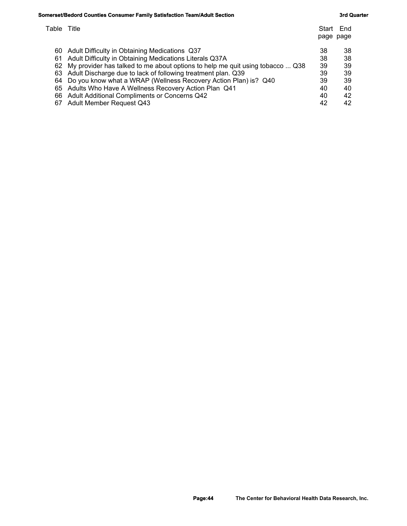### **Somerset/Bedord Counties Consumer Family Satisfaction Team/Adult Section <b>3 Section** 3rd Quarter 3rd Quarter

| Table Title |                                                                               | Start<br>page page | End |
|-------------|-------------------------------------------------------------------------------|--------------------|-----|
| 60          | Adult Difficulty in Obtaining Medications Q37                                 | 38                 | 38  |
| 61          | Adult Difficulty in Obtaining Medications Literals Q37A                       | 38                 | 38  |
| 62          | My provider has talked to me about options to help me quit using tobacco  Q38 | 39                 | 39  |
|             | 63 Adult Discharge due to lack of following treatment plan. Q39               | 39                 | -39 |
|             | 64 Do you know what a WRAP (Wellness Recovery Action Plan) is? Q40            | 39                 | -39 |
|             | 65 Adults Who Have A Wellness Recovery Action Plan Q41                        | 40                 | 40  |
|             | 66 Adult Additional Compliments or Concerns Q42                               | 40                 | 42  |
|             | 67 Adult Member Request Q43                                                   | 42                 | 42  |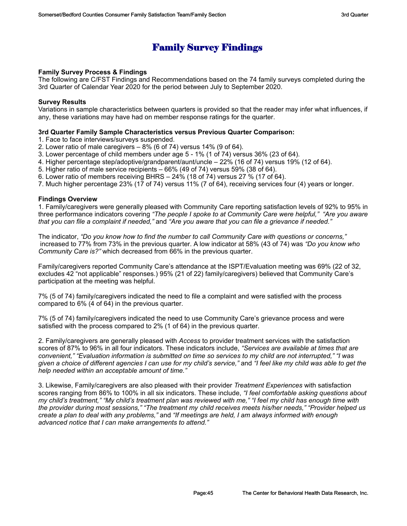# **Family Survey Findings**

#### **Family Survey Process & Findings**

The following are C/FST Findings and Recommendations based on the 74 family surveys completed during the 3rd Quarter of Calendar Year 2020 for the period between July to September 2020.

#### **Survey Results**

Variations in sample characteristics between quarters is provided so that the reader may infer what influences, if any, these variations may have had on member response ratings for the quarter.

#### **3rd Quarter Family Sample Characteristics versus Previous Quarter Comparison:**

1. Face to face interviews/surveys suspended.

- 2. Lower ratio of male caregivers 8% (6 of 74) versus 14% (9 of 64).
- 3. Lower percentage of child members under age 5 1% (1 of 74) versus 36% (23 of 64).
- 4. Higher percentage step/adoptive/grandparent/aunt/uncle 22% (16 of 74) versus 19% (12 of 64).
- 5. Higher ratio of male service recipients 66% (49 of 74) versus 59% (38 of 64).
- 6. Lower ratio of members receiving BHRS 24% (18 of 74) versus 27 % (17 of 64).
- 7. Much higher percentage 23% (17 of 74) versus 11% (7 of 64), receiving services four (4) years or longer.

#### **Findings Overview**

1. Family/caregivers were generally pleased with Community Care reporting satisfaction levels of 92% to 95% in three performance indicators covering *"The people I spoke to at Community Care were helpful," "Are you aware that you can file a complaint if needed,"* and *"Are you aware that you can file a grievance if needed."* 

The indicator, *"Do you know how to find the number to call Community Care with questions or concerns,"* increased to 77% from 73% in the previous quarter. A low indicator at 58% (43 of 74) was *"Do you know who Community Care is?"* which decreased from 66% in the previous quarter.

Family/caregivers reported Community Care's attendance at the ISPT/Evaluation meeting was 69% (22 of 32, excludes 42 "not applicable" responses.) 95% (21 of 22) family/caregivers) believed that Community Care's participation at the meeting was helpful.

7% (5 of 74) family/caregivers indicated the need to file a complaint and were satisfied with the process compared to 6% (4 of 64) in the previous quarter.

7% (5 of 74) family/caregivers indicated the need to use Community Care's grievance process and were satisfied with the process compared to 2% (1 of 64) in the previous quarter.

2. Family/caregivers are generally pleased with *Access* to provider treatment services with the satisfaction scores of 87% to 96% in all four indicators. These indicators include, *"Services are available at times that are convenient," "Evaluation information is submitted on time so services to my child are not interrupted," "I was given a choice of different agencies I can use for my child's service,"* and *"I feel like my child was able to get the help needed within an acceptable amount of time."*

3. Likewise, Family/caregivers are also pleased with their provider *Treatment Experiences* with satisfaction scores ranging from 86% to 100% in all six indicators. These include, *"I feel comfortable asking questions about my child's treatment," "My child's treatment plan was reviewed with me," "I feel my child has enough time with the provider during most sessions," "The treatment my child receives meets his/her needs," "Provider helped us create a plan to deal with any problems,"* and *"If meetings are held, I am always informed with enough advanced notice that I can make arrangements to attend."*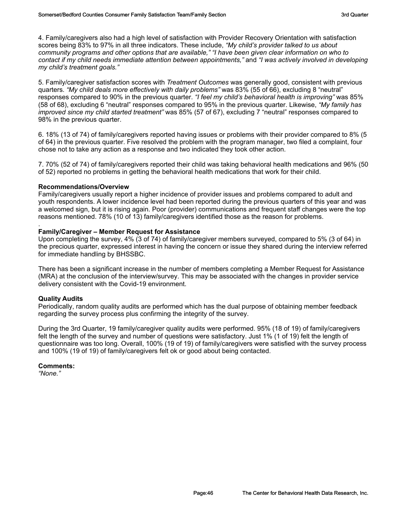4. Family/caregivers also had a high level of satisfaction with Provider Recovery Orientation with satisfaction scores being 83% to 97% in all three indicators. These include, *"My child's provider talked to us about community programs and other options that are available," "I have been given clear information on who to contact if my child needs immediate attention between appointments,"* and *"I was actively involved in developing my child's treatment goals."*

5. Family/caregiver satisfaction scores with *Treatment Outcomes* was generally good, consistent with previous quarters. *"My child deals more effectively with daily problems"* was 83% (55 of 66), excluding 8 "neutral" responses compared to 90% in the previous quarter. *"I feel my child's behavioral health is improving"* was 85% (58 of 68), excluding 6 "neutral" responses compared to 95% in the previous quarter. Likewise, *"My family has improved since my child started treatment"* was 85% (57 of 67), excluding 7 "neutral" responses compared to 98% in the previous quarter.

6. 18% (13 of 74) of family/caregivers reported having issues or problems with their provider compared to 8% (5 of 64) in the previous quarter. Five resolved the problem with the program manager, two filed a complaint, four chose not to take any action as a response and two indicated they took other action.

7. 70% (52 of 74) of family/caregivers reported their child was taking behavioral health medications and 96% (50 of 52) reported no problems in getting the behavioral health medications that work for their child.

#### **Recommendations/Overview**

Family/caregivers usually report a higher incidence of provider issues and problems compared to adult and youth respondents. A lower incidence level had been reported during the previous quarters of this year and was a welcomed sign, but it is rising again. Poor (provider) communications and frequent staff changes were the top reasons mentioned. 78% (10 of 13) family/caregivers identified those as the reason for problems.

#### **Family/Caregiver – Member Request for Assistance**

Upon completing the survey, 4% (3 of 74) of family/caregiver members surveyed, compared to 5% (3 of 64) in the precious quarter, expressed interest in having the concern or issue they shared during the interview referred for immediate handling by BHSSBC.

There has been a significant increase in the number of members completing a Member Request for Assistance (MRA) at the conclusion of the interview/survey. This may be associated with the changes in provider service delivery consistent with the Covid-19 environment.

#### **Quality Audits**

.

Periodically, random quality audits are performed which has the dual purpose of obtaining member feedback regarding the survey process plus confirming the integrity of the survey.

During the 3rd Quarter, 19 family/caregiver quality audits were performed. 95% (18 of 19) of family/caregivers felt the length of the survey and number of questions were satisfactory. Just 1% (1 of 19) felt the length of questionnaire was too long. Overall, 100% (19 of 19) of family/caregivers were satisfied with the survey process and 100% (19 of 19) of family/caregivers felt ok or good about being contacted.

#### **Comments:**

*"None."*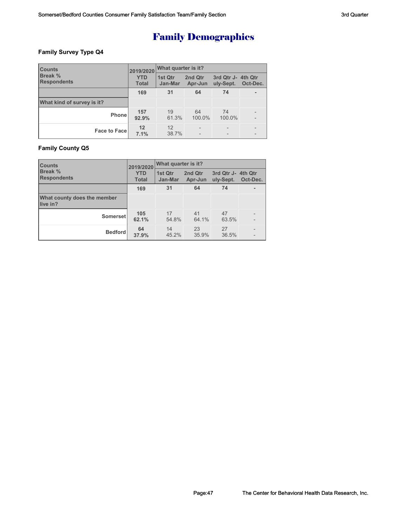## **Family Survey Type Q4**

| <b>Counts</b>                        | 2019/2020                  | <b>What quarter is it?</b> |                    |                                 |          |  |
|--------------------------------------|----------------------------|----------------------------|--------------------|---------------------------------|----------|--|
| <b>Break %</b><br><b>Respondents</b> | <b>YTD</b><br><b>Total</b> | 1st Qtr<br>Jan-Mar         | 2nd Qtr<br>Apr-Jun | 3rd Qtr J- 4th Qtr<br>uly-Sept. | Oct-Dec. |  |
|                                      | 169                        | 31                         | 64                 | 74                              |          |  |
| What kind of survey is it?           |                            |                            |                    |                                 |          |  |
| Phone                                | 157<br>92.9%               | 19<br>61.3%                | 64<br>100.0%       | 74<br>100.0%                    |          |  |
| <b>Face to Facel</b>                 | 12<br>7.1%                 | 12<br>38.7%                |                    |                                 |          |  |

### **Family County Q5**

| <b>Counts</b>                           | 2019/2020                  | What quarter is it? |                    |                                 |          |  |
|-----------------------------------------|----------------------------|---------------------|--------------------|---------------------------------|----------|--|
| <b>Break</b> %<br><b>Respondents</b>    | <b>YTD</b><br><b>Total</b> | 1st Qtr<br>Jan-Mar  | 2nd Qtr<br>Apr-Jun | 3rd Qtr J- 4th Qtr<br>uly-Sept. | Oct-Dec. |  |
|                                         | 169                        | 31                  | 64                 | 74                              |          |  |
| What county does the member<br>live in? |                            |                     |                    |                                 |          |  |
| Somerset                                | 105<br>62.1%               | 17<br>54.8%         | 41<br>64.1%        | 47<br>63.5%                     |          |  |
| <b>Bedford</b>                          | 64<br>37.9%                | 14<br>45.2%         | 23<br>35.9%        | 27<br>36.5%                     |          |  |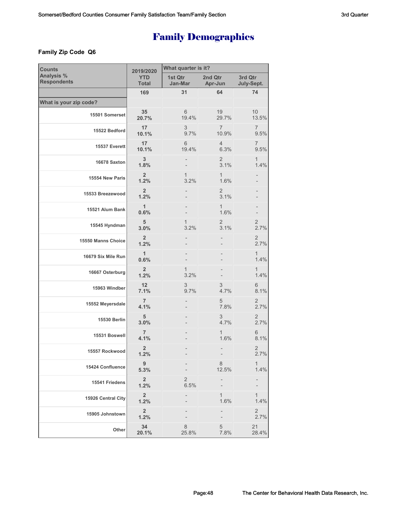### **Family Zip Code Q6**

| <b>Counts</b>                    | 2019/2020                       | What quarter is it?    |                         |                          |  |  |  |
|----------------------------------|---------------------------------|------------------------|-------------------------|--------------------------|--|--|--|
| Analysis %<br><b>Respondents</b> | <b>YTD</b><br><b>Total</b>      | 1st Qtr<br>Jan-Mar     | 2nd Qtr<br>Apr-Jun      | 3rd Qtr<br>July-Sept.    |  |  |  |
|                                  | 169                             | 31                     | 64                      | 74                       |  |  |  |
| What is your zip code?           |                                 |                        |                         |                          |  |  |  |
| 15501 Somerset                   | 35<br>20.7%                     | 6<br>19.4%             | 19<br>29.7%             | 10 <sup>1</sup><br>13.5% |  |  |  |
| 15522 Bedford                    | 17<br>10.1%                     | 3<br>9.7%              | $\overline{7}$<br>10.9% | 7<br>9.5%                |  |  |  |
| 15537 Everett                    | 17<br>10.1%                     | 6<br>19.4%             | $\overline{4}$<br>6.3%  | 7<br>9.5%                |  |  |  |
| 16678 Saxton                     | 3<br>1.8%                       |                        | 2<br>3.1%               | 1<br>1.4%                |  |  |  |
| 15554 New Paris                  | $\overline{2}$<br>1.2%          | 1<br>3.2%              | $\mathbf{1}$<br>1.6%    |                          |  |  |  |
| 15533 Breezewood                 | $\overline{2}$<br>1.2%          |                        | $\overline{2}$<br>3.1%  |                          |  |  |  |
| 15521 Alum Bank                  | $\mathbf{1}$<br>0.6%            |                        | $\mathbf{1}$<br>1.6%    |                          |  |  |  |
| 15545 Hyndman                    | 5<br>3.0%                       | 1<br>3.2%              | $\overline{2}$<br>3.1%  | $\overline{2}$<br>2.7%   |  |  |  |
| 15550 Manns Choice               | $\overline{2}$<br>1.2%          |                        |                         | $\overline{2}$<br>2.7%   |  |  |  |
| 16679 Six Mile Run               | $\overline{1}$<br>0.6%          |                        |                         | 1<br>1.4%                |  |  |  |
| 16667 Osterburg                  | $\overline{2}$<br>1.2%          | 1<br>3.2%              |                         | 1<br>1.4%                |  |  |  |
| 15963 Windber                    | 12<br>7.1%                      | 3<br>9.7%              | 3<br>4.7%               | 6<br>8.1%                |  |  |  |
| 15552 Meyersdale                 | $\overline{7}$<br>4.1%          |                        | 5<br>7.8%               | $\overline{2}$<br>2.7%   |  |  |  |
| 15530 Berlin                     | 5<br>3.0%                       |                        | 3<br>4.7%               | 2<br>2.7%                |  |  |  |
| 15531 Boswell                    | $\overline{7}$<br>4.1%          |                        | 1<br>1.6%               | 6<br>8.1%                |  |  |  |
| 15557 Rockwood                   | $\overline{2}$<br>1.2%          |                        |                         | $\overline{2}$<br>2.7%   |  |  |  |
| 15424 Confluence                 | $9\,$<br>5.3%                   |                        | 8<br>12.5%              | 1<br>1.4%                |  |  |  |
| 15541 Friedens                   | $\overline{2}$<br>1.2%          | $\overline{2}$<br>6.5% |                         |                          |  |  |  |
| 15926 Central City               | $\mathbf 2$<br>1.2%             |                        | 1<br>1.6%               | 1<br>1.4%                |  |  |  |
| 15905 Johnstown                  | $\overline{\mathbf{2}}$<br>1.2% |                        |                         | $\overline{c}$<br>2.7%   |  |  |  |
| Other                            | 34<br>20.1%                     | 8<br>25.8%             | 5<br>7.8%               | 21<br>28.4%              |  |  |  |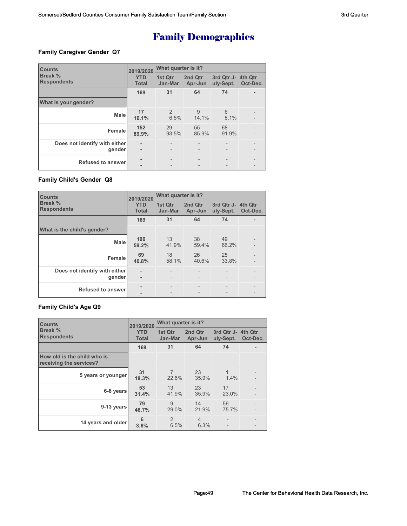### **Family Caregiver Gender Q7**

| <b>Counts</b>                           | 2019/2020                  | What quarter is it? |                          |                                 |          |  |
|-----------------------------------------|----------------------------|---------------------|--------------------------|---------------------------------|----------|--|
| Break %<br><b>Respondents</b>           | <b>YTD</b><br><b>Total</b> | 1st Qtr<br>Jan-Mar  | 2nd Qtr<br>Apr-Jun       | 3rd Qtr J- 4th Qtr<br>uly-Sept. | Oct-Dec. |  |
|                                         | 169                        | 31                  | 64                       | 74                              |          |  |
| What is your gender?                    |                            |                     |                          |                                 |          |  |
| <b>Male</b>                             | 17<br>10.1%                | 2<br>6.5%           | 9<br>14.1%               | 6<br>8.1%                       |          |  |
| Female                                  | 152<br>89.9%               | 29<br>93.5%         | 55<br>85.9%              | 68<br>91.9%                     |          |  |
| Does not identify with either<br>gender | ۰                          |                     | $\overline{\phantom{0}}$ |                                 |          |  |
| <b>Refused to answer</b>                |                            |                     |                          |                                 |          |  |

### **Family Child's Gender Q8**

| <b>Counts</b>                           | 2019/2020                  | What quarter is it?      |                    |                                 |          |  |
|-----------------------------------------|----------------------------|--------------------------|--------------------|---------------------------------|----------|--|
| Break %<br><b>Respondents</b>           | <b>YTD</b><br><b>Total</b> | 1st Qtr<br>Jan-Mar       | 2nd Qtr<br>Apr-Jun | 3rd Qtr J- 4th Qtr<br>uly-Sept. | Oct-Dec. |  |
|                                         | 169                        | 31                       | 64                 | 74                              |          |  |
| What is the child's gender?             |                            |                          |                    |                                 |          |  |
| <b>Male</b>                             | 100<br>59.2%               | 13<br>41.9%              | 38<br>59.4%        | 49<br>66.2%                     |          |  |
| Female                                  | 69<br>40.8%                | 18<br>58.1%              | 26<br>40.6%        | 25<br>33.8%                     |          |  |
| Does not identify with either<br>gender | ۰                          | $\overline{\phantom{0}}$ | $\overline{a}$     |                                 |          |  |
| <b>Refused to answer</b>                |                            |                          |                    |                                 |          |  |

### **Family Child's Age Q9**

| <b>Counts</b>                                          | 2019/2020                  | What quarter is it?     |                        |                                 |          |  |  |
|--------------------------------------------------------|----------------------------|-------------------------|------------------------|---------------------------------|----------|--|--|
| Break %<br><b>Respondents</b>                          | <b>YTD</b><br><b>Total</b> | 1st Qtr<br>Jan-Mar      | 2nd Qtr<br>Apr-Jun     | 3rd Qtr J- 4th Qtr<br>uly-Sept. | Oct-Dec. |  |  |
|                                                        | 169                        | 31                      | 64                     | 74                              |          |  |  |
| How old is the child who is<br>receiving the services? |                            |                         |                        |                                 |          |  |  |
| 5 years or younger                                     | 31<br>18.3%                | $\overline{7}$<br>22.6% | 23<br>35.9%            | 1<br>1.4%                       |          |  |  |
| 6-8 years                                              | 53<br>31.4%                | 13<br>41.9%             | 23<br>35.9%            | 17<br>23.0%                     |          |  |  |
| 9-13 years                                             | 79<br>46.7%                | 9<br>29.0%              | 14<br>21.9%            | 56<br>75.7%                     |          |  |  |
| 14 years and older                                     | 6<br>3.6%                  | 2<br>6.5%               | $\overline{4}$<br>6.3% |                                 |          |  |  |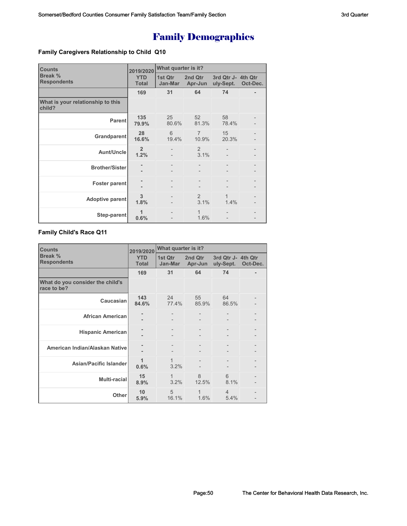### **Family Caregivers Relationship to Child Q10**

| <b>Counts</b>                               | 2019/2020                  | What quarter is it? |                         |                                 |          |  |
|---------------------------------------------|----------------------------|---------------------|-------------------------|---------------------------------|----------|--|
| Break %<br><b>Respondents</b>               | <b>YTD</b><br><b>Total</b> | 1st Qtr<br>Jan-Mar  | 2nd Qtr<br>Apr-Jun      | 3rd Qtr J- 4th Qtr<br>uly-Sept. | Oct-Dec. |  |
|                                             | 169                        | 31                  | 64                      | 74                              |          |  |
| What is your relationship to this<br>child? |                            |                     |                         |                                 |          |  |
| <b>Parent</b>                               | 135<br>79.9%               | 25<br>80.6%         | 52<br>81.3%             | 58<br>78.4%                     |          |  |
| Grandparent                                 | 28<br>16.6%                | 6<br>19.4%          | $\overline{7}$<br>10.9% | 15<br>20.3%                     |          |  |
| Aunt/Uncle                                  | $\overline{2}$<br>1.2%     |                     | 2<br>3.1%               |                                 |          |  |
| <b>Brother/Sister</b>                       |                            |                     |                         |                                 |          |  |
| <b>Foster parent</b>                        |                            |                     |                         |                                 |          |  |
| Adoptive parent                             | 3<br>1.8%                  |                     | 2<br>3.1%               | $\mathbf{1}$<br>1.4%            |          |  |
| Step-parent                                 | 1<br>0.6%                  |                     | 1<br>1.6%               |                                 |          |  |

#### **Family Child's Race Q11**

| <b>Counts</b>                                   | 2019/2020                  | What quarter is it? |                    |                                 |          |  |
|-------------------------------------------------|----------------------------|---------------------|--------------------|---------------------------------|----------|--|
| Break %<br><b>Respondents</b>                   | <b>YTD</b><br><b>Total</b> | 1st Qtr<br>Jan-Mar  | 2nd Qtr<br>Apr-Jun | 3rd Qtr J- 4th Qtr<br>uly-Sept. | Oct-Dec. |  |
|                                                 | 169                        | 31                  | 64                 | 74                              |          |  |
| What do you consider the child's<br>race to be? |                            |                     |                    |                                 |          |  |
| Caucasian                                       | 143<br>84.6%               | 24<br>77.4%         | 55<br>85.9%        | 64<br>86.5%                     |          |  |
| <b>African American</b>                         |                            |                     |                    |                                 |          |  |
| <b>Hispanic American</b>                        |                            |                     |                    |                                 |          |  |
| American Indian/Alaskan Native                  |                            |                     |                    |                                 |          |  |
| Asian/Pacific Islander                          | 1<br>0.6%                  | 1<br>3.2%           |                    |                                 |          |  |
| <b>Multi-racial</b>                             | 15<br>8.9%                 | 1<br>3.2%           | 8<br>12.5%         | 6<br>8.1%                       |          |  |
| Other                                           | 10<br>5.9%                 | 5<br>16.1%          | 1<br>1.6%          | $\overline{4}$<br>5.4%          |          |  |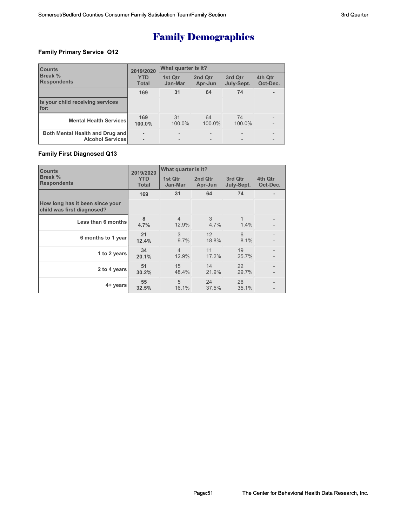### **Family Primary Service Q12**

| <b>Counts</b><br><b>Break %</b><br><b>Respondents</b>      | 2019/2020                  | What quarter is it? |                    |                       |                                               |  |
|------------------------------------------------------------|----------------------------|---------------------|--------------------|-----------------------|-----------------------------------------------|--|
|                                                            | <b>YTD</b><br><b>Total</b> | 1st Qtr<br>Jan-Mar  | 2nd Qtr<br>Apr-Jun | 3rd Qtr<br>July-Sept. | 4th Qtr<br>Oct-Dec.                           |  |
|                                                            | 169                        | 31                  | 64                 | 74                    |                                               |  |
| Is your child receiving services<br>for:                   |                            |                     |                    |                       |                                               |  |
| <b>Mental Health Services</b>                              | 169<br>100.0%              | 31<br>100.0%        | 64<br>100.0%       | 74<br>100.0%          | $\qquad \qquad -$<br>$\overline{\phantom{0}}$ |  |
| Both Mental Health and Drug and<br><b>Alcohol Services</b> | ۰                          |                     |                    |                       | $\qquad \qquad \blacksquare$                  |  |

### **Family First Diagnosed Q13**

| <b>Counts</b>                                                 | 2019/2020                  | What quarter is it?     |                    |                       |                     |  |
|---------------------------------------------------------------|----------------------------|-------------------------|--------------------|-----------------------|---------------------|--|
| Break %<br><b>Respondents</b>                                 | <b>YTD</b><br><b>Total</b> | 1st Qtr<br>Jan-Mar      | 2nd Qtr<br>Apr-Jun | 3rd Qtr<br>July-Sept. | 4th Qtr<br>Oct-Dec. |  |
|                                                               | 169                        | 31                      | 64                 | 74                    |                     |  |
| How long has it been since your<br>child was first diagnosed? |                            |                         |                    |                       |                     |  |
| Less than 6 months                                            | 8<br>4.7%                  | $\overline{4}$<br>12.9% | 3<br>4.7%          | 1<br>1.4%             |                     |  |
| 6 months to 1 year                                            | 21<br>12.4%                | 3<br>9.7%               | 12<br>18.8%        | 6<br>8.1%             |                     |  |
| 1 to 2 years                                                  | 34<br>20.1%                | $\overline{4}$<br>12.9% | 11<br>17.2%        | 19<br>25.7%           |                     |  |
| 2 to 4 years                                                  | 51<br>30.2%                | 15<br>48.4%             | 14<br>21.9%        | 22<br>29.7%           |                     |  |
| 4+ years                                                      | 55<br>32.5%                | 5<br>16.1%              | 24<br>37.5%        | 26<br>35.1%           |                     |  |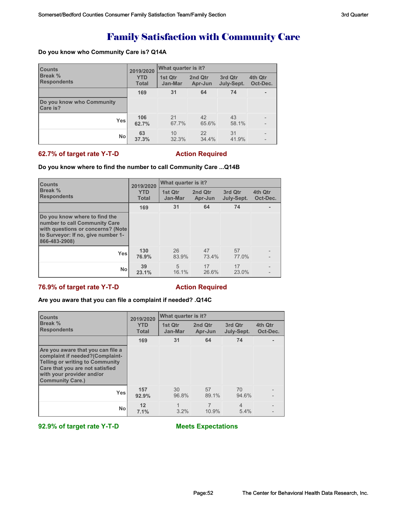# Family Satisfaction with Community Care

#### **Do you know who Community Care is? Q14A**

| <b>Counts</b>                         | 2019/2020    | <b>What quarter is it?</b> |         |            |                   |  |
|---------------------------------------|--------------|----------------------------|---------|------------|-------------------|--|
| <b>Break %</b>                        | <b>YTD</b>   | 1st Qtr                    | 2nd Qtr | 3rd Qtr    | 4th Qtr           |  |
| <b>Respondents</b>                    | <b>Total</b> | Jan-Mar                    | Apr-Jun | July-Sept. | Oct-Dec.          |  |
|                                       | 169          | 31                         | 64      | 74         | ٠                 |  |
| Do you know who Community<br>Care is? |              |                            |         |            |                   |  |
| Yesl                                  | 106          | 21                         | 42      | 43         | $\qquad \qquad -$ |  |
|                                       | 62.7%        | 67.7%                      | 65.6%   | 58.1%      | $\overline{a}$    |  |
| <b>No</b>                             | 63           | 10                         | 22      | 31         | $\qquad \qquad$   |  |
|                                       | 37.3%        | 32.3%                      | 34.4%   | 41.9%      | $\qquad \qquad -$ |  |

#### **62.7% of target rate Y-T-D Action Required**

#### **Do you know where to find the number to call Community Care ...Q14B**

| <b>Counts</b><br><b>Break %</b><br><b>Respondents</b>                                                                                                      | 2019/2020                  | What quarter is it?     |                    |                       |                     |  |
|------------------------------------------------------------------------------------------------------------------------------------------------------------|----------------------------|-------------------------|--------------------|-----------------------|---------------------|--|
|                                                                                                                                                            | <b>YTD</b><br><b>Total</b> | 1st Otr<br>Jan-Mar      | 2nd Qtr<br>Apr-Jun | 3rd Qtr<br>July-Sept. | 4th Qtr<br>Oct-Dec. |  |
|                                                                                                                                                            | 169                        | 31                      | 64                 | 74                    |                     |  |
| Do you know where to find the<br>number to call Community Care<br>with questions or concerns? (Note<br>to Surveyor: If no, give number 1-<br>866-483-2908) |                            |                         |                    |                       |                     |  |
| <b>Yes</b>                                                                                                                                                 | 130<br>76.9%               | 26<br>83.9%             | 47<br>73.4%        | 57<br>77.0%           |                     |  |
| <b>No</b>                                                                                                                                                  | 39<br>23.1%                | $\overline{5}$<br>16.1% | 17<br>26.6%        | 17<br>23.0%           |                     |  |

### **76.9% of target rate Y-T-D Action Required**

#### **Are you aware that you can file a complaint if needed? .Q14C**

| <b>Counts</b><br>Break %<br><b>Respondents</b>                                                                                                                                                            | 2019/2020                  | What quarter is it? |                    |                        |                     |  |
|-----------------------------------------------------------------------------------------------------------------------------------------------------------------------------------------------------------|----------------------------|---------------------|--------------------|------------------------|---------------------|--|
|                                                                                                                                                                                                           | <b>YTD</b><br><b>Total</b> | 1st Qtr<br>Jan-Mar  | 2nd Qtr<br>Apr-Jun | 3rd Qtr<br>July-Sept.  | 4th Qtr<br>Oct-Dec. |  |
|                                                                                                                                                                                                           | 169                        | 31                  | 64                 | 74                     |                     |  |
| Are you aware that you can file a<br>complaint if needed?(Complaint-<br><b>Telling or writing to Community</b><br>Care that you are not satisfied<br>with your provider and/or<br><b>Community Care.)</b> |                            |                     |                    |                        |                     |  |
| Yes                                                                                                                                                                                                       | 157<br>92.9%               | 30<br>96.8%         | 57<br>89.1%        | 70<br>94.6%            |                     |  |
| <b>No</b>                                                                                                                                                                                                 | 12<br>7.1%                 | $3.2\%$             | 10.9%              | $\overline{4}$<br>5.4% |                     |  |

**92.9% of target rate Y-T-D Meets Expectations**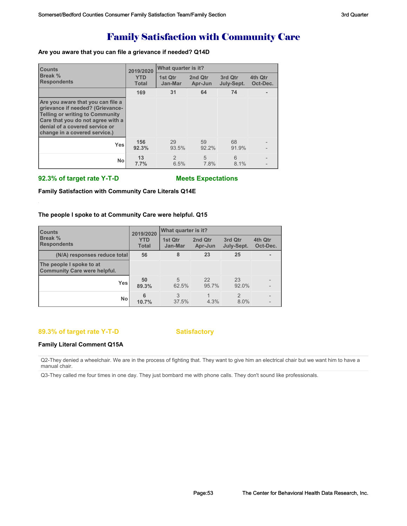# Family Satisfaction with Community Care

#### **Are you aware that you can file a grievance if needed? Q14D**

| <b>Counts</b>                                                                                                                                                                                                           | 2019/2020                  | What quarter is it?    |                    |                       |                     |  |
|-------------------------------------------------------------------------------------------------------------------------------------------------------------------------------------------------------------------------|----------------------------|------------------------|--------------------|-----------------------|---------------------|--|
| <b>Break %</b><br><b>Respondents</b>                                                                                                                                                                                    | <b>YTD</b><br><b>Total</b> | 1st Qtr<br>Jan-Mar     | 2nd Qtr<br>Apr-Jun | 3rd Qtr<br>July-Sept. | 4th Qtr<br>Oct-Dec. |  |
|                                                                                                                                                                                                                         | 169                        | 31                     | 64                 | 74                    |                     |  |
| Are you aware that you can file a<br>grievance if needed? (Grievance-<br><b>Telling or writing to Community</b><br>Care that you do not agree with a<br>denial of a covered service or<br>change in a covered service.) |                            |                        |                    |                       |                     |  |
| <b>Yes</b>                                                                                                                                                                                                              | 156<br>92.3%               | 29<br>93.5%            | 59<br>92.2%        | 68<br>91.9%           |                     |  |
| <b>No</b>                                                                                                                                                                                                               | 13<br>7.7%                 | $\mathfrak{D}$<br>6.5% | 5<br>7.8%          | 6<br>8.1%             |                     |  |

#### **92.3% of target rate Y-T-D Meets Expectations**

**Family Satisfaction with Community Care Literals Q14E**

#### **The people I spoke to at Community Care were helpful. Q15**

| <b>Counts</b><br><b>Break %</b><br><b>Respondents</b>           | 2019/2020                  | <b>What quarter is it?</b> |                    |                        |                          |
|-----------------------------------------------------------------|----------------------------|----------------------------|--------------------|------------------------|--------------------------|
|                                                                 | <b>YTD</b><br><b>Total</b> | 1st Qtr<br>Jan-Mar         | 2nd Qtr<br>Apr-Jun | 3rd Qtr<br>July-Sept.  | 4th Qtr<br>Oct-Dec.      |
| (N/A) responses reduce total                                    | 56                         | 8                          | 23                 | 25                     |                          |
| The people I spoke to at<br><b>Community Care were helpful.</b> |                            |                            |                    |                        |                          |
| Yesl                                                            | 50<br>89.3%                | $\overline{5}$<br>62.5%    | 22<br>95.7%        | 23<br>92.0%            | $\overline{\phantom{a}}$ |
| <b>No</b>                                                       | 6<br>10.7%                 | 3<br>37.5%                 | 4.3%               | $\mathfrak{D}$<br>8.0% |                          |

#### **89.3% of target rate Y-T-D Satisfactory**

#### **Family Literal Comment Q15A**

Q2-They denied a wheelchair. We are in the process of fighting that. They want to give him an electrical chair but we want him to have a manual chair.

Q3-They called me four times in one day. They just bombard me with phone calls. They don't sound like professionals.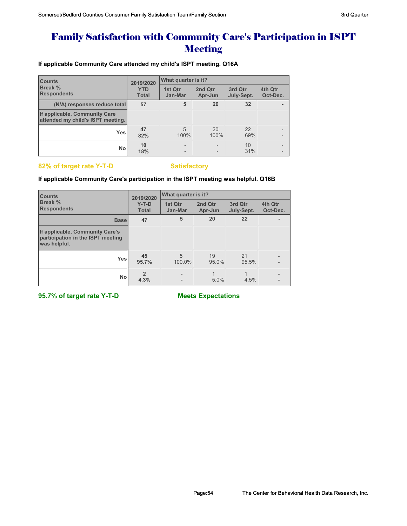# Family Satisfaction with Community Care's Participation in ISPT **Meeting**

**If applicable Community Care attended my child's ISPT meeting. Q16A**

| <b>Counts</b><br>Break %<br><b>Respondents</b>                     | 2019/2020                  | What quarter is it?      |                    |                       |                                            |  |
|--------------------------------------------------------------------|----------------------------|--------------------------|--------------------|-----------------------|--------------------------------------------|--|
|                                                                    | <b>YTD</b><br><b>Total</b> | 1st Qtr<br>Jan-Mar       | 2nd Qtr<br>Apr-Jun | 3rd Qtr<br>July-Sept. | 4th Qtr<br>Oct-Dec.                        |  |
| (N/A) responses reduce total                                       | 57                         | 5                        | 20                 | 32                    | ۰                                          |  |
| If applicable, Community Care<br>attended my child's ISPT meeting. |                            |                          |                    |                       |                                            |  |
| <b>Yes</b>                                                         | 47<br>82%                  | 5<br>100%                | 20<br>100%         | 22<br>69%             | $\overline{\phantom{0}}$<br>$\overline{a}$ |  |
| <b>No</b>                                                          | 10<br>18%                  | $\overline{\phantom{0}}$ |                    | 10<br>31%             | $\overline{\phantom{0}}$<br>$\overline{a}$ |  |

#### **82% of target rate Y-T-D Satisfactory**

#### **If applicable Community Care's participation in the ISPT meeting was helpful. Q16B**

| <b>Counts</b>                                                                        | 2019/2020               | What quarter is it? |                    |                       |                     |  |
|--------------------------------------------------------------------------------------|-------------------------|---------------------|--------------------|-----------------------|---------------------|--|
| Break %<br><b>Respondents</b>                                                        | $Y-T-D$<br><b>Total</b> | 1st Qtr<br>Jan-Mar  | 2nd Qtr<br>Apr-Jun | 3rd Qtr<br>July-Sept. | 4th Qtr<br>Oct-Dec. |  |
| <b>Base</b>                                                                          | 47                      | 5                   | 20                 | 22                    |                     |  |
| If applicable, Community Care's<br>participation in the ISPT meeting<br>was helpful. |                         |                     |                    |                       |                     |  |
| <b>Yes</b>                                                                           | 45<br>95.7%             | 5<br>100.0%         | 19<br>95.0%        | 21<br>95.5%           |                     |  |
| <b>No</b>                                                                            | 4.3%                    |                     | 5.0%               | 4.5%                  |                     |  |

**95.7% of target rate Y-T-D Meets Expectations**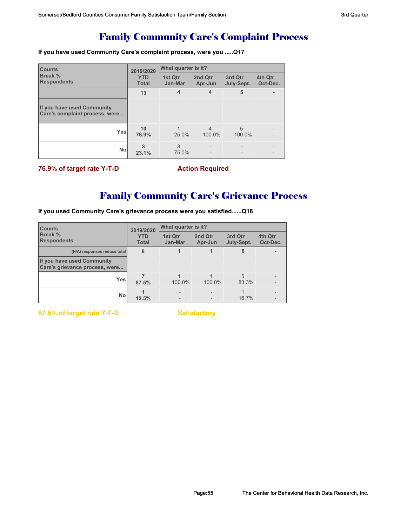## Family Community Care's Complaint Process

**If you have used Community Care's complaint process, were you .....Q17**

| <b>Counts</b>                                                | 2019/2020                  | What quarter is it? |                          |                       |                     |  |
|--------------------------------------------------------------|----------------------------|---------------------|--------------------------|-----------------------|---------------------|--|
| <b>Break %</b><br><b>Respondents</b>                         | <b>YTD</b><br><b>Total</b> | 1st Qtr<br>Jan-Mar  | 2nd Qtr<br>Apr-Jun       | 3rd Qtr<br>July-Sept. | 4th Qtr<br>Oct-Dec. |  |
|                                                              | 13                         | 4                   | 4                        | 5                     |                     |  |
| If you have used Community<br>Care's complaint process, were |                            |                     |                          |                       |                     |  |
| Yes                                                          | 10<br>76.9%                | 25.0%               | $\overline{4}$<br>100.0% | 5<br>100.0%           |                     |  |
| <b>No</b>                                                    | 23.1%                      | 3<br>75.0%          |                          |                       |                     |  |

**76.9% of target rate Y-T-D Action Required** 

# Family Community Care's Grievance Process

**If you used Community Care's grievance process were you satisfied......Q18**

| <b>Counts</b><br><b>Break %</b><br><b>Respondents</b>        |                            | What quarter is it?<br>2019/2020 |                    |                       |                     |  |
|--------------------------------------------------------------|----------------------------|----------------------------------|--------------------|-----------------------|---------------------|--|
|                                                              | <b>YTD</b><br><b>Total</b> | 1st Qtr<br>Jan-Mar               | 2nd Qtr<br>Apr-Jun | 3rd Qtr<br>July-Sept. | 4th Qtr<br>Oct-Dec. |  |
| (N/A) responses reduce total                                 | 8                          |                                  |                    | 6                     |                     |  |
| If you have used Community<br>Care's grievance process, were |                            |                                  |                    |                       |                     |  |
| Yes                                                          | 87.5%                      | 100.0%                           | 100.0%             | 5<br>83.3%            |                     |  |
| <b>No</b>                                                    | 12.5%                      | $\overline{\phantom{0}}$         |                    | 16.7%                 |                     |  |

**87.5% of target rate Y-T-D Satisfactory**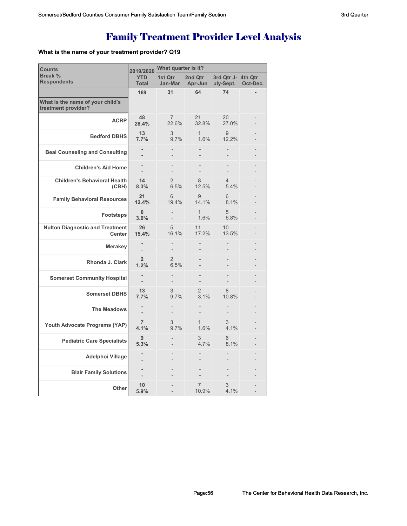# Family Treatment Provider Level Analysis

### **What is the name of your treatment provider? Q19**

| <b>Counts</b>                                           | 2019/2020                  | What quarter is it?     |                       |                                 |          |  |
|---------------------------------------------------------|----------------------------|-------------------------|-----------------------|---------------------------------|----------|--|
| Break %<br><b>Respondents</b>                           | <b>YTD</b><br><b>Total</b> | 1st Qtr<br>Jan-Mar      | 2nd Qtr<br>Apr-Jun    | 3rd Qtr J- 4th Qtr<br>uly-Sept. | Oct-Dec. |  |
|                                                         | 169                        | 31                      | 64                    | 74                              |          |  |
| What is the name of your child's<br>treatment provider? |                            |                         |                       |                                 |          |  |
| <b>ACRP</b>                                             | 48<br>28.4%                | $\overline{7}$<br>22.6% | 21<br>32.8%           | 20<br>27.0%                     |          |  |
| <b>Bedford DBHS</b>                                     | 13<br>7.7%                 | 3<br>9.7%               | $\mathbf{1}$<br>1.6%  | 9<br>12.2%                      |          |  |
| <b>Beal Counseling and Consulting</b>                   |                            |                         |                       |                                 |          |  |
| <b>Children's Aid Home</b>                              |                            |                         |                       |                                 |          |  |
| <b>Children's Behavioral Health</b><br>(CBH)            | 14<br>8.3%                 | $\overline{2}$<br>6.5%  | 8<br>12.5%            | $\overline{4}$<br>5.4%          |          |  |
| <b>Family Behavioral Resources</b>                      | 21<br>12.4%                | 6<br>19.4%              | 9<br>14.1%            | 6<br>8.1%                       |          |  |
| <b>Footsteps</b>                                        | 6<br>3.6%                  |                         | $\mathbf{1}$<br>1.6%  | 5<br>6.8%                       |          |  |
| <b>Nulton Diagnostic and Treatment</b><br><b>Center</b> | 26<br>15.4%                | 5<br>16.1%              | 11<br>17.2%           | 10 <sup>1</sup><br>13.5%        |          |  |
| <b>Merakey</b>                                          |                            |                         |                       |                                 |          |  |
| Rhonda J. Clark                                         | $\overline{2}$<br>1.2%     | $\overline{2}$<br>6.5%  |                       |                                 |          |  |
| <b>Somerset Community Hospital</b>                      |                            |                         |                       |                                 |          |  |
| <b>Somerset DBHS</b>                                    | 13<br>7.7%                 | 3<br>9.7%               | $\mathcal{P}$<br>3.1% | 8<br>10.8%                      |          |  |
| <b>The Meadows</b>                                      |                            |                         |                       |                                 |          |  |
| Youth Advocate Programs (YAP)                           | $\overline{7}$<br>4.1%     | 3<br>9.7%               | 1<br>1.6%             | 3<br>4.1%                       |          |  |
| <b>Pediatric Care Specialists</b>                       | 9<br>5.3%                  |                         | 3<br>4.7%             | 6<br>8.1%                       |          |  |
| Adelphoi Village                                        |                            |                         |                       |                                 |          |  |
| <b>Blair Family Solutions</b>                           |                            |                         |                       |                                 |          |  |
| Other                                                   | 10<br>5.9%                 |                         | 7<br>10.9%            | 3<br>4.1%                       |          |  |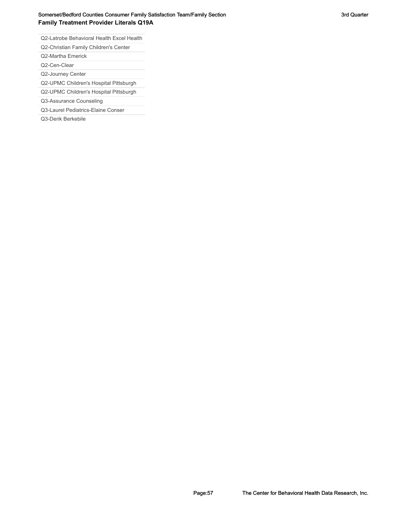### Somerset/Bedford Counties Consumer Family Satisfaction Team/Family Section **Section** 3rd Quarter 3rd Quarter **Family Treatment Provider Literals Q19A**

Q2-Latrobe Behavioral Health Excel Health

Q2-Christian Family Children's Center

Q2-Martha Emerick

Q2-Cen-Clear

Q2-Journey Center

Q2-UPMC Children's Hospital Pittsburgh

Q2-UPMC Children's Hospital Pittsburgh

Q3-Assurance Counseling

Q3-Laurel Pediatrics-Elaine Conser

Q3-Derik Berkebile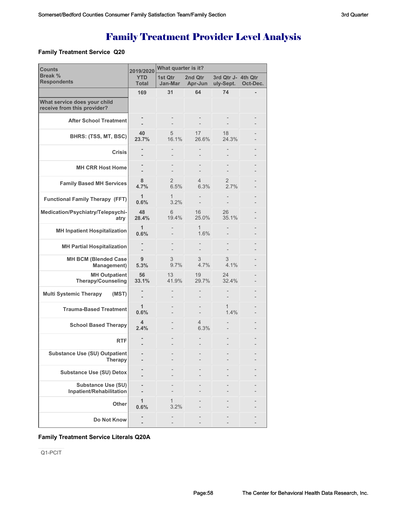# Family Treatment Provider Level Analysis

#### **Family Treatment Service Q20**

| <b>Counts</b>                                               | 2019/2020                  | What quarter is it?    |                        |                                 |          |  |
|-------------------------------------------------------------|----------------------------|------------------------|------------------------|---------------------------------|----------|--|
| Break %<br><b>Respondents</b>                               | <b>YTD</b><br><b>Total</b> | 1st Qtr<br>Jan-Mar     | 2nd Qtr<br>Apr-Jun     | 3rd Qtr J- 4th Qtr<br>uly-Sept. | Oct-Dec. |  |
|                                                             | 169                        | 31                     | 64                     | 74                              |          |  |
| What service does your child<br>receive from this provider? |                            |                        |                        |                                 |          |  |
| <b>After School Treatment</b>                               |                            |                        |                        |                                 |          |  |
| BHRS: (TSS, MT, BSC)                                        | 40<br>23.7%                | 5<br>16.1%             | 17<br>26.6%            | 18<br>24.3%                     |          |  |
| <b>Crisis</b>                                               |                            |                        |                        |                                 |          |  |
| <b>MH CRR Host Home</b>                                     |                            |                        |                        |                                 |          |  |
| <b>Family Based MH Services</b>                             | 8<br>4.7%                  | $\overline{2}$<br>6.5% | $\overline{4}$<br>6.3% | 2<br>2.7%                       |          |  |
| <b>Functional Family Therapy (FFT)</b>                      | $\mathbf{1}$<br>0.6%       | $\mathbf{1}$<br>3.2%   |                        |                                 |          |  |
| Medication/Psychiatry/Telepsychi-<br>atry                   | 48<br>28.4%                | 6<br>19.4%             | 16<br>25.0%            | 26<br>35.1%                     |          |  |
| <b>MH Inpatient Hospitalization</b>                         | $\mathbf{1}$<br>0.6%       |                        | 1<br>1.6%              |                                 |          |  |
| <b>MH Partial Hospitalization</b>                           |                            |                        |                        |                                 |          |  |
| <b>MH BCM (Blended Case</b><br>Management)                  | 9<br>5.3%                  | 3<br>9.7%              | 3<br>4.7%              | 3<br>4.1%                       |          |  |
| <b>MH Outpatient</b><br>Therapy/Counseling                  | 56<br>33.1%                | 13<br>41.9%            | 19<br>29.7%            | 24<br>32.4%                     |          |  |
| <b>Multi Systemic Therapy</b><br>(MST)                      |                            |                        |                        |                                 |          |  |
| <b>Trauma-Based Treatment</b>                               | $\mathbf{1}$<br>0.6%       |                        |                        | 1<br>1.4%                       |          |  |
| <b>School Based Therapy</b>                                 | 4<br>2.4%                  |                        | $\overline{4}$<br>6.3% |                                 |          |  |
| <b>RTF</b>                                                  |                            |                        |                        |                                 |          |  |
| <b>Substance Use (SU) Outpatient</b><br><b>Therapy</b>      |                            |                        |                        |                                 |          |  |
| <b>Substance Use (SU) Detox</b>                             |                            |                        |                        |                                 |          |  |
| <b>Substance Use (SU)</b><br>Inpatient/Rehabilitation       |                            |                        |                        |                                 |          |  |
| Other                                                       | 1<br>0.6%                  | 3.2%                   |                        |                                 |          |  |
| Do Not Know                                                 |                            |                        |                        |                                 |          |  |

#### **Family Treatment Service Literals Q20A**

Q1-PCIT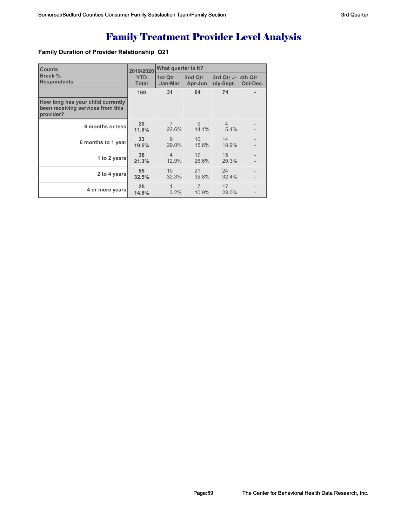# Family Treatment Provider Level Analysis

### **Family Duration of Provider Relationship Q21**

| <b>Counts</b>                                                                       | 2019/2020                  | What quarter is it?      |                         |                                 |          |  |
|-------------------------------------------------------------------------------------|----------------------------|--------------------------|-------------------------|---------------------------------|----------|--|
| Break %<br><b>Respondents</b>                                                       | <b>YTD</b><br><b>Total</b> | 1st Qtr<br>Jan-Mar       | 2nd Qtr<br>Apr-Jun      | 3rd Qtr J- 4th Qtr<br>uly-Sept. | Oct-Dec. |  |
|                                                                                     | 169                        | 31                       | 64                      | 74                              |          |  |
| How long has your child currently<br>been receiving services from this<br>provider? |                            |                          |                         |                                 |          |  |
| 6 months or less                                                                    | 20<br>11.8%                | $\overline{7}$<br>22.6%  | 9<br>14.1%              | $\overline{4}$<br>5.4%          |          |  |
| 6 months to 1 year                                                                  | 33<br>19.5%                | 9<br>29.0%               | 10<br>15.6%             | 14<br>18.9%                     |          |  |
| 1 to 2 years                                                                        | 36<br>21.3%                | $\overline{4}$<br>12.9%  | 17<br>26.6%             | 15<br>20.3%                     |          |  |
| 2 to 4 years                                                                        | 55<br>32.5%                | 10 <sup>°</sup><br>32.3% | 21<br>32.8%             | 24<br>32.4%                     |          |  |
| 4 or more years                                                                     | 25<br>14.8%                | 1<br>3.2%                | $\overline{7}$<br>10.9% | 17<br>23.0%                     |          |  |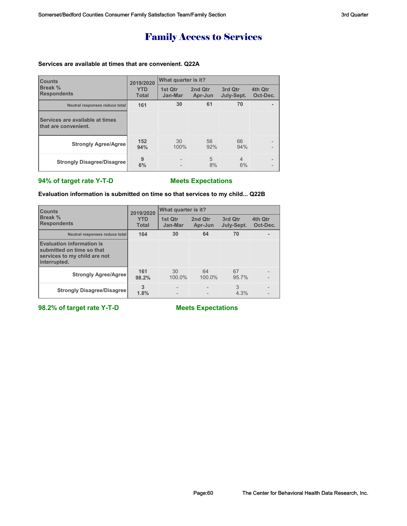# Family Access to Services

### **Services are available at times that are convenient. Q22A**

| <b>Counts</b>                                           | 2019/2020                  | What quarter is it?      |                    |                       |                     |
|---------------------------------------------------------|----------------------------|--------------------------|--------------------|-----------------------|---------------------|
| Break %<br><b>Respondents</b>                           | <b>YTD</b><br><b>Total</b> | 1st Qtr<br>Jan-Mar       | 2nd Qtr<br>Apr-Jun | 3rd Qtr<br>July-Sept. | 4th Qtr<br>Oct-Dec. |
| Neutral responses reduce total                          | 161                        | 30                       | 61                 | 70                    |                     |
| Services are available at times<br>that are convenient. |                            |                          |                    |                       |                     |
| <b>Strongly Agree/Agree</b>                             | 152<br>94%                 | 30<br>100%               | 56<br>92%          | 66<br>94%             |                     |
| <b>Strongly Disagree/Disagree</b>                       | 9<br>6%                    | $\overline{\phantom{0}}$ | 5<br>8%            | $\overline{4}$<br>6%  |                     |

### **94% of target rate Y-T-D Meets Expectations**

**Evaluation information is submitted on time so that services to my child... Q22B**

| <b>Counts</b>                                                                                                 | 2019/2020                  | What quarter is it? |                    |                       |                     |  |
|---------------------------------------------------------------------------------------------------------------|----------------------------|---------------------|--------------------|-----------------------|---------------------|--|
| Break %<br><b>Respondents</b>                                                                                 | <b>YTD</b><br><b>Total</b> | 1st Otr<br>Jan-Mar  | 2nd Qtr<br>Apr-Jun | 3rd Qtr<br>July-Sept. | 4th Qtr<br>Oct-Dec. |  |
| Neutral responses reduce total                                                                                | 164                        | 30                  | 64                 | 70                    |                     |  |
| <b>Evaluation information is</b><br>submitted on time so that<br>services to my child are not<br>interrupted. |                            |                     |                    |                       |                     |  |
| <b>Strongly Agree/Agree</b>                                                                                   | 161<br>98.2%               | 30<br>100.0%        | 64<br>100.0%       | 67<br>95.7%           |                     |  |
| <b>Strongly Disagree/Disagree</b>                                                                             | 3<br>1.8%                  |                     |                    | 3<br>4.3%             |                     |  |

**98.2% of target rate Y-T-D Meets Expectations**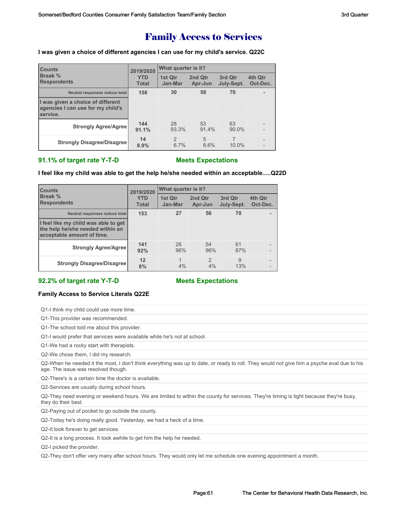## Family Access to Services

**I was given a choice of different agencies I can use for my child's service. Q22C**

| <b>Counts</b>                                                                      | 2019/2020                  | What quarter is it?    |                    |                       |                                               |  |
|------------------------------------------------------------------------------------|----------------------------|------------------------|--------------------|-----------------------|-----------------------------------------------|--|
| Break %<br><b>Respondents</b>                                                      | <b>YTD</b><br><b>Total</b> | 1st Qtr<br>Jan-Mar     | 2nd Qtr<br>Apr-Jun | 3rd Qtr<br>July-Sept. | 4th Qtr<br>Oct-Dec.                           |  |
| Neutral responses reduce total                                                     | 158                        | 30                     | 58                 | 70                    |                                               |  |
| I was given a choice of different<br>agencies I can use for my child's<br>service. |                            |                        |                    |                       |                                               |  |
| <b>Strongly Agree/Agree</b>                                                        | 144<br>91.1%               | 28<br>93.3%            | 53<br>91.4%        | 63<br>$90.0\%$        | $\overline{a}$                                |  |
| <b>Strongly Disagree/Disagree</b>                                                  | 14<br>8.9%                 | $\mathfrak{D}$<br>6.7% | 5<br>8.6%          | 10.0%                 | $\overline{\phantom{a}}$<br>$\qquad \qquad -$ |  |

#### **91.1% of target rate Y-T-D Meets Expectations**

#### **I feel like my child was able to get the help he/she needed within an acceptable.....Q22D**

| <b>Counts</b>                                                                                          | 2019/2020<br><b>YTD</b><br><b>Total</b> | What quarter is it? |                      |                       |                     |  |
|--------------------------------------------------------------------------------------------------------|-----------------------------------------|---------------------|----------------------|-----------------------|---------------------|--|
| Break %<br><b>Respondents</b>                                                                          |                                         | 1st Qtr<br>Jan-Mar  | 2nd Qtr<br>Apr-Jun   | 3rd Qtr<br>July-Sept. | 4th Qtr<br>Oct-Dec. |  |
| Neutral responses reduce total                                                                         | 153                                     | 27                  | 56                   | 70                    |                     |  |
| I feel like my child was able to get<br>the help he/she needed within an<br>acceptable amount of time. |                                         |                     |                      |                       |                     |  |
| <b>Strongly Agree/Agree</b>                                                                            | 141<br>92%                              | 26<br>96%           | 54<br>96%            | 61<br>87%             | -                   |  |
| <b>Strongly Disagree/Disagree</b>                                                                      | 12<br>8%                                | $\mathbf{1}$<br>4%  | $\mathfrak{p}$<br>4% | 9<br>13%              | -                   |  |

#### **92.2% of target rate Y-T-D Meets Expectations**

#### **Family Access to Service Literals Q22E**

| Q1-I think my child could use more time.   |
|--------------------------------------------|
| Q1-This provider was recommended.          |
| Q1-The school told me about this provider. |
|                                            |

Q1-I would prefer that services were available while he's not at school.

Q1-We had a rocky start with therapists.

Q2-We chose them, I did my research.

Q2-When he needed it the most, I don't think everything was up to date, or ready to roll. They would not give him a psyche eval due to his age. The issue was resolved though.

Q2-There's is a certain time the doctor is available.

Q2-Services are usually during school hours.

Q2-They need evening or weekend hours. We are limited to within the county for services. They're timing is tight because they're busy, they do their best.

Q2-Paying out of pocket to go outside the county.

Q2-Today he's doing really good. Yesterday, we had a heck of a time.

Q2-It took forever to get services.

Q2-It is a long process. It took awhile to get him the help he needed.

Q2-I picked the provider.

Q2-They don't offer very many after school hours. They would only let me schedule one evening appointment a month.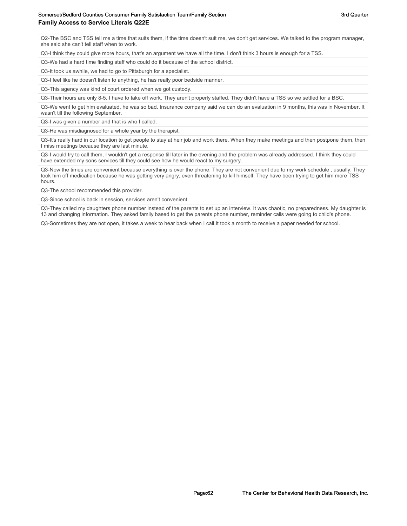Q2-The BSC and TSS tell me a time that suits them, if the time doesn't suit me, we don't get services. We talked to the program manager, she said she can't tell staff when to work.

Q3-I think they could give more hours, that's an argument we have all the time. I don't think 3 hours is enough for a TSS.

Q3-We had a hard time finding staff who could do it because of the school district.

Q3-It took us awhile, we had to go to Pittsburgh for a specialist.

Q3-I feel like he doesn't listen to anything, he has really poor bedside manner.

Q3-This agency was kind of court ordered when we got custody.

Q3-Their hours are only 8-5, I have to take off work. They aren't properly staffed. They didn't have a TSS so we settled for a BSC.

Q3-We went to get him evaluated, he was so bad. Insurance company said we can do an evaluation in 9 months, this was in November. It wasn't till the following September.

Q3-I was given a number and that is who I called.

Q3-He was misdiagnosed for a whole year by the therapist.

Q3-It's really hard in our location to get people to stay at heir job and work there. When they make meetings and then postpone them, then I miss meetings because they are last minute.

Q3-I would try to call them, I wouldn't get a response till later in the evening and the problem was already addressed. I think they could have extended my sons services till they could see how he would react to my surgery.

Q3-Now the times are convenient because everything is over the phone. They are not convenient due to my work schedule , usually. They took him off medication because he was getting very angry, even threatening to kill himself. They have been trying to get him more TSS hours.

Q3-The school recommended this provider.

Q3-Since school is back in session, services aren't convenient.

Q3-They called my daughters phone number instead of the parents to set up an interview. It was chaotic, no preparedness. My daughter is 13 and changing information. They asked family based to get the parents phone number, reminder calls were going to child's phone.

Q3-Sometimes they are not open, it takes a week to hear back when I call.It took a month to receive a paper needed for school.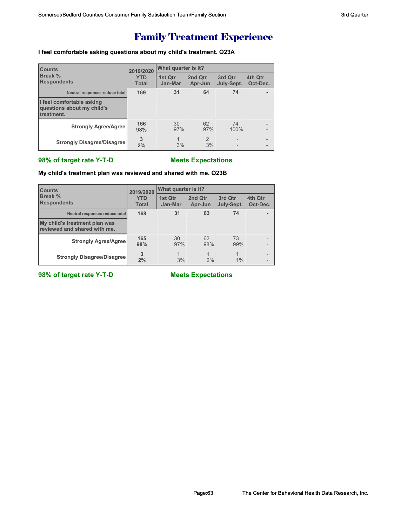# Family Treatment Experience

### **I feel comfortable asking questions about my child's treatment. Q23A**

| <b>Counts</b>                                                         | 2019/2020<br><b>YTD</b><br><b>Total</b> | What quarter is it? |                     |                                            |                          |  |
|-----------------------------------------------------------------------|-----------------------------------------|---------------------|---------------------|--------------------------------------------|--------------------------|--|
| Break %<br><b>Respondents</b>                                         |                                         | 1st Qtr<br>Jan-Mar  | 2nd Qtr<br>Apr-Jun  | 3rd Qtr<br>July-Sept.                      | 4th Qtr<br>Oct-Dec.      |  |
| Neutral responses reduce total                                        | 169                                     | 31                  | 64                  | 74                                         |                          |  |
| I feel comfortable asking<br>questions about my child's<br>treatment. |                                         |                     |                     |                                            |                          |  |
| <b>Strongly Agree/Agree</b>                                           | 166<br>98%                              | 30<br>97%           | 62<br>97%           | 74<br>100%                                 |                          |  |
| <b>Strongly Disagree/Disagree</b>                                     | 3<br>2%                                 | 1<br>3%             | $\mathcal{P}$<br>3% | $\overline{a}$<br>$\overline{\phantom{0}}$ | $\overline{\phantom{0}}$ |  |

### **98% of target rate Y-T-D Meets Expectations**

#### **My child's treatment plan was reviewed and shared with me. Q23B**

| <b>Counts</b>                                                 | 2019/2020                  | What quarter is it? |                      |                         |                     |  |
|---------------------------------------------------------------|----------------------------|---------------------|----------------------|-------------------------|---------------------|--|
| <b>Break %</b><br><b>Respondents</b>                          | <b>YTD</b><br><b>Total</b> | 1st Qtr<br>Jan-Mar  | 2nd Qtr<br>Apr-Jun   | 3rd Qtr<br>July-Sept.   | 4th Qtr<br>Oct-Dec. |  |
| Neutral responses reduce total                                | 168                        | 31                  | 63                   | 74                      |                     |  |
| My child's treatment plan was<br>reviewed and shared with me. |                            |                     |                      |                         |                     |  |
| <b>Strongly Agree/Agree</b>                                   | 165<br>98%                 | 30<br>97%           | 62<br>98%            | 73<br>99%               |                     |  |
| <b>Strongly Disagree/Disagree</b>                             | 3<br>2%                    | 1<br>3%             | $\overline{1}$<br>2% | $\overline{A}$<br>$1\%$ |                     |  |

**98% of target rate Y-T-D** Meets Expectations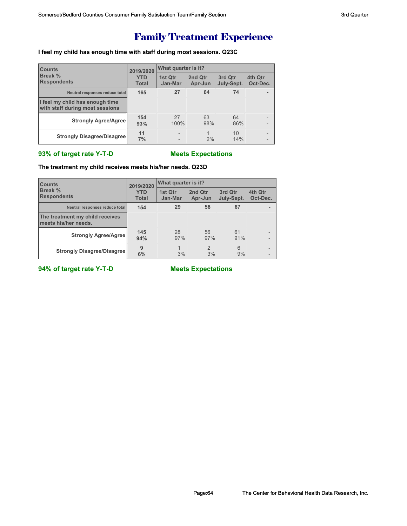# Family Treatment Experience

**I feel my child has enough time with staff during most sessions. Q23C**

| <b>Counts</b>                                                      | 2019/2020                  | What quarter is it?      |                    |                       |                          |  |
|--------------------------------------------------------------------|----------------------------|--------------------------|--------------------|-----------------------|--------------------------|--|
| <b>Break %</b><br><b>Respondents</b>                               | <b>YTD</b><br><b>Total</b> | 1st Qtr<br>Jan-Mar       | 2nd Qtr<br>Apr-Jun | 3rd Qtr<br>July-Sept. | 4th Qtr<br>Oct-Dec.      |  |
| Neutral responses reduce total                                     | 165                        | 27                       | 64                 | 74                    |                          |  |
| I feel my child has enough time<br>with staff during most sessions |                            |                          |                    |                       |                          |  |
| <b>Strongly Agree/Agree</b>                                        | 154<br>93%                 | 27<br>100%               | 63<br>98%          | 64<br>86%             |                          |  |
| <b>Strongly Disagree/Disagree</b>                                  | 11<br>7%                   | $\overline{\phantom{0}}$ | 2%                 | 10<br>14%             | $\overline{\phantom{a}}$ |  |

#### **93% of target rate Y-T-D Meets Expectations**

#### **The treatment my child receives meets his/her needs. Q23D**

| <b>Counts</b>                                           | 2019/2020                  | <b>What quarter is it?</b> |                    |                       |                     |  |
|---------------------------------------------------------|----------------------------|----------------------------|--------------------|-----------------------|---------------------|--|
| <b>Break %</b><br><b>Respondents</b>                    | <b>YTD</b><br><b>Total</b> | 1st Qtr<br>Jan-Mar         | 2nd Qtr<br>Apr-Jun | 3rd Qtr<br>July-Sept. | 4th Qtr<br>Oct-Dec. |  |
| Neutral responses reduce total                          | 154                        | 29                         | 58                 | 67                    |                     |  |
| The treatment my child receives<br>meets his/her needs. |                            |                            |                    |                       |                     |  |
| <b>Strongly Agree/Agree</b>                             | 145<br>94%                 | 28<br>97%                  | 56<br>97%          | 61<br>91%             |                     |  |
| <b>Strongly Disagree/Disagree</b>                       | 9<br>6%                    | 3%                         | 2<br>3%            | 6<br>9%               |                     |  |

**94% of target rate Y-T-D Meets Expectations**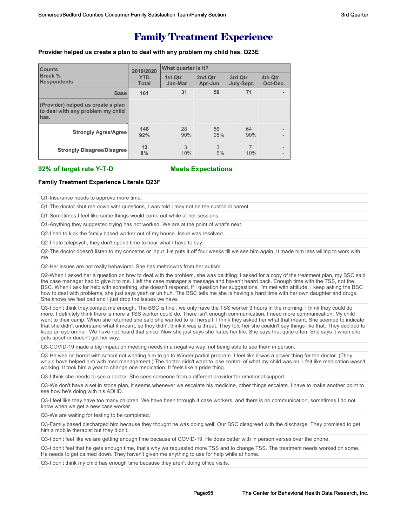## Family Treatment Experience

**Provider helped us create a plan to deal with any problem my child has. Q23E**

| <b>Counts</b><br>Break %<br><b>Respondents</b>                                  | 2019/2020<br><b>YTD</b><br><b>Total</b> | What quarter is it? |                    |                       |                                                          |  |
|---------------------------------------------------------------------------------|-----------------------------------------|---------------------|--------------------|-----------------------|----------------------------------------------------------|--|
|                                                                                 |                                         | 1st Qtr<br>Jan-Mar  | 2nd Qtr<br>Apr-Jun | 3rd Qtr<br>July-Sept. | 4th Qtr<br>Oct-Dec.                                      |  |
| <b>Base</b>                                                                     | 161                                     | 31                  | 59                 | 71                    | ۰.                                                       |  |
| (Provider) helped us create a plan<br>to deal with any problem my child<br>has. |                                         |                     |                    |                       |                                                          |  |
| <b>Strongly Agree/Agree</b>                                                     | 148<br>92%                              | 28<br>90%           | 56<br>95%          | 64<br>90%             | $\overline{\phantom{0}}$<br>$\overline{\phantom{0}}$     |  |
| <b>Strongly Disagree/Disagree</b>                                               | 13<br>8%                                | 3<br>10%            | 3<br>5%            | 7<br>10%              | $\overline{\phantom{0}}$<br>$\qquad \qquad \blacksquare$ |  |

#### **92% of target rate Y-T-D Meets Expectations**

#### **Family Treatment Experience Literals Q23F**

Q1-Insurance needs to approve more time.

Q1-The doctor shut me down with questions, I was told I may not be the custodial parent.

Q1-Sometimes I feel like some things would come out while at her sessions.

Q1-Anything they suggested trying has not worked. We are at the point of what's next.

Q2-I had to kick the family based worker out of my house. Issue was resolved.

Q2-I hate telepsych, they don't spend time to hear what I have to say.

Q2-The doctor doesn't listen to my concerns or input. He puts it off four weeks till we see him again. It made him less willing to work with me.

Q2-Her issues are not really behavioral. She has meltdowns from her autism.

Q2-When I asked her a question on how to deal with the problem, she was belittling. I asked for a copy of the treatment plan, my BSC said the case manager had to give it to me. I left the case manager a message and haven't heard back. Enough time with the TSS, not the BSC. When I ask for help with something, she doesn't respond. If I question her suggestions, I'm met with attitude. I keep asking the BSC how to deal with problems, she just says yeah or uh huh. The BSC tells me she is having a hard time with her own daughter and drugs. She knows we feel bad and I just drop the issues we have.

Q3-I don't think they contact me enough. The BSC is fine , we only have the TSS worker 3 hours in the morning. I think they could do more. I definitely think there is more a TSS worker could do. There isn't enough communication, I need more communication. My child went to their camp. When she returned she said she wanted to kill herself. I think they asked her what that meant. She seemed to indicate that she didn't understand what it meant, so they didn't think it was a threat. They told her she couldn't say things like that. They decided to keep an eye on her. We have not heard that since. Now she just says she hates her life. She says that quite often. She says it when she gets upset or doesn't get her way.

Q3-COVID-19 made a big impact on meeting needs in a negative way, not being able to see them in person.

Q3-He was on bored with school not wanting him to go to Winder partial program. I feel like it was a power thing for the doctor. (They would have helped him with med management.) The doctor didn't want to lose control of what my child was on. I felt like medication wasn't working. It took him a year to change one medication. It feels like a pride thing.

Q3-I think she needs to see a doctor. She sees someone from a different provider for emotional support.

Q3-We don't have a set in stone plan, it seems whenever we escalate his medicine, other things escalate. I have to make another point to see how he's doing with his ADHD.

Q3-I feel like they have too many children. We have been through 4 case workers, and there is no communication, sometimes I do not know when we get a new case worker.

Q3-We are waiting for testing to be completed.

Q3-Family based discharged him because they thought he was doing well. Our BSC disagreed with the discharge. They promised to get him a mobile therapist but they didn't.

Q3-I don't feel like we are getting enough time because of COVID-19. He does better with in person verses over the phone.

Q3-I don't feel that he gets enough time, that's why we requested more TSS and to change TSS. The treatment needs worked on some. He needs to get calmed down. They haven't given me anything to use for help while at home.

Q3-I don't think my child has enough time because they aren't doing office visits.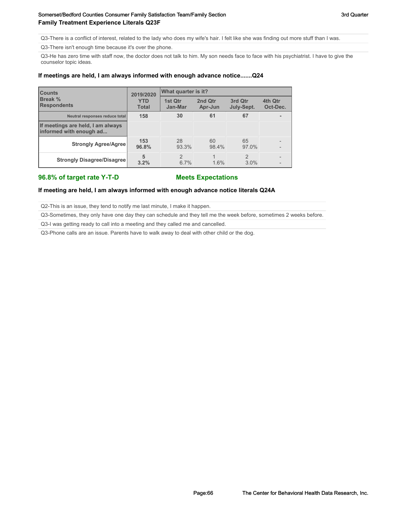#### Somerset/Bedford Counties Consumer Family Satisfaction Team/Family Section Section 3rd Quarter 3rd Quarter **Family Treatment Experience Literals Q23F**

Q3-There is a conflict of interest, related to the lady who does my wife's hair. I felt like she was finding out more stuff than I was.

Q3-There isn't enough time because it's over the phone.

Q3-He has zero time with staff now, the doctor does not talk to him. My son needs face to face with his psychiatrist. I have to give the counselor topic ideas.

#### **If meetings are held, I am always informed with enough advance notice.......Q24**

| <b>Counts</b><br><b>Break</b> %<br><b>Respondents</b>        | 2019/2020<br><b>YTD</b><br><b>Total</b> | What quarter is it?   |                    |                       |                     |  |
|--------------------------------------------------------------|-----------------------------------------|-----------------------|--------------------|-----------------------|---------------------|--|
|                                                              |                                         | 1st Qtr<br>Jan-Mar    | 2nd Otr<br>Apr-Jun | 3rd Otr<br>July-Sept. | 4th Qtr<br>Oct-Dec. |  |
| Neutral responses reduce total                               | 158                                     | 30                    | 61                 | 67                    |                     |  |
| If meetings are held, I am always<br>informed with enough ad |                                         |                       |                    |                       |                     |  |
| <b>Strongly Agree/Agree</b>                                  | 153<br>96.8%                            | 28<br>93.3%           | 60<br>98.4%        | 65<br>97.0%           |                     |  |
| <b>Strongly Disagree/Disagree</b>                            | 5<br>3.2%                               | $\mathcal{P}$<br>6.7% | 1.6%               | $\mathcal{P}$<br>3.0% |                     |  |

#### **96.8% of target rate Y-T-D Meets Expectations**

#### **If meeting are held, I am always informed with enough advance notice literals Q24A**

Q2-This is an issue, they tend to notify me last minute, I make it happen.

Q3-Sometimes, they only have one day they can schedule and they tell me the week before, sometimes 2 weeks before.

Q3-I was getting ready to call into a meeting and they called me and cancelled.

Q3-Phone calls are an issue. Parents have to walk away to deal with other child or the dog.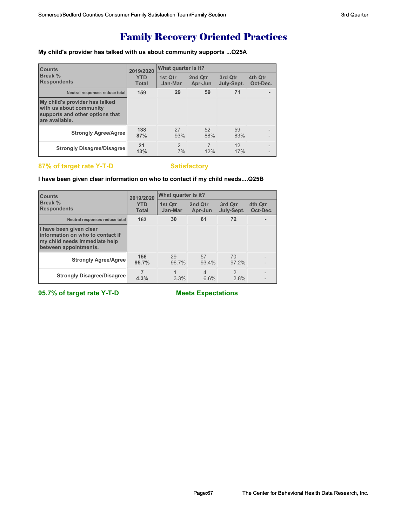# Family Recovery Oriented Practices

**My child's provider has talked with us about community supports ...Q25A**

| <b>Counts</b>                                                                                                  | 2019/2020                  | What quarter is it? |                    |                       |                          |
|----------------------------------------------------------------------------------------------------------------|----------------------------|---------------------|--------------------|-----------------------|--------------------------|
| <b>Break</b> %<br><b>Respondents</b>                                                                           | <b>YTD</b><br><b>Total</b> | 1st Qtr<br>Jan-Mar  | 2nd Qtr<br>Apr-Jun | 3rd Qtr<br>July-Sept. | 4th Qtr<br>Oct-Dec.      |
| Neutral responses reduce total                                                                                 | 159                        | 29                  | 59                 | 71                    | ۰                        |
| My child's provider has talked<br>with us about community<br>supports and other options that<br>are available. |                            |                     |                    |                       |                          |
| <b>Strongly Agree/Agree</b>                                                                                    | 138<br>87%                 | 27<br>93%           | 52<br>88%          | 59<br>83%             | -                        |
| <b>Strongly Disagree/Disagree</b>                                                                              | 21<br>13%                  | $\mathcal{P}$<br>7% | 12%                | 12<br>17%             | $\overline{\phantom{0}}$ |

#### **87% of target rate Y-T-D Satisfactory**

#### **I have been given clear information on who to contact if my child needs....Q25B**

| <b>Counts</b>                                                                                                         | 2019/2020                  | What quarter is it? |                    |                        |                     |  |
|-----------------------------------------------------------------------------------------------------------------------|----------------------------|---------------------|--------------------|------------------------|---------------------|--|
| Break %<br><b>Respondents</b>                                                                                         | <b>YTD</b><br><b>Total</b> | 1st Qtr<br>Jan-Mar  | 2nd Qtr<br>Apr-Jun | 3rd Otr<br>July-Sept.  | 4th Qtr<br>Oct-Dec. |  |
| Neutral responses reduce total                                                                                        | 163                        | 30                  | 61                 | 72                     |                     |  |
| I have been given clear<br>Information on who to contact if<br>my child needs immediate help<br>between appointments. |                            |                     |                    |                        |                     |  |
| <b>Strongly Agree/Agree</b>                                                                                           | 156<br>95.7%               | 29<br>96.7%         | 57<br>93.4%        | 70<br>97.2%            |                     |  |
| <b>Strongly Disagree/Disagree</b>                                                                                     | 4.3%                       | 3.3%                | 4<br>6.6%          | $\mathfrak{p}$<br>2.8% |                     |  |

**95.7% of target rate Y-T-D Meets Expectations**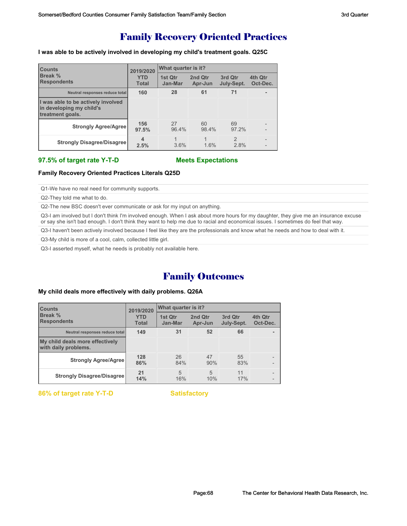## Family Recovery Oriented Practices

**I was able to be actively involved in developing my child's treatment goals. Q25C**

| <b>Counts</b>                                                                      | 2019/2020                  | What quarter is it? |                    |                        |                     |  |
|------------------------------------------------------------------------------------|----------------------------|---------------------|--------------------|------------------------|---------------------|--|
| Break %<br><b>Respondents</b>                                                      | <b>YTD</b><br><b>Total</b> | 1st Otr<br>Jan-Mar  | 2nd Qtr<br>Apr-Jun | 3rd Otr<br>July-Sept.  | 4th Qtr<br>Oct-Dec. |  |
| Neutral responses reduce total                                                     | 160                        | 28                  | 61                 | 71                     |                     |  |
| I was able to be actively involved<br>in developing my child's<br>treatment goals. |                            |                     |                    |                        |                     |  |
| <b>Strongly Agree/Agree</b>                                                        | 156<br>97.5%               | 27<br>96.4%         | 60<br>98.4%        | 69<br>97.2%            |                     |  |
| <b>Strongly Disagree/Disagree</b>                                                  | 4<br>2.5%                  | 3.6%                | 1.6%               | $\mathfrak{D}$<br>2.8% |                     |  |

#### **97.5% of target rate Y-T-D Meets Expectations**

#### **Family Recovery Oriented Practices Literals Q25D**

Q1-We have no real need for community supports.

Q2-They told me what to do.

Q2-The new BSC doesn't ever communicate or ask for my input on anything.

Q3-I am involved but I don't think I'm involved enough. When I ask about more hours for my daughter, they give me an insurance excuse or say she isn't bad enough. I don't think they want to help me due to racial and economical issues. I sometimes do feel that way.

Q3-I haven't been actively involved because I feel like they are the professionals and know what he needs and how to deal with it.

Q3-My child is more of a cool, calm, collected little girl.

Q3-I asserted myself, what he needs is probably not available here.

## Family Outcomes

#### **My child deals more effectively with daily problems. Q26A**

| <b>Counts</b>                                           | 2019/2020                  | What quarter is it? |                    |                       |                     |  |
|---------------------------------------------------------|----------------------------|---------------------|--------------------|-----------------------|---------------------|--|
| Break %<br><b>Respondents</b>                           | <b>YTD</b><br><b>Total</b> | 1st Qtr<br>Jan-Mar  | 2nd Qtr<br>Apr-Jun | 3rd Qtr<br>July-Sept. | 4th Qtr<br>Oct-Dec. |  |
| Neutral responses reduce total                          | 149                        | 31                  | 52                 | 66                    |                     |  |
| My child deals more effectively<br>with daily problems. |                            |                     |                    |                       |                     |  |
| <b>Strongly Agree/Agree</b>                             | 128<br>86%                 | 26<br>84%           | 47<br>90%          | 55<br>83%             |                     |  |
| <b>Strongly Disagree/Disagree</b>                       | 21<br>14%                  | 5<br>16%            | 5<br>10%           | 11<br>17%             |                     |  |

**86% of target rate Y-T-D** Satisfactory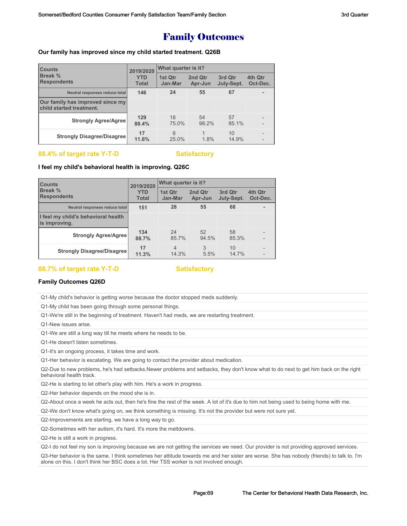## Family Outcomes

#### **Our family has improved since my child started treatment. Q26B**

| <b>Counts</b><br>Break %<br><b>Respondents</b>               | 2019/2020<br><b>YTD</b><br><b>Total</b> | What quarter is it? |                    |                       |                     |  |
|--------------------------------------------------------------|-----------------------------------------|---------------------|--------------------|-----------------------|---------------------|--|
|                                                              |                                         | 1st Qtr<br>Jan-Mar  | 2nd Qtr<br>Apr-Jun | 3rd Qtr<br>July-Sept. | 4th Qtr<br>Oct-Dec. |  |
| Neutral responses reduce total                               | 146                                     | 24                  | 55                 | 67                    | ۰                   |  |
| Our family has improved since my<br>child started treatment. |                                         |                     |                    |                       |                     |  |
| <b>Strongly Agree/Agree</b>                                  | 129<br>88.4%                            | 18<br>75.0%         | 54<br>98.2%        | 57<br>85.1%           | $\overline{a}$      |  |
| <b>Strongly Disagree/Disagree</b>                            | 17<br>11.6%                             | 6<br>25.0%          | 1.8%               | 10<br>14.9%           |                     |  |

#### **88.4% of target rate Y-T-D Satisfactory**

#### **I feel my child's behavioral health is improving. Q26C**

| <b>Counts</b><br><b>Break %</b><br><b>Respondents</b> | 2019/2020<br><b>YTD</b><br><b>Total</b> | What quarter is it?     |                    |                       |                     |
|-------------------------------------------------------|-----------------------------------------|-------------------------|--------------------|-----------------------|---------------------|
|                                                       |                                         | 1st Qtr<br>Jan-Mar      | 2nd Qtr<br>Apr-Jun | 3rd Qtr<br>July-Sept. | 4th Qtr<br>Oct-Dec. |
| Neutral responses reduce total                        | 151                                     | 28                      | 55                 | 68                    |                     |
| I feel my child's behavioral health<br>is improving.  |                                         |                         |                    |                       |                     |
| <b>Strongly Agree/Agree</b>                           | 134<br>88.7%                            | 24<br>85.7%             | 52<br>94.5%        | 58<br>85.3%           |                     |
| <b>Strongly Disagree/Disagree</b>                     | 17<br>11.3%                             | $\overline{4}$<br>14.3% | 3<br>5.5%          | 10<br>14.7%           |                     |

### 88.7% of target rate Y-T-D Satisfactory

#### **Family Outcomes Q26D**

Q1-My child's behavior is getting worse because the doctor stopped meds suddenly.

Q1-My child has been going through some personal things.

Q1-We're still in the beginning of treatment. Haven't had meds, we are restarting treatment.

Q1-New issues arise.

Q1-We are still a long way till he meets where he needs to be.

Q1-He doesn't listen sometimes.

Q1-It's an ongoing process, it takes time and work.

Q1-Her behavior is escalating. We are going to contact the provider about medication.

Q2-Due to new problems, he's had setbacks.Newer problems and setbacks, they don't know what to do next to get him back on the right behavioral health track.

Q2-He is starting to let other's play with him. He's a work in progress.

Q2-Her behavior depends on the mood she is in.

Q2-About once a week he acts out, then he's fine the rest of the week. A lot of it's due to him not being used to being home with me.

Q2-We don't know what's going on, we think something is missing. It's not the provider but were not sure yet.

Q2-Improvements are starting, we have a long way to go.

Q2-Sometimes with her autism, it's hard. It's more the meltdowns.

Q2-He is still a work in progress.

Q2-I do not feel my son is improving because we are not getting the services we need. Our provider is not providing approved services.

Q3-Her behavior is the same. I think sometimes her attitude towards me and her sister are worse. She has nobody (friends) to talk to. I'm alone on this. I don't think her BSC does a lot. Her TSS worker is not involved enough.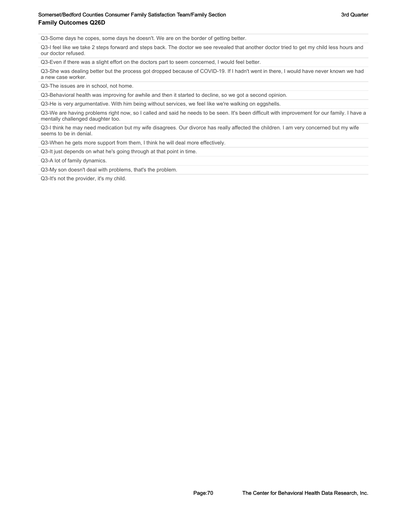#### Somerset/Bedford Counties Consumer Family Satisfaction Team/Family Section Team Section 3rd Quarter **Family Outcomes Q26D**

Q3-Some days he copes, some days he doesn't. We are on the border of getting better.

Q3-I feel like we take 2 steps forward and steps back. The doctor we see revealed that another doctor tried to get my child less hours and our doctor refused.

Q3-Even if there was a slight effort on the doctors part to seem concerned, I would feel better.

Q3-She was dealing better but the process got dropped because of COVID-19. If I hadn't went in there, I would have never known we had a new case worker.

Q3-The issues are in school, not home.

Q3-Behavioral health was improving for awhile and then it started to decline, so we got a second opinion.

Q3-He is very argumentative. With him being without services, we feel like we're walking on eggshells.

Q3-We are having problems right now, so I called and said he needs to be seen. It's been difficult with improvement for our family. I have a mentally challenged daughter too.

Q3-I think he may need medication but my wife disagrees. Our divorce has really affected the children. I am very concerned but my wife seems to be in denial.

Q3-When he gets more support from them, I think he will deal more effectively.

Q3-It just depends on what he's going through at that point in time.

Q3-A lot of family dynamics.

Q3-My son doesn't deal with problems, that's the problem.

Q3-It's not the provider, it's my child.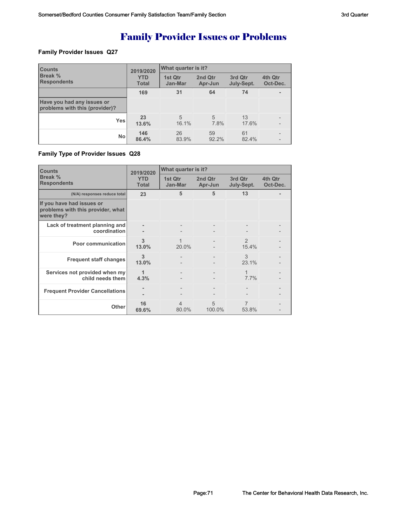# Family Provider Issues or Problems

#### **Family Provider Issues Q27**

| <b>Counts</b><br>Break %<br><b>Respondents</b>               | 2019/2020<br><b>YTD</b><br><b>Total</b> | What quarter is it?     |                    |                       |                          |  |
|--------------------------------------------------------------|-----------------------------------------|-------------------------|--------------------|-----------------------|--------------------------|--|
|                                                              |                                         | 1st Qtr<br>Jan-Mar      | 2nd Qtr<br>Apr-Jun | 3rd Qtr<br>July-Sept. | 4th Qtr<br>Oct-Dec.      |  |
|                                                              | 169                                     | 31                      | 64                 | 74                    | ۰.                       |  |
| Have you had any issues or<br>problems with this (provider)? |                                         |                         |                    |                       |                          |  |
| Yes                                                          | 23<br>13.6%                             | $\overline{5}$<br>16.1% | 5<br>7.8%          | 13<br>17.6%           |                          |  |
| <b>No</b>                                                    | 146<br>86.4%                            | 26<br>83.9%             | 59<br>92.2%        | 61<br>82.4%           | $\overline{\phantom{0}}$ |  |

#### **Family Type of Provider Issues Q28**

| <b>Counts</b><br>Break %<br><b>Respondents</b>                               | 2019/2020<br><b>YTD</b><br><b>Total</b> | What quarter is it? |                    |                        |                     |
|------------------------------------------------------------------------------|-----------------------------------------|---------------------|--------------------|------------------------|---------------------|
|                                                                              |                                         | 1st Qtr<br>Jan-Mar  | 2nd Qtr<br>Apr-Jun | 3rd Qtr<br>July-Sept.  | 4th Qtr<br>Oct-Dec. |
| (N/A) responses reduce total                                                 | 23                                      | 5                   | 5                  | 13                     |                     |
| If you have had issues or<br>problems with this provider, what<br>were they? |                                         |                     |                    |                        |                     |
| Lack of treatment planning and<br>coordination                               | ۰                                       |                     |                    |                        |                     |
| Poor communication                                                           | 3<br>13.0%                              | 20.0%               |                    | $\mathcal{P}$<br>15.4% |                     |
| <b>Frequent staff changes</b>                                                | 3<br>13.0%                              | $\qquad \qquad -$   |                    | 3<br>23.1%             |                     |
| Services not provided when my<br>child needs them                            | 1<br>4.3%                               |                     |                    | 1<br>7.7%              |                     |
| <b>Frequent Provider Cancellations</b>                                       |                                         |                     |                    |                        |                     |
| Other                                                                        | 16<br>69.6%                             | 4<br>80.0%          | 5<br>100.0%        | 7<br>53.8%             |                     |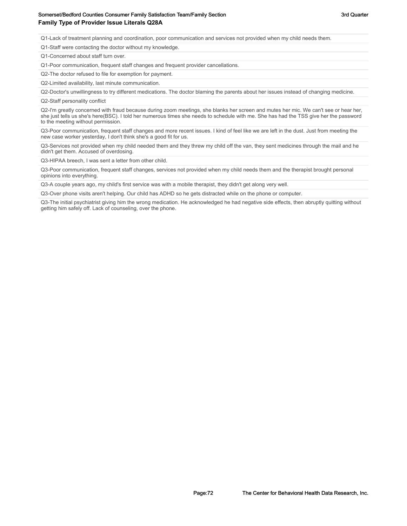#### Somerset/Bedford Counties Consumer Family Satisfaction Team/Family Section Section 3rd Quarter 3rd Quarter **Family Type of Provider Issue Literals Q28A**

Q1-Lack of treatment planning and coordination, poor communication and services not provided when my child needs them.

Q1-Staff were contacting the doctor without my knowledge.

Q1-Concerned about staff turn over.

Q1-Poor communication, frequent staff changes and frequent provider cancellations.

Q2-The doctor refused to file for exemption for payment.

Q2-Limited availability, last minute communication.

Q2-Doctor's unwillingness to try different medications. The doctor blaming the parents about her issues instead of changing medicine.

Q2-Staff personality conflict

Q2-I'm greatly concerned with fraud because during zoom meetings, she blanks her screen and mutes her mic. We can't see or hear her, she just tells us she's here(BSC). I told her numerous times she needs to schedule with me. She has had the TSS give her the password to the meeting without permission.

Q3-Poor communication, frequent staff changes and more recent issues. I kind of feel like we are left in the dust. Just from meeting the new case worker yesterday, I don't think she's a good fit for us.

Q3-Services not provided when my child needed them and they threw my child off the van, they sent medicines through the mail and he didn't get them. Accused of overdosing.

Q3-HIPAA breech, I was sent a letter from other child.

Q3-Poor communication, frequent staff changes, services not provided when my child needs them and the therapist brought personal opinions into everything.

Q3-A couple years ago, my child's first service was with a mobile therapist, they didn't get along very well.

Q3-Over phone visits aren't helping. Our child has ADHD so he gets distracted while on the phone or computer.

Q3-The initial psychiatrist giving him the wrong medication. He acknowledged he had negative side effects, then abruptly quitting without getting him safely off. Lack of counseling, over the phone.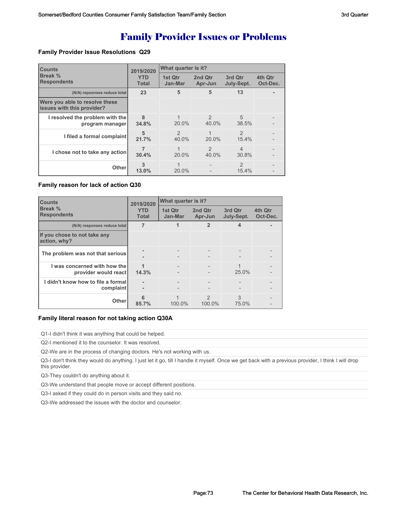## Family Provider Issues or Problems

#### **Family Provider Issue Resolutions Q29**

| <b>Counts</b>                                                | 2019/2020                  | What quarter is it?     |                        |                         |                     |  |
|--------------------------------------------------------------|----------------------------|-------------------------|------------------------|-------------------------|---------------------|--|
| Break %<br><b>Respondents</b>                                | <b>YTD</b><br><b>Total</b> | 1st Qtr<br>Jan-Mar      | 2nd Qtr<br>Apr-Jun     | 3rd Qtr<br>July-Sept.   | 4th Qtr<br>Oct-Dec. |  |
| (N/A) repsonses reduce total                                 | 23                         | 5                       | 5                      | 13                      |                     |  |
| Were you able to resolve these<br>issues with this provider? |                            |                         |                        |                         |                     |  |
| I resolved the problem with the<br>program manager           | $\mathbf{8}$<br>34.8%      | $20.0\%$                | $\mathcal{P}$<br>40.0% | $\overline{5}$<br>38.5% |                     |  |
| I filed a formal complaint                                   | 5<br>21.7%                 | $\mathfrak{D}$<br>40.0% | 20.0%                  | $\mathfrak{D}$<br>15.4% |                     |  |
| I chose not to take any action                               | 30.4%                      | $20.0\%$                | $\mathcal{P}$<br>40.0% | $\overline{4}$<br>30.8% |                     |  |
| <b>Other</b>                                                 | 3<br>13.0%                 | 1<br>$20.0\%$           |                        | $\mathcal{P}$<br>15.4%  |                     |  |

#### **Family reason for lack of action Q30**

| <b>Counts</b>                                        | 2019/2020                  | What quarter is it? |                                               |                       |                     |
|------------------------------------------------------|----------------------------|---------------------|-----------------------------------------------|-----------------------|---------------------|
| Break %<br><b>Respondents</b>                        | <b>YTD</b><br><b>Total</b> | 1st Qtr<br>Jan-Mar  | 2nd Qtr<br>Apr-Jun                            | 3rd Qtr<br>July-Sept. | 4th Qtr<br>Oct-Dec. |
| (N/A) responses reduce total                         | 7                          |                     | 2                                             |                       |                     |
| If you chose to not take any<br>action, why?         |                            |                     |                                               |                       |                     |
| The problem was not that serious                     |                            |                     | $\qquad \qquad$<br>$\overline{\phantom{0}}$   |                       |                     |
| I was concerned with how the<br>provider would react | 14.3%                      |                     | $\qquad \qquad -$<br>$\overline{\phantom{a}}$ | 25.0%                 |                     |
| I didn't know how to file a formal<br>complaint      | ۰                          |                     |                                               |                       |                     |
| <b>Other</b>                                         | հ<br>85.7%                 | $100.0\%$           | 2<br>100.0%                                   | 3<br>75.0%            |                     |

### **Family literal reason for not taking action Q30A**

Q1-I didn't think it was anything that could be helped.

Q2-I mentioned it to the counselor. It was resolved.

Q2-We are in the process of changing doctors. He's not working with us.

Q3-I don't think they would do anything. I just let it go, till I handle it myself. Once we get back with a previous provider, I think I will drop this provider.

Q3-They couldn't do anything about it.

Q3-We understand that people move or accept different positions.

Q3-I asked if they could do in person visits and they said no.

Q3-We addressed the issues with the doctor and counselor.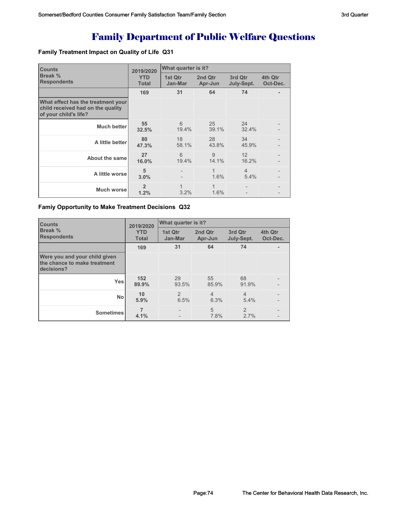# Family Department of Public Welfare Questions

### **Family Treatment Impact on Quality of Life Q31**

| <b>Counts</b>                                                                                    | 2019/2020                  | What quarter is it?  |                      |                        |                     |
|--------------------------------------------------------------------------------------------------|----------------------------|----------------------|----------------------|------------------------|---------------------|
| Break %<br><b>Respondents</b>                                                                    | <b>YTD</b><br><b>Total</b> | 1st Qtr<br>Jan-Mar   | 2nd Qtr<br>Apr-Jun   | 3rd Qtr<br>July-Sept.  | 4th Qtr<br>Oct-Dec. |
|                                                                                                  | 169                        | 31                   | 64                   | 74                     |                     |
| What effect has the treatment your<br>child received had on the quality<br>of your child's life? |                            |                      |                      |                        |                     |
| <b>Much better</b>                                                                               | 55<br>32.5%                | 6<br>19.4%           | 25<br>39.1%          | 24<br>32.4%            |                     |
| A little better                                                                                  | 80<br>47.3%                | 18<br>58.1%          | 28<br>43.8%          | 34<br>45.9%            |                     |
| About the same                                                                                   | 27<br>16.0%                | 6<br>19.4%           | 9<br>14.1%           | 12<br>16.2%            |                     |
| A little worsel                                                                                  | 5<br>3.0%                  |                      | 1.6%                 | $\overline{4}$<br>5.4% |                     |
| Much worsel                                                                                      | $\overline{2}$<br>1.2%     | $\mathbf{1}$<br>3.2% | $\mathbf{1}$<br>1.6% |                        |                     |

### **Famiy Opportunity to Make Treatment Decisions Q32**

| <b>Counts</b><br><b>Break %</b><br><b>Respondents</b>                       | 2019/2020                  | What quarter is it?    |                        |                        |                     |  |
|-----------------------------------------------------------------------------|----------------------------|------------------------|------------------------|------------------------|---------------------|--|
|                                                                             | <b>YTD</b><br><b>Total</b> | 1st Qtr<br>Jan-Mar     | 2nd Qtr<br>Apr-Jun     | 3rd Qtr<br>July-Sept.  | 4th Qtr<br>Oct-Dec. |  |
|                                                                             | 169                        | 31                     | 64                     | 74                     | ۰                   |  |
| Were you and your child given<br>the chance to make treatment<br>decisions? |                            |                        |                        |                        |                     |  |
| <b>Yes</b>                                                                  | 152<br>89.9%               | 29<br>93.5%            | 55<br>85.9%            | 68<br>91.9%            |                     |  |
| <b>No</b>                                                                   | 10<br>5.9%                 | $\overline{2}$<br>6.5% | $\overline{4}$<br>6.3% | $\overline{4}$<br>5.4% |                     |  |
| <b>Sometimes</b>                                                            | 4.1%                       |                        | 5<br>7.8%              | $\overline{2}$<br>2.7% |                     |  |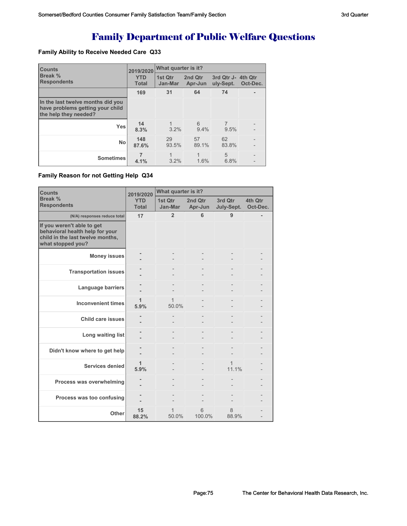# Family Department of Public Welfare Questions

### **Family Ability to Receive Needed Care Q33**

| <b>Counts</b>                                                                                  | 2019/2020                  | What quarter is it? |                    |                         |                     |  |  |
|------------------------------------------------------------------------------------------------|----------------------------|---------------------|--------------------|-------------------------|---------------------|--|--|
| Break %<br><b>Respondents</b>                                                                  | <b>YTD</b><br><b>Total</b> | 1st Qtr<br>Jan-Mar  | 2nd Qtr<br>Apr-Jun | 3rd Qtr J-<br>uly-Sept. | 4th Qtr<br>Oct-Dec. |  |  |
|                                                                                                | 169                        | 31                  | 64                 | 74                      |                     |  |  |
| In the last twelve months did you<br>have problems getting your child<br>the help they needed? |                            |                     |                    |                         |                     |  |  |
| <b>Yes</b>                                                                                     | 14<br>8.3%                 | 3.2%                | 6<br>9.4%          | 7<br>9.5%               |                     |  |  |
| <b>No</b>                                                                                      | 148<br>87.6%               | 29<br>93.5%         | 57<br>89.1%        | 62<br>83.8%             |                     |  |  |
| <b>Sometimes</b>                                                                               | 4.1%                       | 3.2%                | 1.6%               | 5<br>6.8%               |                     |  |  |

### **Family Reason for not Getting Help Q34**

| <b>Counts</b>                                                                                                          | 2019/2020                  | What quarter is it? |                    |                       |                     |  |
|------------------------------------------------------------------------------------------------------------------------|----------------------------|---------------------|--------------------|-----------------------|---------------------|--|
| Break %<br><b>Respondents</b>                                                                                          | <b>YTD</b><br><b>Total</b> | 1st Otr<br>Jan-Mar  | 2nd Otr<br>Apr-Jun | 3rd Qtr<br>July-Sept. | 4th Otr<br>Oct-Dec. |  |
| (N/A) responses reduce total                                                                                           | 17                         | $\overline{2}$      | 6                  | 9                     |                     |  |
| If you weren't able to get<br>behavioral health help for your<br>child in the last twelve months,<br>what stopped you? |                            |                     |                    |                       |                     |  |
| <b>Money issues</b>                                                                                                    |                            |                     |                    |                       |                     |  |
| <b>Transportation issues</b>                                                                                           |                            |                     |                    |                       |                     |  |
| Language barriers                                                                                                      |                            |                     |                    |                       |                     |  |
| <b>Inconvenient times</b>                                                                                              | 1<br>5.9%                  | 1<br>50.0%          |                    |                       |                     |  |
| <b>Child care issues</b>                                                                                               |                            |                     |                    |                       |                     |  |
| Long waiting list                                                                                                      |                            |                     |                    |                       |                     |  |
| Didn't know where to get help                                                                                          |                            |                     |                    |                       |                     |  |
| Services denied                                                                                                        | 1<br>5.9%                  |                     |                    | 1<br>11.1%            |                     |  |
| Process was overwhelming                                                                                               |                            |                     |                    |                       |                     |  |
| Process was too confusing                                                                                              |                            |                     |                    |                       |                     |  |
| Other                                                                                                                  | 15<br>88.2%                | 1<br>50.0%          | 6<br>100.0%        | 8<br>88.9%            |                     |  |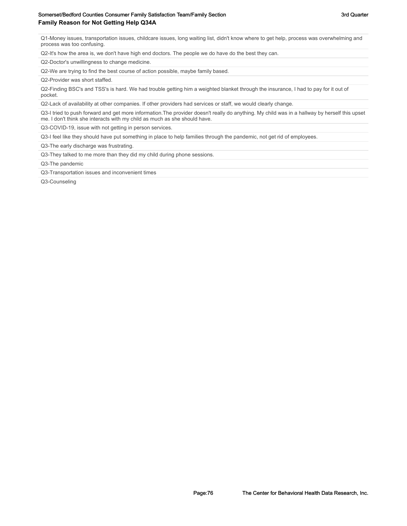Q1-Money issues, transportation issues, childcare issues, long waiting list, didn't know where to get help, process was overwhelming and process was too confusing.

Q2-It's how the area is, we don't have high end doctors. The people we do have do the best they can.

Q2-Doctor's unwillingness to change medicine.

Q2-We are trying to find the best course of action possible, maybe family based.

Q2-Provider was short staffed.

Q2-Finding BSC's and TSS's is hard. We had trouble getting him a weighted blanket through the insurance, I had to pay for it out of pocket.

Q2-Lack of availability at other companies. If other providers had services or staff, we would clearly change.

Q3-I tried to push forward and get more information.The provider doesn't really do anything. My child was in a hallway by herself this upset me. I don't think she interacts with my child as much as she should have.

Q3-COVID-19, issue with not getting in person services.

Q3-I feel like they should have put something in place to help families through the pandemic, not get rid of employees.

Q3-The early discharge was frustrating.

Q3-They talked to me more than they did my child during phone sessions.

Q3-The pandemic

Q3-Transportation issues and inconvenient times

Q3-Counseling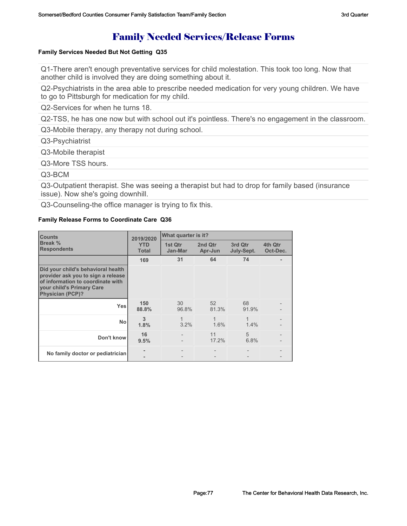# Family Needed Services/Release Forms

### **Family Services Needed But Not Getting Q35**

Q1-There aren't enough preventative services for child molestation. This took too long. Now that another child is involved they are doing something about it.

Q2-Psychiatrists in the area able to prescribe needed medication for very young children. We have to go to Pittsburgh for medication for my child.

Q2-Services for when he turns 18.

Q2-TSS, he has one now but with school out it's pointless. There's no engagement in the classroom.

Q3-Mobile therapy, any therapy not during school.

Q3-Psychiatrist

Q3-Mobile therapist

Q3-More TSS hours.

Q3-BCM

Q3-Outpatient therapist. She was seeing a therapist but had to drop for family based (insurance issue). Now she's going downhill.

Q3-Counseling-the office manager is trying to fix this.

### **Family Release Forms to Coordinate Care Q36**

| <b>Counts</b>                                                                                                                                                         | 2019/2020                  | What quarter is it? |                    |                       |                     |
|-----------------------------------------------------------------------------------------------------------------------------------------------------------------------|----------------------------|---------------------|--------------------|-----------------------|---------------------|
| Break %<br><b>Respondents</b>                                                                                                                                         | <b>YTD</b><br><b>Total</b> | 1st Qtr<br>Jan-Mar  | 2nd Qtr<br>Apr-Jun | 3rd Qtr<br>July-Sept. | 4th Qtr<br>Oct-Dec. |
|                                                                                                                                                                       | 169                        | 31                  | 64                 | 74                    |                     |
| Did your child's behavioral health<br>provider ask you to sign a release<br>of information to coordinate with<br>vour child's Primary Care<br><b>Physician (PCP)?</b> |                            |                     |                    |                       |                     |
| <b>Yes</b>                                                                                                                                                            | 150<br>88.8%               | 30<br>96.8%         | 52<br>81.3%        | 68<br>91.9%           |                     |
| <b>No</b>                                                                                                                                                             | 3<br>1.8%                  | 1<br>3.2%           | 1<br>1.6%          | $\mathbf{1}$<br>1.4%  |                     |
| Don't know                                                                                                                                                            | 16<br>9.5%                 |                     | 11<br>17.2%        | 5<br>6.8%             |                     |
| No family doctor or pediatrician                                                                                                                                      | ۰                          |                     |                    |                       |                     |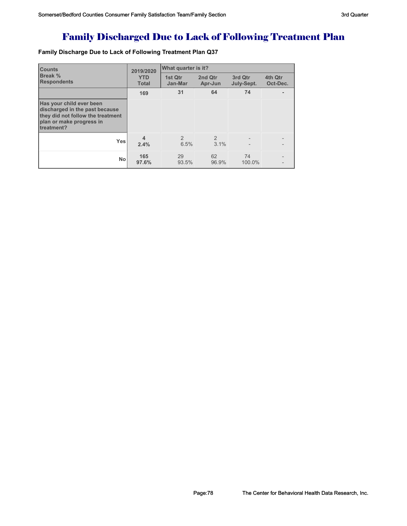# Family Discharged Due to Lack of Following Treatment Plan

**Family Discharge Due to Lack of Following Treatment Plan Q37**

| <b>Counts</b>                                                                                                                             | 2019/2020                  | What quarter is it?    |                    |                       |                     |
|-------------------------------------------------------------------------------------------------------------------------------------------|----------------------------|------------------------|--------------------|-----------------------|---------------------|
| <b>Break</b> %<br><b>Respondents</b>                                                                                                      | <b>YTD</b><br><b>Total</b> | 1st Qtr<br>Jan-Mar     | 2nd Qtr<br>Apr-Jun | 3rd Qtr<br>July-Sept. | 4th Qtr<br>Oct-Dec. |
|                                                                                                                                           | 169                        | 31                     | 64                 | 74                    |                     |
| Has your child ever been<br>discharged in the past because<br>they did not follow the treatment<br>plan or make progress in<br>treatment? |                            |                        |                    |                       |                     |
| <b>Yes</b>                                                                                                                                | $\overline{4}$<br>2.4%     | $\overline{2}$<br>6.5% | 2<br>3.1%          |                       |                     |
| No                                                                                                                                        | 165<br>97.6%               | 29<br>93.5%            | 62<br>96.9%        | 74<br>100.0%          |                     |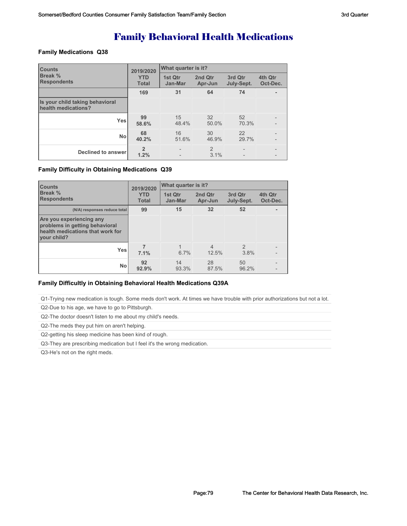# Family Behavioral Health Medications

### **Family Medications Q38**

| <b>Counts</b>                                          | 2019/2020                  | What quarter is it?                                  |                    |                                                      |                     |  |
|--------------------------------------------------------|----------------------------|------------------------------------------------------|--------------------|------------------------------------------------------|---------------------|--|
| Break %<br><b>Respondents</b>                          | <b>YTD</b><br><b>Total</b> | 1st Qtr<br>Jan-Mar                                   | 2nd Qtr<br>Apr-Jun | 3rd Qtr<br>July-Sept.                                | 4th Qtr<br>Oct-Dec. |  |
|                                                        | 169                        | 31                                                   | 64                 | 74                                                   |                     |  |
| Is your child taking behavioral<br>health medications? |                            |                                                      |                    |                                                      |                     |  |
| <b>Yes</b>                                             | 99<br>58.6%                | 15<br>48.4%                                          | 32<br>50.0%        | 52<br>70.3%                                          |                     |  |
| <b>No</b>                                              | 68<br>40.2%                | 16<br>51.6%                                          | 30<br>46.9%        | 22<br>29.7%                                          |                     |  |
| <b>Declined to answer</b>                              | $\overline{2}$<br>1.2%     | $\overline{\phantom{a}}$<br>$\overline{\phantom{a}}$ | 2<br>3.1%          | $\overline{\phantom{a}}$<br>$\overline{\phantom{0}}$ |                     |  |

### **Family Difficulty in Obtaining Medications Q39**

| <b>Counts</b><br><b>Break</b> %<br><b>Respondents</b>                                                         | 2019/2020                  |                    | What quarter is it?     |                       |                     |  |
|---------------------------------------------------------------------------------------------------------------|----------------------------|--------------------|-------------------------|-----------------------|---------------------|--|
|                                                                                                               | <b>YTD</b><br><b>Total</b> | 1st Qtr<br>Jan-Mar | 2nd Qtr<br>Apr-Jun      | 3rd Qtr<br>July-Sept. | 4th Qtr<br>Oct-Dec. |  |
| (N/A) responses reduce total                                                                                  | 99                         | 15                 | 32                      | 52                    |                     |  |
| Are you experiencing any<br>problems in getting behavioral<br>health medications that work for<br>vour child? |                            |                    |                         |                       |                     |  |
| <b>Yes</b>                                                                                                    | 7.1%                       | 6.7%               | $\overline{4}$<br>12.5% | $\mathcal{P}$<br>3.8% |                     |  |
| No                                                                                                            | 92<br>92.9%                | 14<br>93.3%        | 28<br>87.5%             | 50<br>96.2%           |                     |  |

### **Family Difficultly in Obtaining Behavioral Health Medications Q39A**

Q1-Trying new medication is tough. Some meds don't work. At times we have trouble with prior authorizations but not a lot.

Q2-Due to his age, we have to go to Pittsburgh.

Q2-The doctor doesn't listen to me about my child's needs.

Q2-The meds they put him on aren't helping.

Q2-getting his sleep medicine has been kind of rough.

Q3-They are prescribing medication but I feel it's the wrong medication.

Q3-He's not on the right meds.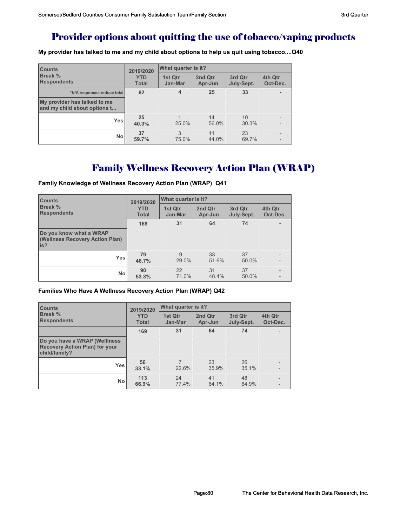### Provider options about quitting the use of tobacco/vaping products

**My provider has talked to me and my child about options to help us quit using tobacco....Q40**

| <b>Counts</b><br><b>Break %</b><br><b>Respondents</b>        | 2019/2020                  | What quarter is it? |                    |                       |                     |  |
|--------------------------------------------------------------|----------------------------|---------------------|--------------------|-----------------------|---------------------|--|
|                                                              | <b>YTD</b><br><b>Total</b> | 1st Qtr<br>Jan-Mar  | 2nd Qtr<br>Apr-Jun | 3rd Qtr<br>July-Sept. | 4th Qtr<br>Oct-Dec. |  |
| *N/A responses reduce total                                  | 62                         | 4                   | 25                 | 33                    |                     |  |
| My provider has talked to me<br>and my child about options t |                            |                     |                    |                       |                     |  |
| Yes                                                          | 25<br>40.3%                | 25.0%               | 14<br>56.0%        | 10<br>30.3%           |                     |  |
| <b>No</b>                                                    | 37<br>59.7%                | 3<br>75.0%          | 11<br>44.0%        | 23<br>69.7%           |                     |  |

## Family Wellness Recovery Action Plan (WRAP)

**Family Knowledge of Wellness Recovery Action Plan (WRAP) Q41**

| <b>Counts</b>                                                      | 2019/2020                  | <b>What quarter is it?</b> |                    |                       |                     |  |
|--------------------------------------------------------------------|----------------------------|----------------------------|--------------------|-----------------------|---------------------|--|
| <b>Break %</b><br><b>Respondents</b>                               | <b>YTD</b><br><b>Total</b> | 1st Qtr<br>Jan-Mar         | 2nd Qtr<br>Apr-Jun | 3rd Qtr<br>July-Sept. | 4th Qtr<br>Oct-Dec. |  |
|                                                                    | 169                        | 31                         | 64                 | 74                    |                     |  |
| Do you know what a WRAP<br>(Wellness Recovery Action Plan)<br>lis? |                            |                            |                    |                       |                     |  |
| <b>Yes</b>                                                         | 79<br>46.7%                | 9<br>29.0%                 | 33<br>51.6%        | 37<br>50.0%           |                     |  |
| <b>No</b>                                                          | 90<br>53.3%                | 22<br>71.0%                | 31<br>48.4%        | 37<br>50.0%           |                     |  |

### **Families Who Have A Wellness Recovery Action Plan (WRAP) Q42**

| <b>Counts</b>                                                                           | 2019/2020                  | What quarter is it? |                    |                       |                     |  |
|-----------------------------------------------------------------------------------------|----------------------------|---------------------|--------------------|-----------------------|---------------------|--|
| <b>Break %</b><br><b>Respondents</b>                                                    | <b>YTD</b><br><b>Total</b> | 1st Qtr<br>Jan-Mar  | 2nd Qtr<br>Apr-Jun | 3rd Qtr<br>July-Sept. | 4th Qtr<br>Oct-Dec. |  |
|                                                                                         | 169                        | 31                  | 64                 | 74                    |                     |  |
| Do you have a WRAP (Welliness<br><b>Recovery Action Plan) for your</b><br>child/family? |                            |                     |                    |                       |                     |  |
| <b>Yes</b>                                                                              | 56<br>33.1%                | 22.6%               | 23<br>35.9%        | 26<br>35.1%           |                     |  |
| <b>No</b>                                                                               | 113<br>66.9%               | 24<br>77.4%         | 41<br>64.1%        | 48<br>64.9%           |                     |  |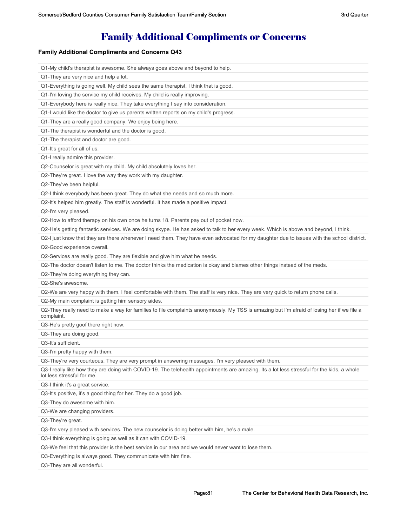# Family Additional Compliments or Concerns

### **Family Additional Compliments and Concerns Q43**

| Q1-My child's therapist is awesome. She always goes above and beyond to help.                                                                                            |
|--------------------------------------------------------------------------------------------------------------------------------------------------------------------------|
| Q1-They are very nice and help a lot.                                                                                                                                    |
| Q1-Everything is going well. My child sees the same therapist, I think that is good.                                                                                     |
| Q1-I'm loving the service my child receives. My child is really improving.                                                                                               |
| Q1-Everybody here is really nice. They take everything I say into consideration.                                                                                         |
| Q1-I would like the doctor to give us parents written reports on my child's progress.                                                                                    |
| Q1-They are a really good company. We enjoy being here.                                                                                                                  |
| Q1-The therapist is wonderful and the doctor is good.                                                                                                                    |
| Q1-The therapist and doctor are good.                                                                                                                                    |
| Q1-It's great for all of us.                                                                                                                                             |
| Q1-I really admire this provider.                                                                                                                                        |
| Q2-Counselor is great with my child. My child absolutely loves her.                                                                                                      |
| Q2-They're great. I love the way they work with my daughter.                                                                                                             |
| Q2-They've been helpful.                                                                                                                                                 |
| Q2-I think everybody has been great. They do what she needs and so much more.                                                                                            |
| Q2-It's helped him greatly. The staff is wonderful. It has made a positive impact.                                                                                       |
| Q2-I'm very pleased.                                                                                                                                                     |
| Q2-How to afford therapy on his own once he turns 18. Parents pay out of pocket now.                                                                                     |
| Q2-He's getting fantastic services. We are doing skype. He has asked to talk to her every week. Which is above and beyond, I think.                                      |
| Q2-I just know that they are there whenever I need them. They have even advocated for my daughter due to issues with the school district.                                |
| Q2-Good experience overall.                                                                                                                                              |
| Q2-Services are really good. They are flexible and give him what he needs.                                                                                               |
| Q2-The doctor doesn't listen to me. The doctor thinks the medication is okay and blames other things instead of the meds.                                                |
| Q2-They're doing everything they can.                                                                                                                                    |
| Q2-She's awesome.                                                                                                                                                        |
| Q2-We are very happy with them. I feel comfortable with them. The staff is very nice. They are very quick to return phone calls.                                         |
| Q2-My main complaint is getting him sensory aides.                                                                                                                       |
| Q2-They really need to make a way for families to file complaints anonymously. My TSS is amazing but I'm afraid of losing her if we file a<br>complaint.                 |
| Q3-He's pretty goof there right now.                                                                                                                                     |
| Q3-They are doing good.                                                                                                                                                  |
| Q3-It's sufficient.                                                                                                                                                      |
| Q3-I'm pretty happy with them.                                                                                                                                           |
| Q3-They're very courteous. They are very prompt in answering messages. I'm very pleased with them.                                                                       |
| Q3-I really like how they are doing with COVID-19. The telehealth appointments are amazing. Its a lot less stressful for the kids, a whole<br>lot less stressful for me. |
| Q3-I think it's a great service.                                                                                                                                         |
| Q3-It's positive, it's a good thing for her. They do a good job.                                                                                                         |
| Q3-They do awesome with him.                                                                                                                                             |
| Q3-We are changing providers.                                                                                                                                            |
| Q3-They're great.                                                                                                                                                        |
| Q3-I'm very pleased with services. The new counselor is doing better with him, he's a male.                                                                              |
| Q3-I think everything is going as well as it can with COVID-19.                                                                                                          |
| Q3-We feel that this provider is the best service in our area and we would never want to lose them.                                                                      |
| Q3-Everything is always good. They communicate with him fine.                                                                                                            |
| Q3-They are all wonderful.                                                                                                                                               |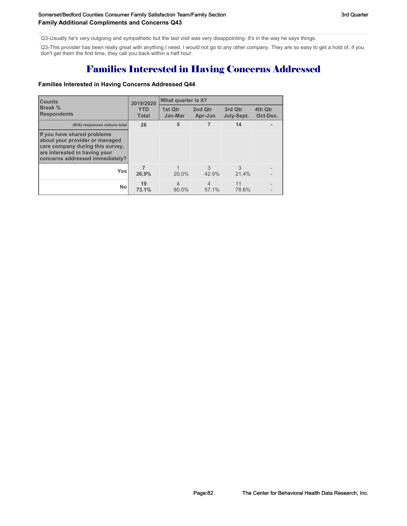Q3-Usually he's very outgoing and sympathetic but the last visit was very disappointing. It's in the way he says things.

Q3-This provider has been really great with anything I need. I would not go to any other company. They are so easy to get a hold of, if you don't get them the first time, they call you back within a half hour.

# Families Interested in Having Concerns Addressed

### **Families Interested in Having Concerns Addressed Q44**

| <b>Counts</b>                                                                                                                                                         | 2019/2020                  | What quarter is it?     |                                          |             |                     |  |  |
|-----------------------------------------------------------------------------------------------------------------------------------------------------------------------|----------------------------|-------------------------|------------------------------------------|-------------|---------------------|--|--|
| Break %<br><b>Respondents</b>                                                                                                                                         | <b>YTD</b><br><b>Total</b> |                         | 2nd Qtr<br>1st Qtr<br>Jan-Mar<br>Apr-Jun |             | 4th Qtr<br>Oct-Dec. |  |  |
| (N/A) responses reduce total                                                                                                                                          | 26                         | 5                       | 7                                        | 14          |                     |  |  |
| If you have shared problems<br>about your provider or managed<br>care company during this survey,<br>are interested in having your<br>concerns addressed immediately? |                            |                         |                                          |             |                     |  |  |
| <b>Yes</b>                                                                                                                                                            | 26.9%                      | $20.0\%$                | 3<br>42.9%                               | 3<br>21.4%  |                     |  |  |
| No                                                                                                                                                                    | 19<br>73.1%                | $\overline{4}$<br>80.0% | $\overline{4}$<br>57.1%                  | 11<br>78.6% |                     |  |  |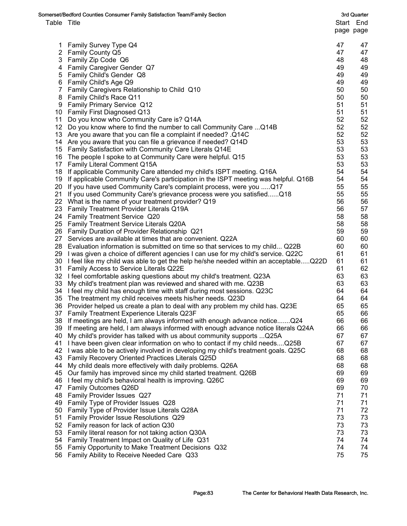|             | Somerset/Bedford Counties Consumer Family Satisfaction Team/Family Section              |    | 3rd Quarter |
|-------------|-----------------------------------------------------------------------------------------|----|-------------|
| Table Title |                                                                                         |    | Start End   |
|             |                                                                                         |    | page page   |
|             |                                                                                         |    |             |
|             | 1 Family Survey Type Q4                                                                 | 47 | 47          |
|             | 2 Family County Q5                                                                      | 47 | 47          |
|             | 3 Family Zip Code Q6                                                                    | 48 | 48          |
|             | 4 Family Caregiver Gender Q7                                                            | 49 | 49          |
|             | 5 Family Child's Gender Q8                                                              | 49 | 49          |
|             | 6 Family Child's Age Q9                                                                 | 49 | 49          |
|             | 7 Family Caregivers Relationship to Child Q10                                           | 50 | 50          |
|             | 8 Family Child's Race Q11                                                               | 50 | 50          |
| 9           | <b>Family Primary Service Q12</b>                                                       | 51 | 51          |
|             | 10 Family First Diagnosed Q13                                                           | 51 | 51          |
|             | 11 Do you know who Community Care is? Q14A                                              | 52 | 52          |
|             | 12 Do you know where to find the number to call Community Care  Q14B                    | 52 | 52          |
|             | 13 Are you aware that you can file a complaint if needed? .Q14C                         | 52 | 52          |
|             | 14 Are you aware that you can file a grievance if needed? Q14D                          | 53 | 53          |
|             | 15 Family Satisfaction with Community Care Literals Q14E                                | 53 | 53          |
|             | 16 The people I spoke to at Community Care were helpful. Q15                            | 53 | 53          |
|             | 17 Family Literal Comment Q15A                                                          | 53 | 53          |
|             | 18 If applicable Community Care attended my child's ISPT meeting. Q16A                  | 54 | 54          |
|             | 19 If applicable Community Care's participation in the ISPT meeting was helpful. Q16B   | 54 | 54          |
|             | 20 If you have used Community Care's complaint process, were you  Q17                   | 55 | 55          |
|             | 21 If you used Community Care's grievance process were you satisfiedQ18                 | 55 | 55          |
|             | 22 What is the name of your treatment provider? Q19                                     | 56 | 56          |
|             | 23 Family Treatment Provider Literals Q19A                                              | 56 | 57          |
|             | 24 Family Treatment Service Q20                                                         | 58 | 58          |
|             | 25 Family Treatment Service Literals Q20A                                               | 58 | 58          |
|             | 26 Family Duration of Provider Relationship Q21                                         | 59 | 59          |
|             | 27 Services are available at times that are convenient. Q22A                            | 60 | 60          |
|             | 28 Evaluation information is submitted on time so that services to my child Q22B        | 60 | 60          |
|             | 29 I was given a choice of different agencies I can use for my child's service. Q22C    | 61 | 61          |
|             | 30 I feel like my child was able to get the help he/she needed within an acceptableQ22D | 61 | 61          |
|             | 31 Family Access to Service Literals Q22E                                               | 61 | 62          |
|             | 32 I feel comfortable asking questions about my child's treatment. Q23A                 | 63 | 63          |
|             | 33 My child's treatment plan was reviewed and shared with me. Q23B                      | 63 | 63          |
|             | 34 I feel my child has enough time with staff during most sessions. Q23C                | 64 | 64          |
| 35          | The treatment my child receives meets his/her needs. Q23D                               | 64 | 64          |
|             | 36 Provider helped us create a plan to deal with any problem my child has. Q23E         | 65 | 65          |
| 37          | Family Treatment Experience Literals Q23F                                               | 65 | 66          |
| 38          | If meetings are held, I am always informed with enough advance notice Q24               | 66 | 66          |
|             | 39 If meeting are held, I am always informed with enough advance notice literals Q24A   | 66 | 66          |
| 40          | My child's provider has talked with us about community supports  Q25A                   | 67 | 67          |
| 41          | I have been given clear information on who to contact if my child needsQ25B             | 67 | 67          |
| 42          | I was able to be actively involved in developing my child's treatment goals. Q25C       | 68 | 68          |
| 43          | Family Recovery Oriented Practices Literals Q25D                                        | 68 | 68          |
| 44          | My child deals more effectively with daily problems. Q26A                               | 68 | 68          |
| 45          | Our family has improved since my child started treatment. Q26B                          | 69 | 69          |
| 46          | I feel my child's behavioral health is improving. Q26C                                  | 69 | 69          |
| 47          | Family Outcomes Q26D                                                                    | 69 | 70          |
| 48          | Family Provider Issues Q27                                                              | 71 | 71          |
| 49          | Family Type of Provider Issues Q28                                                      | 71 | 71          |
| 50          | Family Type of Provider Issue Literals Q28A                                             | 71 | 72          |
| 51          | Family Provider Issue Resolutions Q29                                                   | 73 | 73          |
| 52          | Family reason for lack of action Q30                                                    | 73 | 73          |
| 53          | Family literal reason for not taking action Q30A                                        | 73 | 73          |
| 54          | Family Treatment Impact on Quality of Life Q31                                          | 74 | 74          |
| 55          | Famiy Opportunity to Make Treatment Decisions Q32                                       | 74 | 74          |
| 56          | Family Ability to Receive Needed Care Q33                                               | 75 | 75          |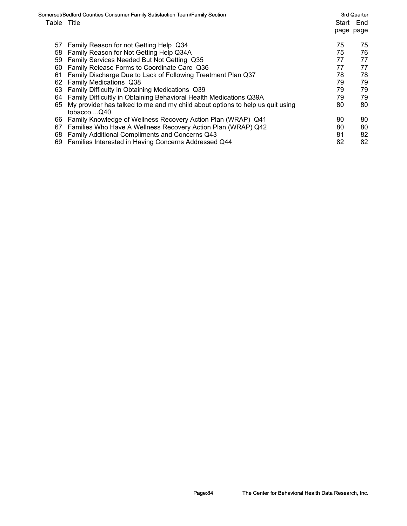| Table Title | Somerset/Bedford Counties Consumer Family Satisfaction Team/Family Section                  |    | 3rd Quarter<br>Start End<br>page page |
|-------------|---------------------------------------------------------------------------------------------|----|---------------------------------------|
| 57          | Family Reason for not Getting Help Q34                                                      | 75 | 75                                    |
| 58          | Family Reason for Not Getting Help Q34A                                                     | 75 | 76                                    |
| 59          | Family Services Needed But Not Getting Q35                                                  | 77 | 77                                    |
| 60          | Family Release Forms to Coordinate Care Q36                                                 | 77 | 77                                    |
| 61          | Family Discharge Due to Lack of Following Treatment Plan Q37                                | 78 | 78                                    |
| 62          | Family Medications Q38                                                                      | 79 | 79                                    |
| 63          | Family Difficulty in Obtaining Medications Q39                                              | 79 | 79                                    |
| 64          | Family Difficultly in Obtaining Behavioral Health Medications Q39A                          | 79 | 79                                    |
| 65          | My provider has talked to me and my child about options to help us quit using<br>tobaccoQ40 | 80 | 80                                    |
| 66          | Family Knowledge of Wellness Recovery Action Plan (WRAP) Q41                                | 80 | 80                                    |
| 67          | Families Who Have A Wellness Recovery Action Plan (WRAP) Q42                                | 80 | 80                                    |
| 68          | Family Additional Compliments and Concerns Q43                                              | 81 | 82                                    |
| 69          | Families Interested in Having Concerns Addressed Q44                                        | 82 | 82                                    |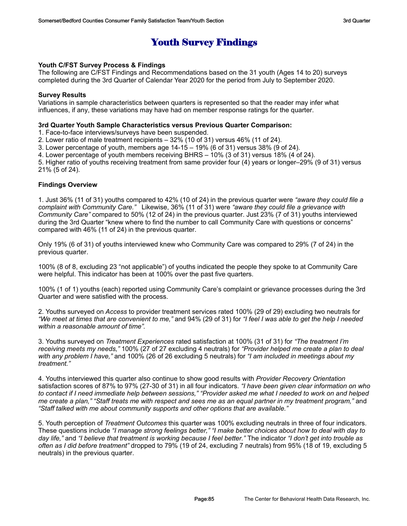# Youth Survey Findings

### **Youth C/FST Survey Process & Findings**

The following are C/FST Findings and Recommendations based on the 31 youth (Ages 14 to 20) surveys completed during the 3rd Quarter of Calendar Year 2020 for the period from July to September 2020.

### **Survey Results**

Variations in sample characteristics between quarters is represented so that the reader may infer what influences, if any, these variations may have had on member response ratings for the quarter.

### **3rd Quarter Youth Sample Characteristics versus Previous Quarter Comparison:**

1. Face-to-face interviews/surveys have been suspended.

2. Lower ratio of male treatment recipients – 32% (10 of 31) versus 46% (11 of 24).

3. Lower percentage of youth, members age 14-15 – 19% (6 of 31) versus 38% (9 of 24).

4. Lower percentage of youth members receiving BHRS – 10% (3 of 31) versus 18% (4 of 24).

5. Higher ratio of youths receiving treatment from same provider four (4) years or longer–29% (9 of 31) versus 21% (5 of 24).

### **Findings Overview**

1. Just 36% (11 of 31) youths compared to 42% (10 of 24) in the previous quarter were *"aware they could file a complaint with Community Care."* Likewise, 36% (11 of 31) were *"aware they could file a grievance with Community Care"* compared to 50% (12 of 24) in the previous quarter. Just 23% (7 of 31) youths interviewed during the 3rd Quarter "knew where to find the number to call Community Care with questions or concerns" compared with 46% (11 of 24) in the previous quarter.

Only 19% (6 of 31) of youths interviewed knew who Community Care was compared to 29% (7 of 24) in the previous quarter.

100% (8 of 8, excluding 23 "not applicable") of youths indicated the people they spoke to at Community Care were helpful. This indicator has been at 100% over the past five quarters.

100% (1 of 1) youths (each) reported using Community Care's complaint or grievance processes during the 3rd Quarter and were satisfied with the process.

2. Youths surveyed on *Access* to provider treatment services rated 100% (29 of 29) excluding two neutrals for *"We meet at times that are convenient to me,"* and 94% (29 of 31) for *"I feel I was able to get the help I needed within a reasonable amount of time".*

3. Youths surveyed on *Treatment Experiences* rated satisfaction at 100% (31 of 31) for *"The treatment I'm receiving meets my needs,"* 100% (27 of 27 excluding 4 neutrals) for *"Provider helped me create a plan to deal with any problem I have,"* and 100% (26 of 26 excluding 5 neutrals) for *"I am included in meetings about my treatment."*

4. Youths interviewed this quarter also continue to show good results with *Provider Recovery Orientation* satisfaction scores of 87% to 97% (27-30 of 31) in all four indicators. *"I have been given clear information on who to contact if I need immediate help between sessions," "Provider asked me what I needed to work on and helped me create a plan," "Staff treats me with respect and sees me as an equal partner in my treatment program,"* and *"Staff talked with me about community supports and other options that are available."*

5. Youth perception of *Treatment Outcomes* this quarter was 100% excluding neutrals in three of four indicators. These questions include *"I manage strong feelings better," "I make better choices about how to deal with day to day life,"* and *"I believe that treatment is working because I feel better."* The indicator *"I don't get into trouble as often as I did before treatment"* dropped to 79% (19 of 24, excluding 7 neutrals) from 95% (18 of 19, excluding 5 neutrals) in the previous quarter.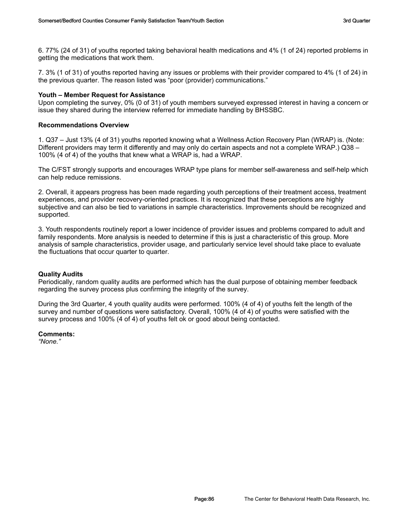6. 77% (24 of 31) of youths reported taking behavioral health medications and 4% (1 of 24) reported problems in getting the medications that work them.

7. 3% (1 of 31) of youths reported having any issues or problems with their provider compared to 4% (1 of 24) in the previous quarter. The reason listed was "poor (provider) communications."

### **Youth – Member Request for Assistance**

Upon completing the survey, 0% (0 of 31) of youth members surveyed expressed interest in having a concern or issue they shared during the interview referred for immediate handling by BHSSBC.

### **Recommendations Overview**

1. Q37 – Just 13% (4 of 31) youths reported knowing what a Wellness Action Recovery Plan (WRAP) is. (Note: Different providers may term it differently and may only do certain aspects and not a complete WRAP.) Q38 – 100% (4 of 4) of the youths that knew what a WRAP is, had a WRAP.

The C/FST strongly supports and encourages WRAP type plans for member self-awareness and self-help which can help reduce remissions.

2. Overall, it appears progress has been made regarding youth perceptions of their treatment access, treatment experiences, and provider recovery-oriented practices. It is recognized that these perceptions are highly subjective and can also be tied to variations in sample characteristics. Improvements should be recognized and supported.

3. Youth respondents routinely report a lower incidence of provider issues and problems compared to adult and family respondents. More analysis is needed to determine if this is just a characteristic of this group. More analysis of sample characteristics, provider usage, and particularly service level should take place to evaluate the fluctuations that occur quarter to quarter.

### **Quality Audits**

Periodically, random quality audits are performed which has the dual purpose of obtaining member feedback regarding the survey process plus confirming the integrity of the survey.

During the 3rd Quarter, 4 youth quality audits were performed. 100% (4 of 4) of youths felt the length of the survey and number of questions were satisfactory. Overall, 100% (4 of 4) of youths were satisfied with the survey process and 100% (4 of 4) of youths felt ok or good about being contacted.

### **Comments:**

*"None."*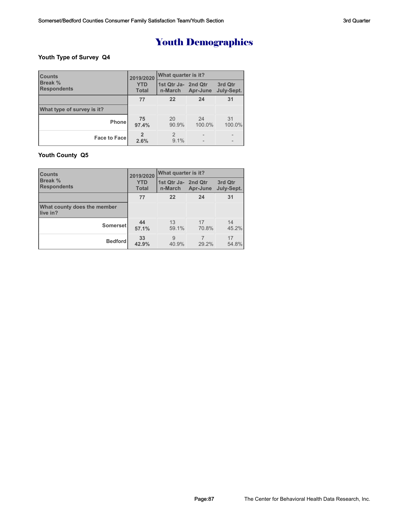### **Youth Type of Survey Q4**

| <b>Counts</b>                        | 2019/2020<br><b>YTD</b><br><b>Total</b> | What quarter is it?            |              |                          |  |
|--------------------------------------|-----------------------------------------|--------------------------------|--------------|--------------------------|--|
| <b>Break %</b><br><b>Respondents</b> |                                         | 1st Qtr Ja- 2nd Qtr<br>n-March | Apr-June     | 3rd Qtr<br>July-Sept.    |  |
|                                      | 77                                      | 22                             | 24           | 31                       |  |
| What type of survey is it?           |                                         |                                |              |                          |  |
| <b>Phone</b>                         | 75<br>97.4%                             | 20<br>90.9%                    | 24<br>100.0% | 31<br>100.0%             |  |
| <b>Face to Face</b>                  | 2.6%                                    | 2<br>9.1%                      |              | $\overline{\phantom{0}}$ |  |

### **Youth County Q5**

| <b>Counts</b>                           | 2019/2020                  | <b>What quarter is it?</b>     |             |                       |  |
|-----------------------------------------|----------------------------|--------------------------------|-------------|-----------------------|--|
| <b>Break %</b><br><b>Respondents</b>    | <b>YTD</b><br><b>Total</b> | 1st Qtr Ja- 2nd Qtr<br>n-March | Apr-June    | 3rd Qtr<br>July-Sept. |  |
|                                         | 77                         | 22                             | 24          | 31                    |  |
| What county does the member<br>live in? |                            |                                |             |                       |  |
| <b>Somerset</b>                         | 44<br>57.1%                | 13<br>59.1%                    | 17<br>70.8% | 14<br>45.2%           |  |
| <b>Bedford</b>                          | 33<br>42.9%                | 9<br>40.9%                     | 29.2%       | 17<br>54.8%           |  |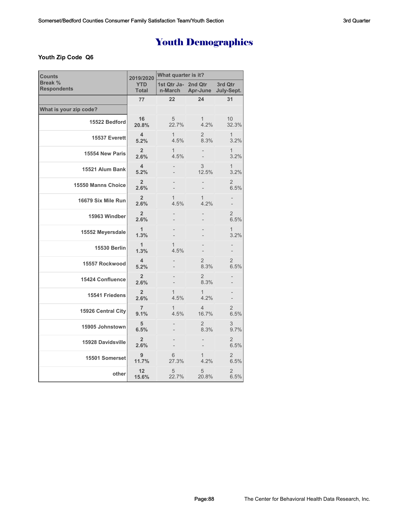### **Youth Zip Code Q6**

| <b>Counts</b>                        | 2019/2020                       | What quarter is it?    |                         |                        |  |
|--------------------------------------|---------------------------------|------------------------|-------------------------|------------------------|--|
| <b>Break %</b><br><b>Respondents</b> | <b>YTD</b><br><b>Total</b>      | 1st Qtr Ja-<br>n-March | 2nd Qtr<br>Apr-June     | 3rd Qtr<br>July-Sept.  |  |
|                                      | 77                              | 22                     | 24                      | 31                     |  |
| What is your zip code?               |                                 |                        |                         |                        |  |
| 15522 Bedford                        | 16<br>20.8%                     | 5<br>22.7%             | 1<br>4.2%               | 10<br>32.3%            |  |
| 15537 Everett                        | $\overline{\mathbf{4}}$<br>5.2% | $\mathbf{1}$<br>4.5%   | $\overline{2}$<br>8.3%  | $\mathbf{1}$<br>3.2%   |  |
| 15554 New Paris                      | $\overline{2}$<br>2.6%          | $\mathbf{1}$<br>4.5%   |                         | $\mathbf{1}$<br>3.2%   |  |
| 15521 Alum Bank                      | $\overline{4}$<br>5.2%          |                        | 3<br>12.5%              | $\mathbf{1}$<br>3.2%   |  |
| 15550 Manns Choice                   | $\overline{2}$<br>2.6%          |                        |                         | $\overline{2}$<br>6.5% |  |
| 16679 Six Mile Run                   | $\overline{2}$<br>2.6%          | $\mathbf{1}$<br>4.5%   | 1<br>4.2%               |                        |  |
| 15963 Windber                        | $\overline{2}$<br>2.6%          |                        |                         | $\overline{2}$<br>6.5% |  |
| 15552 Meyersdale                     | $\mathbf{1}$<br>1.3%            |                        |                         | $\mathbf{1}$<br>3.2%   |  |
| <b>15530 Berlin</b>                  | 1<br>1.3%                       | $\mathbf{1}$<br>4.5%   |                         |                        |  |
| 15557 Rockwood                       | 4<br>5.2%                       |                        | 2<br>8.3%               | $\overline{2}$<br>6.5% |  |
| <b>15424 Confluence</b>              | $\overline{2}$<br>2.6%          |                        | $\overline{2}$<br>8.3%  |                        |  |
| 15541 Friedens                       | $\overline{2}$<br>2.6%          | 1<br>4.5%              | 1<br>4.2%               |                        |  |
| 15926 Central City                   | $\overline{7}$<br>9.1%          | $\mathbf{1}$<br>4.5%   | $\overline{4}$<br>16.7% | $\overline{2}$<br>6.5% |  |
| 15905 Johnstown                      | 5<br>6.5%                       |                        | $\overline{2}$<br>8.3%  | 3<br>9.7%              |  |
| 15928 Davidsville                    | $\overline{2}$<br>2.6%          |                        |                         | $\overline{2}$<br>6.5% |  |
| 15501 Somerset                       | 9<br>11.7%                      | 6<br>27.3%             | 1<br>4.2%               | $\overline{2}$<br>6.5% |  |
| other                                | 12<br>15.6%                     | 5<br>22.7%             | 5<br>20.8%              | $\overline{2}$<br>6.5% |  |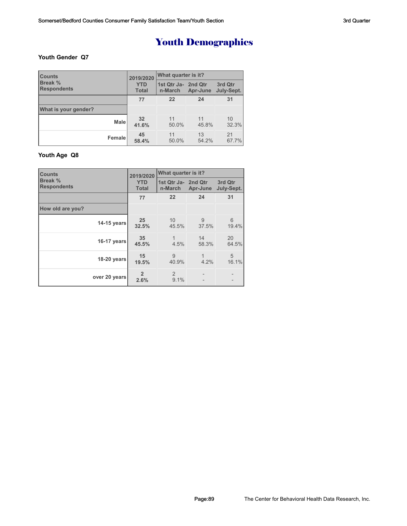### **Youth Gender Q7**

| <b>Counts</b>                        | 2019/2020<br><b>YTD</b><br><b>Total</b> | What quarter is it?            |             |                       |  |
|--------------------------------------|-----------------------------------------|--------------------------------|-------------|-----------------------|--|
| <b>Break %</b><br><b>Respondents</b> |                                         | 1st Qtr Ja- 2nd Qtr<br>n-March | Apr-June    | 3rd Qtr<br>July-Sept. |  |
|                                      | 77                                      | 22                             | 24          | 31                    |  |
| What is your gender?                 |                                         |                                |             |                       |  |
| <b>Male</b>                          | 32<br>41.6%                             | 11<br>50.0%                    | 11<br>45.8% | 10<br>32.3%           |  |
| Female                               | 45<br>58.4%                             | 11<br>50.0%                    | 13<br>54.2% | 21<br>67.7%           |  |

### **Youth Age Q8**

| <b>Counts</b>                 | 2019/2020                  | What quarter is it?            |             |                       |  |
|-------------------------------|----------------------------|--------------------------------|-------------|-----------------------|--|
| Break %<br><b>Respondents</b> | <b>YTD</b><br><b>Total</b> | 1st Qtr Ja- 2nd Qtr<br>n-March | Apr-June    | 3rd Qtr<br>July-Sept. |  |
|                               | 77                         | 22                             | 24          | 31                    |  |
| How old are you?              |                            |                                |             |                       |  |
| 14-15 years                   | 25<br>32.5%                | 10<br>45.5%                    | 9<br>37.5%  | 6<br>19.4%            |  |
| 16-17 years                   | 35<br>45.5%                | 1<br>4.5%                      | 14<br>58.3% | 20<br>64.5%           |  |
| 18-20 years                   | 15<br>19.5%                | 9<br>40.9%                     | 4.2%        | 5<br>16.1%            |  |
| over 20 years                 | $\mathfrak{p}$<br>2.6%     | $\mathcal{P}$<br>9.1%          |             |                       |  |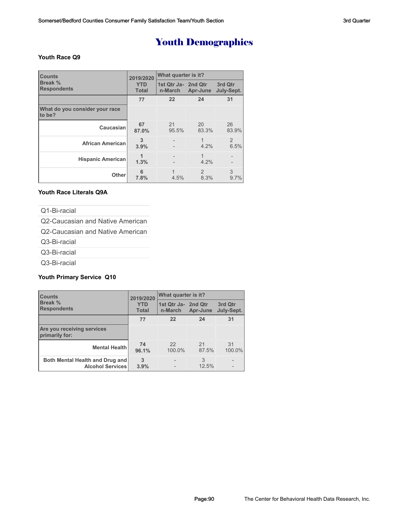### **Youth Race Q9**

| <b>Counts</b>                            | 2019/2020                  | What quarter is it?             |                       |                       |  |
|------------------------------------------|----------------------------|---------------------------------|-----------------------|-----------------------|--|
| Break %<br><b>Respondents</b>            | <b>YTD</b><br><b>Total</b> | 11st Qtr Ja- 2nd Qtr<br>n-March | Apr-June              | 3rd Qtr<br>July-Sept. |  |
|                                          | 77                         | 22                              | 24                    | 31                    |  |
| What do you consider your race<br>to be? |                            |                                 |                       |                       |  |
| Caucasian                                | 67<br>87.0%                | 21<br>95.5%                     | 20<br>83.3%           | 26<br>83.9%           |  |
| <b>African American</b>                  | 3<br>3.9%                  |                                 | 4.2%                  | 2<br>6.5%             |  |
| <b>Hispanic American</b>                 | 1.3%                       |                                 | 4.2%                  |                       |  |
| Other                                    | 6<br>7.8%                  | 1<br>4.5%                       | $\mathcal{P}$<br>8.3% | 3<br>9.7%             |  |

### **Youth Race Literals Q9A**

Q1-Bi-racial

Q2-Caucasian and Native American

Q2-Caucasian and Native American

Q3-Bi-racial

Q3-Bi-racial

Q3-Bi-racial

### **Youth Primary Service Q10**

| <b>Counts</b>                                              | 2019/2020                  | What quarter is it?            |             |                       |  |
|------------------------------------------------------------|----------------------------|--------------------------------|-------------|-----------------------|--|
| Break %<br><b>Respondents</b>                              | <b>YTD</b><br><b>Total</b> | 1st Qtr Ja- 2nd Qtr<br>n-March | Apr-June    | 3rd Qtr<br>July-Sept. |  |
|                                                            | 77                         | 22                             | 24          | 31                    |  |
| Are you receiving services<br>primarily for:               |                            |                                |             |                       |  |
| <b>Mental Health</b>                                       | 74<br>96.1%                | 22<br>100.0%                   | 21<br>87.5% | 31<br>100.0%          |  |
| Both Mental Health and Drug and<br><b>Alcohol Services</b> | 3<br>3.9%                  |                                | 3<br>12.5%  |                       |  |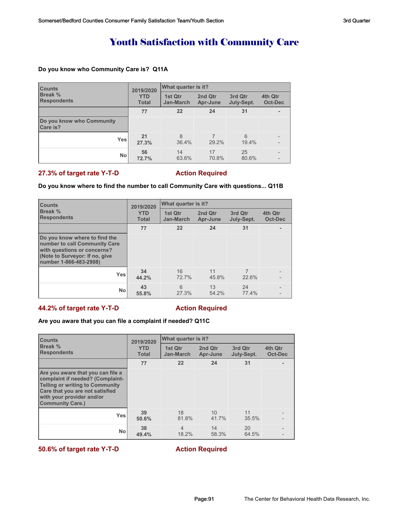## Youth Satisfaction with Community Care

### **Do you know who Community Care is? Q11A**

| <b>Counts</b>                         | 2019/2020                  | What quarter is it?         |                     |                       |                    |
|---------------------------------------|----------------------------|-----------------------------|---------------------|-----------------------|--------------------|
| <b>Break %</b><br><b>Respondents</b>  | <b>YTD</b><br><b>Total</b> | 1st Qtr<br><b>Jan-March</b> | 2nd Qtr<br>Apr-June | 3rd Qtr<br>July-Sept. | 4th Qtr<br>Oct-Dec |
|                                       | 77                         | 22                          | 24                  | 31                    |                    |
| Do you know who Community<br>Care is? |                            |                             |                     |                       |                    |
| <b>Yes</b>                            | 21<br>27.3%                | 8<br>36.4%                  | 29.2%               | 6<br>19.4%            |                    |
| <b>No</b>                             | 56<br>72.7%                | 14<br>63.6%                 | 17<br>70.8%         | 25<br>80.6%           |                    |

### **27.3% of target rate Y-T-D Action Required**

### **Do you know where to find the number to call Community Care with questions... Q11B**

| <b>Counts</b>                                                                                                                                             | 2019/2020                  | What quarter is it?         |                     |                       |                    |
|-----------------------------------------------------------------------------------------------------------------------------------------------------------|----------------------------|-----------------------------|---------------------|-----------------------|--------------------|
| <b>Break %</b><br><b>Respondents</b>                                                                                                                      | <b>YTD</b><br><b>Total</b> | 1st Qtr<br><b>Jan-March</b> | 2nd Qtr<br>Apr-June | 3rd Qtr<br>July-Sept. | 4th Qtr<br>Oct-Dec |
|                                                                                                                                                           | 77                         | 22                          | 24                  | 31                    |                    |
| Do you know where to find the<br>number to call Community Care<br>with questions or concerns?<br>(Note to Surveyor: If no, give<br>number 1-866-483-2908) |                            |                             |                     |                       |                    |
| <b>Yes</b>                                                                                                                                                | 34<br>44.2%                | 16<br>72.7%                 | 11<br>45.8%         | 22.6%                 |                    |
| <b>No</b>                                                                                                                                                 | 43<br>55.8%                | 6<br>27.3%                  | 13<br>54.2%         | 24<br>77.4%           |                    |

### **44.2% of target rate Y-T-D Action Required**

### **Are you aware that you can file a complaint if needed? Q11C**

| <b>Counts</b>                                                                                                                                                                                              | 2019/2020                  | What quarter is it?     |                     |                       |                    |
|------------------------------------------------------------------------------------------------------------------------------------------------------------------------------------------------------------|----------------------------|-------------------------|---------------------|-----------------------|--------------------|
| Break %<br><b>Respondents</b>                                                                                                                                                                              | <b>YTD</b><br><b>Total</b> | 1st Otr<br>Jan-March    | 2nd Qtr<br>Apr-June | 3rd Qtr<br>July-Sept. | 4th Qtr<br>Oct-Dec |
|                                                                                                                                                                                                            | 77                         | 22                      | 24                  | 31                    |                    |
| Are you aware that you can file a<br>complaint if needed? (Complaint-<br><b>Telling or writing to Community</b><br>Care that you are not satisfied<br>with your provider and/or<br><b>Community Care.)</b> |                            |                         |                     |                       |                    |
| <b>Yes</b>                                                                                                                                                                                                 | 39<br>50.6%                | 18<br>81.8%             | 10<br>41.7%         | 11<br>35.5%           |                    |
| <b>No</b>                                                                                                                                                                                                  | 38<br>49.4%                | $\overline{4}$<br>18.2% | 14<br>58.3%         | 20<br>64.5%           |                    |

**50.6% of target rate Y-T-D** Action Required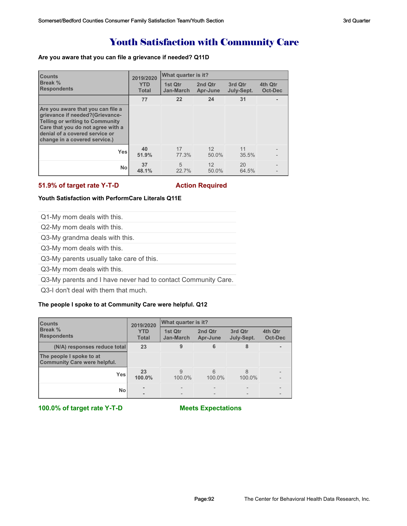### Youth Satisfaction with Community Care

### **Are you aware that you can file a grievance if needed? Q11D**

| <b>Counts</b>                                                                                                                                                                                                          | 2019/2020                  | What quarter is it?  |                     |                       |                           |
|------------------------------------------------------------------------------------------------------------------------------------------------------------------------------------------------------------------------|----------------------------|----------------------|---------------------|-----------------------|---------------------------|
| Break %<br><b>Respondents</b>                                                                                                                                                                                          | <b>YTD</b><br><b>Total</b> | 1st Qtr<br>Jan-March | 2nd Qtr<br>Apr-June | 3rd Qtr<br>July-Sept. | 4th Qtr<br><b>Oct-Dec</b> |
|                                                                                                                                                                                                                        | 77                         | 22                   | 24                  | 31                    |                           |
| Are you aware that you can file a<br>grievance if needed?(Grievance-<br><b>Telling or writing to Community</b><br>Care that you do not agree with a<br>denial of a covered service or<br>change in a covered service.) |                            |                      |                     |                       |                           |
| Yes                                                                                                                                                                                                                    | 40<br>51.9%                | 17<br>77.3%          | 12<br>50.0%         | 11<br>35.5%           |                           |
| <b>No</b>                                                                                                                                                                                                              | 37<br>48.1%                | 5<br>22.7%           | 12<br>50.0%         | 20<br>64.5%           |                           |

### **51.9% of target rate Y-T-D** Action Required

### **Youth Satisfaction with PerformCare Literals Q11E**

Q1-My mom deals with this.

Q2-My mom deals with this.

Q3-My grandma deals with this.

Q3-My mom deals with this.

Q3-My parents usually take care of this.

Q3-My mom deals with this.

Q3-My parents and I have never had to contact Community Care.

Q3-I don't deal with them that much.

### **The people I spoke to at Community Care were helpful. Q12**

| <b>Counts</b>                                                   | 2019/2020                  | What quarter is it?  |                     |                       |                    |
|-----------------------------------------------------------------|----------------------------|----------------------|---------------------|-----------------------|--------------------|
| Break %<br><b>Respondents</b>                                   | <b>YTD</b><br><b>Total</b> | 1st Qtr<br>Jan-March | 2nd Qtr<br>Apr-June | 3rd Qtr<br>July-Sept. | 4th Qtr<br>Oct-Dec |
| (N/A) responses reduce total                                    | 23                         | 9                    | 6                   | 8                     |                    |
| The people I spoke to at<br><b>Community Care were helpful.</b> |                            |                      |                     |                       |                    |
| Yes                                                             | 23<br>100.0%               | 9<br>100.0%          | 6<br>100.0%         | 8<br>100.0%           |                    |
| <b>No</b>                                                       |                            |                      |                     |                       |                    |

**100.0% of target rate Y-T-D Meets Expectations**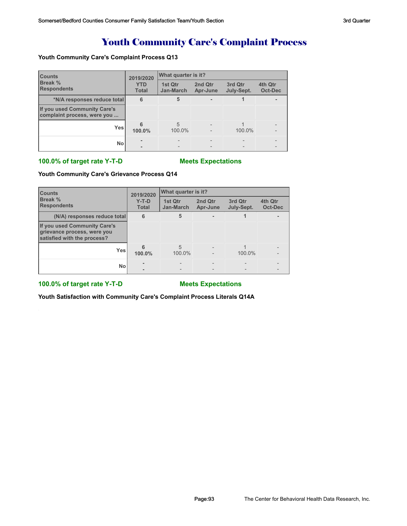## Youth Community Care's Complaint Process

### **Youth Community Care's Complaint Process Q13**

| <b>Counts</b>                                               | 2019/2020                  | What quarter is it?  |                     |                       |                    |  |
|-------------------------------------------------------------|----------------------------|----------------------|---------------------|-----------------------|--------------------|--|
| <b>Break %</b><br><b>Respondents</b>                        | <b>YTD</b><br><b>Total</b> | 1st Qtr<br>Jan-March | 2nd Qtr<br>Apr-June | 3rd Qtr<br>July-Sept. | 4th Qtr<br>Oct-Dec |  |
| *N/A responses reduce total                                 | 6                          | 5                    |                     |                       |                    |  |
| If you used Community Care's<br>complaint process, were you |                            |                      |                     |                       |                    |  |
| <b>Yes</b>                                                  | 100.0%                     | 5<br>100.0%          |                     | 100.0%                |                    |  |
| No                                                          |                            |                      |                     |                       |                    |  |

### **100.0% of target rate Y-T-D Meets Expectations**

### **Youth Community Care's Grievance Process Q14**

| <b>Counts</b>                                                                              | 2019/2020               | What quarter is it?  |                     |                       |                    |
|--------------------------------------------------------------------------------------------|-------------------------|----------------------|---------------------|-----------------------|--------------------|
| Break %<br><b>Respondents</b>                                                              | $Y-T-D$<br><b>Total</b> | 1st Qtr<br>Jan-March | 2nd Qtr<br>Apr-June | 3rd Qtr<br>July-Sept. | 4th Qtr<br>Oct-Dec |
| (N/A) responses reduce total                                                               | 6                       | 5                    |                     |                       |                    |
| If you used Community Care's<br>grievance process, were you<br>satisfied with the process? |                         |                      |                     |                       |                    |
| <b>Yes</b>                                                                                 | 100.0%                  | 5<br>100.0%          |                     | 100.0%                |                    |
| <b>No</b>                                                                                  |                         |                      |                     |                       |                    |

### **100.0% of target rate Y-T-D Meets Expectations**

**Youth Satisfaction with Community Care's Complaint Process Literals Q14A**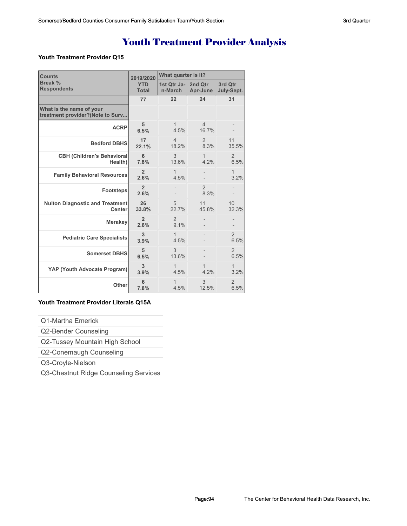# Youth Treatment Provider Analysis

### **Youth Treatment Provider Q15**

| <b>Counts</b>                                                | 2019/2020                  | What quarter is it?            |                         |                        |  |
|--------------------------------------------------------------|----------------------------|--------------------------------|-------------------------|------------------------|--|
| Break %<br><b>Respondents</b>                                | <b>YTD</b><br><b>Total</b> | 1st Qtr Ja- 2nd Qtr<br>n-March | Apr-June                | 3rd Qtr<br>July-Sept.  |  |
|                                                              | 77                         | 22                             | 24                      | 31                     |  |
| What is the name of your<br>treatment provider?(Note to Surv |                            |                                |                         |                        |  |
| <b>ACRP</b>                                                  | 5<br>6.5%                  | 1<br>4.5%                      | $\overline{4}$<br>16.7% |                        |  |
| <b>Bedford DBHS</b>                                          | 17<br>22.1%                | $\overline{4}$<br>18.2%        | $\overline{2}$<br>8.3%  | 11<br>35.5%            |  |
| <b>CBH (Children's Behavioral</b><br>Health)                 | 6<br>7.8%                  | 3<br>13.6%                     | 1<br>4.2%               | $\overline{2}$<br>6.5% |  |
| <b>Family Behavioral Resources</b>                           | $\overline{2}$<br>2.6%     | 1<br>4.5%                      |                         | 1<br>3.2%              |  |
| Footsteps                                                    | $\overline{2}$<br>2.6%     |                                | $\overline{2}$<br>8.3%  |                        |  |
| <b>Nulton Diagnostic and Treatment</b><br><b>Center</b>      | 26<br>33.8%                | 5<br>22.7%                     | 11<br>45.8%             | 10<br>32.3%            |  |
| <b>Merakey</b>                                               | $\overline{2}$<br>2.6%     | 2<br>9.1%                      |                         |                        |  |
| <b>Pediatric Care Specialists</b>                            | 3<br>3.9%                  | 1<br>4.5%                      |                         | $\overline{2}$<br>6.5% |  |
| <b>Somerset DBHS</b>                                         | 5<br>6.5%                  | 3<br>13.6%                     |                         | $\overline{2}$<br>6.5% |  |
| YAP (Youth Advocate Program)                                 | 3<br>3.9%                  | 1<br>4.5%                      | 4.2%                    | 1<br>3.2%              |  |
| Other                                                        | 6<br>7.8%                  | 1<br>4.5%                      | 3<br>12.5%              | $\overline{2}$<br>6.5% |  |

### **Youth Treatment Provider Literals Q15A**

Q1-Martha Emerick

Q2-Bender Counseling

Q2-Tussey Mountain High School

Q2-Conemaugh Counseling

Q3-Croyle-Nielson

Q3-Chestnut Ridge Counseling Services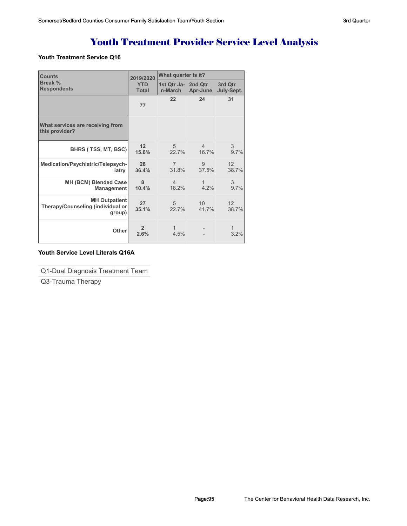# Youth Treatment Provider Service Level Analysis

### **Youth Treatment Service Q16**

| <b>Counts</b>                                                       | 2019/2020                  | What quarter is it?     |                          |                          |  |
|---------------------------------------------------------------------|----------------------------|-------------------------|--------------------------|--------------------------|--|
| Break %<br><b>Respondents</b>                                       | <b>YTD</b><br><b>Total</b> | 1st Qtr Ja- 2nd Qtr     | n-March Apr-June         | 3rd Qtr<br>July-Sept.    |  |
|                                                                     | 77                         | 22                      | 24                       | 31                       |  |
| What services are receiving from<br>this provider?                  |                            |                         |                          |                          |  |
| BHRS (TSS, MT, BSC)                                                 | 12<br>15.6%                | $\overline{5}$<br>22.7% | $\overline{4}$<br>16.7%  | 3<br>9.7%                |  |
| Medication/Psychiatric/Telepsych-<br>iatry                          | 28<br>36.4%                | $\overline{7}$<br>31.8% | 9<br>37.5%               | 12 <sup>1</sup><br>38.7% |  |
| MH (BCM) Blended Case<br><b>Management</b>                          | 8<br>10.4%                 | $\overline{4}$<br>18.2% | $\mathbf{1}$<br>4.2%     | 3<br>9.7%                |  |
| <b>MH Outpatient</b><br>Therapy/Counseling (individual or<br>group) | 27<br>35.1%                | 5 <sup>5</sup><br>22.7% | 10 <sup>1</sup><br>41.7% | 12<br>38.7%              |  |
| Other                                                               | $\overline{2}$<br>2.6%     | $\mathbf{1}$<br>4.5%    |                          | 3.2%                     |  |

### **Youth Service Level Literals Q16A**

Q1-Dual Diagnosis Treatment Team

Q3-Trauma Therapy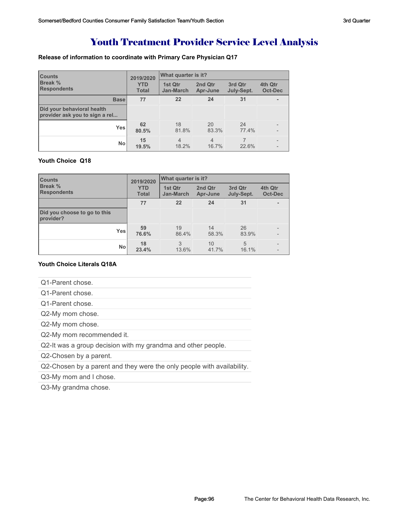## Youth Treatment Provider Service Level Analysis

### **Release of information to coordinate with Primary Care Physician Q17**

| <b>Counts</b>                                                | 2019/2020                  | What quarter is it?     |                     |                       |                    |
|--------------------------------------------------------------|----------------------------|-------------------------|---------------------|-----------------------|--------------------|
| <b>Break %</b><br><b>Respondents</b>                         | <b>YTD</b><br><b>Total</b> | 1st Qtr<br>Jan-March    | 2nd Qtr<br>Apr-June | 3rd Qtr<br>July-Sept. | 4th Qtr<br>Oct-Dec |
| <b>Base</b>                                                  | 77                         | 22                      | 24                  | 31                    |                    |
| Did your behavioral health<br>provider ask you to sign a rel |                            |                         |                     |                       |                    |
| <b>Yes</b>                                                   | 62<br>80.5%                | 18<br>81.8%             | 20<br>83.3%         | 24<br>77.4%           |                    |
| No                                                           | 15<br>19.5%                | $\overline{4}$<br>18.2% | 4<br>16.7%          | 22.6%                 |                    |

### **Youth Choice Q18**

| <b>Counts</b>                             | 2019/2020                  | What quarter is it?  |                     |                       |                    |
|-------------------------------------------|----------------------------|----------------------|---------------------|-----------------------|--------------------|
| <b>Break %</b><br><b>Respondents</b>      | <b>YTD</b><br><b>Total</b> | 1st Qtr<br>Jan-March | 2nd Qtr<br>Apr-June | 3rd Qtr<br>July-Sept. | 4th Qtr<br>Oct-Dec |
|                                           | 77                         | 22                   | 24                  | 31                    |                    |
| Did you choose to go to this<br>provider? |                            |                      |                     |                       |                    |
| <b>Yes</b>                                | 59<br>76.6%                | 19<br>86.4%          | 14<br>58.3%         | 26<br>83.9%           |                    |
| <b>No</b>                                 | 18<br>23.4%                | 3<br>13.6%           | 10<br>41.7%         | 5<br>16.1%            |                    |

### **Youth Choice Literals Q18A**

|  | Q1-Parent chose. |  |
|--|------------------|--|
|--|------------------|--|

- Q1-Parent chose.
- Q1-Parent chose.
- Q2-My mom chose.
- Q2-My mom chose.

Q2-My mom recommended it.

Q2-It was a group decision with my grandma and other people.

Q2-Chosen by a parent.

Q2-Chosen by a parent and they were the only people with availability.

Q3-My mom and I chose.

Q3-My grandma chose.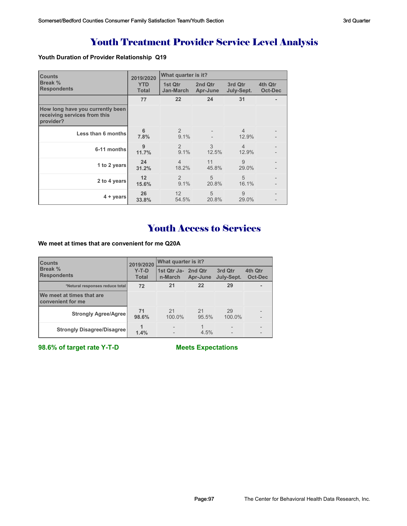# Youth Treatment Provider Service Level Analysis

### **Youth Duration of Provider Relationship Q19**

| <b>Counts</b>                                                                 | 2019/2020                  | What quarter is it?         |                         |                         |                    |
|-------------------------------------------------------------------------------|----------------------------|-----------------------------|-------------------------|-------------------------|--------------------|
| Break %<br><b>Respondents</b>                                                 | <b>YTD</b><br><b>Total</b> | 1st Qtr<br><b>Jan-March</b> | 2nd Qtr<br>Apr-June     | 3rd Qtr<br>July-Sept.   | 4th Qtr<br>Oct-Dec |
|                                                                               | 77                         | 22                          | 24                      | 31                      |                    |
| How long have you currently been<br>receiving services from this<br>provider? |                            |                             |                         |                         |                    |
| Less than 6 months                                                            | 6<br>7.8%                  | 2<br>9.1%                   |                         | $\overline{4}$<br>12.9% |                    |
| 6-11 months                                                                   | 9<br>11.7%                 | $\mathcal{P}$<br>9.1%       | 3<br>12.5%              | $\overline{4}$<br>12.9% |                    |
| 1 to 2 years                                                                  | 24<br>31.2%                | $\overline{4}$<br>18.2%     | 11<br>45.8%             | 9<br>29.0%              |                    |
| 2 to 4 years                                                                  | 12<br>15.6%                | 2<br>9.1%                   | 5<br>20.8%              | 5<br>16.1%              |                    |
| 4 + years                                                                     | 26<br>33.8%                | 12<br>54.5%                 | $\overline{5}$<br>20.8% | 9<br>29.0%              |                    |

# Youth Access to Services

**We meet at times that are convenient for me Q20A**

| <b>Counts</b>                                  | 2019/2020               | What quarter is it?            |             |                       |                    |  |
|------------------------------------------------|-------------------------|--------------------------------|-------------|-----------------------|--------------------|--|
| Break %<br><b>Respondents</b>                  | $Y-T-D$<br><b>Total</b> | 1st Qtr Ja- 2nd Qtr<br>n-March | Apr-June    | 3rd Qtr<br>July-Sept. | 4th Qtr<br>Oct-Dec |  |
| *Netural responses reduce total                | 72                      | 21                             | 22          | 29                    |                    |  |
| We meet at times that are<br>convenient for me |                         |                                |             |                       |                    |  |
| <b>Strongly Agree/Agree</b>                    | 71<br>98.6%             | 21<br>100.0%                   | 21<br>95.5% | 29<br>100.0%          |                    |  |
| <b>Strongly Disagree/Disagree</b>              | 1.4%                    |                                | 4.5%        |                       |                    |  |

**98.6% of target rate Y-T-D Meets Expectations**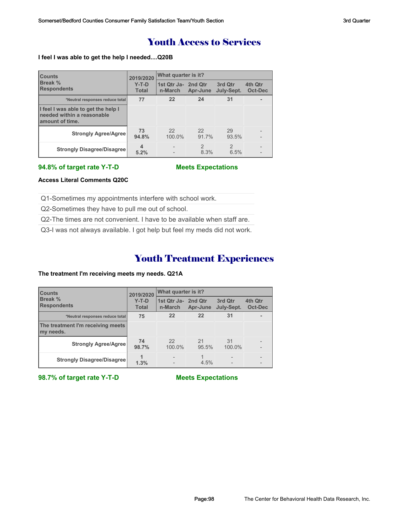### Youth Access to Services

### **I feel I was able to get the help I needed....Q20B**

| <b>ICounts</b><br><b>Break %</b><br><b>Respondents</b>                               | 2019/2020               | What quarter is it?            |                       |                       |                    |  |
|--------------------------------------------------------------------------------------|-------------------------|--------------------------------|-----------------------|-----------------------|--------------------|--|
|                                                                                      | $Y-T-D$<br><b>Total</b> | 1st Qtr Ja- 2nd Qtr<br>n-March | Apr-June              | 3rd Otr<br>July-Sept. | 4th Qtr<br>Oct-Dec |  |
| *Neutral responses reduce total                                                      | 77                      | 22                             | 24                    | 31                    |                    |  |
| I feel I was able to get the help I<br>needed within a reasonable<br>amount of time. |                         |                                |                       |                       |                    |  |
| <b>Strongly Agree/Agree</b>                                                          | 73<br>94.8%             | 22<br>100.0%                   | 22<br>91.7%           | 29<br>93.5%           | $\overline{a}$     |  |
| <b>Strongly Disagree/Disagree</b>                                                    | 4<br>5.2%               |                                | $\mathcal{P}$<br>8.3% | $\mathcal{P}$<br>6.5% | $\qquad \qquad -$  |  |

#### **94.8% of target rate Y-T-D Meets Expectations**

### **Access Literal Comments Q20C**

Q1-Sometimes my appointments interfere with school work.

Q2-Sometimes they have to pull me out of school.

Q2-The times are not convenient. I have to be available when staff are.

Q3-I was not always available. I got help but feel my meds did not work.

### Youth Treatment Experiences

### **The treatment I'm receiving meets my needs. Q21A**

| <b>Counts</b><br>Break %<br><b>Respondents</b> | 2019/2020               | What quarter is it?            |             |                          |                    |  |
|------------------------------------------------|-------------------------|--------------------------------|-------------|--------------------------|--------------------|--|
|                                                | $Y-T-D$<br><b>Total</b> | 1st Qtr Ja- 2nd Qtr<br>n-March | Apr-June    | 3rd Qtr<br>July-Sept.    | 4th Qtr<br>Oct-Dec |  |
| *Neutral responses reduce total                | 75                      | 22                             | 22          | 31                       |                    |  |
| The treatment I'm receiving meets<br>my needs. |                         |                                |             |                          |                    |  |
| <b>Strongly Agree/Agree</b>                    | 74<br>98.7%             | 22<br>100.0%                   | 21<br>95.5% | 31<br>100.0%             |                    |  |
| <b>Strongly Disagree/Disagree</b>              | 1.3%                    |                                | 4.5%        | $\overline{\phantom{0}}$ |                    |  |

**98.7% of target rate Y-T-D Meets Expectations**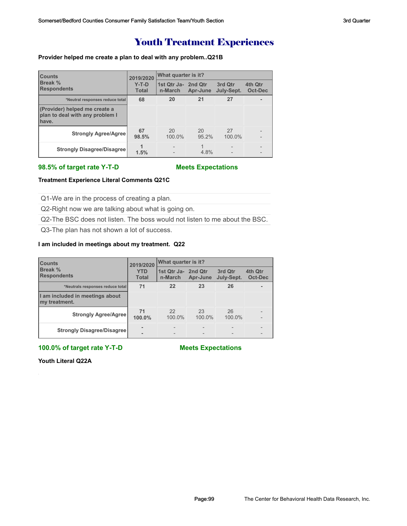### Youth Treatment Experiences

### **Provider helped me create a plan to deal with any problem..Q21B**

| <b>Counts</b><br>Break %<br><b>Respondents</b>                            | 2019/2020               | What quarter is it?            |             |                       |                           |  |
|---------------------------------------------------------------------------|-------------------------|--------------------------------|-------------|-----------------------|---------------------------|--|
|                                                                           | $Y-T-D$<br><b>Total</b> | 1st Qtr Ja- 2nd Qtr<br>n-March | Apr-June    | 3rd Qtr<br>July-Sept. | 4th Qtr<br><b>Oct-Dec</b> |  |
| *Neutral responses reduce total                                           | 68                      | 20                             | 21          | 27                    |                           |  |
| (Provider) helped me create a<br>plan to deal with any problem I<br>have. |                         |                                |             |                       |                           |  |
| <b>Strongly Agree/Agree</b>                                               | 67<br>98.5%             | 20<br>100.0%                   | 20<br>95.2% | 27<br>100.0%          |                           |  |
| <b>Strongly Disagree/Disagree</b>                                         | 1.5%                    |                                | 4.8%        |                       |                           |  |

### **98.5% of target rate Y-T-D Meets Expectations**

### **Treatment Experience Literal Comments Q21C**

Q1-We are in the process of creating a plan.

Q2-Right now we are talking about what is going on.

Q2-The BSC does not listen. The boss would not listen to me about the BSC.

Q3-The plan has not shown a lot of success.

#### **I am included in meetings about my treatment. Q22**

| <b>Counts</b><br>Break %<br><b>Respondents</b>   | 2019/2020                  | What quarter is it?            |              |                       |                    |  |
|--------------------------------------------------|----------------------------|--------------------------------|--------------|-----------------------|--------------------|--|
|                                                  | <b>YTD</b><br><b>Total</b> | 1st Qtr Ja- 2nd Qtr<br>n-March | Apr-June     | 3rd Qtr<br>July-Sept. | 4th Qtr<br>Oct-Dec |  |
| *Neutrals responses reduce total                 | 71                         | 22                             | 23           | 26                    |                    |  |
| I am included in meetings about<br>my treatment. |                            |                                |              |                       |                    |  |
| <b>Strongly Agree/Agree</b>                      | 71<br>100.0%               | 22<br>100.0%                   | 23<br>100.0% | 26<br>100.0%          |                    |  |
| <b>Strongly Disagree/Disagree</b>                |                            |                                |              |                       |                    |  |

### **100.0% of target rate Y-T-D Meets Expectations**

**Youth Literal Q22A**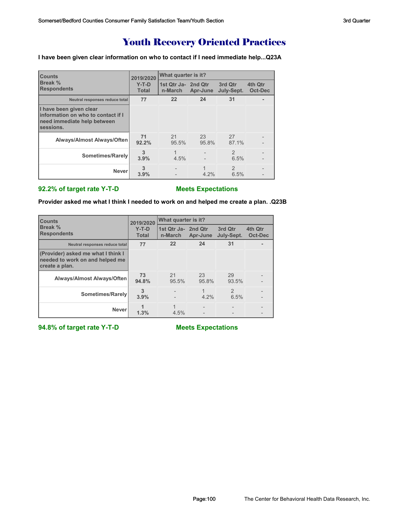## Youth Recovery Oriented Practices

**I have been given clear information on who to contact if I need immediate help...Q23A**

| <b>Counts</b>                                                                                             | 2019/2020               | What quarter is it?            |             |                        |                    |  |
|-----------------------------------------------------------------------------------------------------------|-------------------------|--------------------------------|-------------|------------------------|--------------------|--|
| Break %<br><b>Respondents</b>                                                                             | $Y-T-D$<br><b>Total</b> | 1st Qtr Ja- 2nd Qtr<br>n-March | Apr-June    | 3rd Qtr<br>July-Sept.  | 4th Qtr<br>Oct-Dec |  |
| Neutral responses reduce total                                                                            | 77                      | 22                             | 24          | 31                     |                    |  |
| I have been given clear<br>information on who to contact if I<br>need immediate help between<br>sessions. |                         |                                |             |                        |                    |  |
| Always/Almost Always/Often                                                                                | 71<br>92.2%             | 21<br>95.5%                    | 23<br>95.8% | 27<br>87.1%            |                    |  |
| Sometimes/Rarely                                                                                          | 3<br>3.9%               | 4.5%                           |             | $\overline{2}$<br>6.5% |                    |  |
| <b>Never</b>                                                                                              | 3<br>3.9%               |                                | 4.2%        | $\mathfrak{D}$<br>6.5% |                    |  |

### **92.2% of target rate Y-T-D Meets Expectations**

**Provider asked me what I think I needed to work on and helped me create a plan. .Q23B**

| <b>Counts</b>                                                                           | 2019/2020               | What quarter is it?            |             |                        |                    |  |
|-----------------------------------------------------------------------------------------|-------------------------|--------------------------------|-------------|------------------------|--------------------|--|
| Break %<br><b>Respondents</b>                                                           | $Y-T-D$<br><b>Total</b> | 1st Qtr Ja- 2nd Qtr<br>n-March | Apr-June    | 3rd Qtr<br>July-Sept.  | 4th Qtr<br>Oct-Dec |  |
| Neutral responses reduce total                                                          | 77                      | 22                             | 24          | 31                     |                    |  |
| (Provider) asked me what I think I<br>needed to work on and helped me<br>create a plan. |                         |                                |             |                        |                    |  |
| <b>Always/Almost Always/Often</b>                                                       | 73<br>94.8%             | 21<br>95.5%                    | 23<br>95.8% | 29<br>93.5%            |                    |  |
| Sometimes/Rarely                                                                        | 3<br>3.9%               |                                | $4.2\%$     | $\mathfrak{D}$<br>6.5% |                    |  |
| <b>Never</b>                                                                            | 1.3%                    | 4.5%                           |             |                        |                    |  |

**94.8% of target rate Y-T-D Meets Expectations**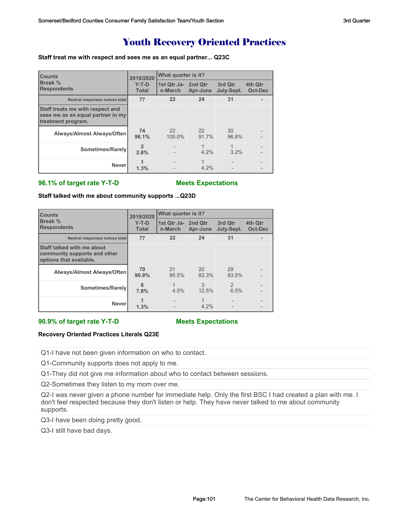### Youth Recovery Oriented Practices

#### **Staff treat me with respect and sees me as an equal partner... Q23C**

| <b>Counts</b>                                                                               | 2019/2020               | What quarter is it?            |             |                       |                           |  |
|---------------------------------------------------------------------------------------------|-------------------------|--------------------------------|-------------|-----------------------|---------------------------|--|
| Break %<br><b>Respondents</b>                                                               | $Y-T-D$<br><b>Total</b> | 1st Qtr Ja- 2nd Qtr<br>n-March | Apr-June    | 3rd Qtr<br>July-Sept. | 4th Qtr<br><b>Oct-Dec</b> |  |
| Neutral responses reduce total                                                              | 77                      | 22                             | 24          | 31                    |                           |  |
| Staff treats me with respect and<br>sees me as an equal partner in my<br>treatment program. |                         |                                |             |                       |                           |  |
| Always/Almost Always/Often                                                                  | 74<br>96.1%             | 22<br>100.0%                   | 22<br>91.7% | 30<br>96.8%           |                           |  |
| Sometimes/Rarely                                                                            | $\overline{2}$<br>2.6%  |                                | 1<br>4.2%   | 1<br>3.2%             |                           |  |
| <b>Never</b>                                                                                | 1.3%                    |                                | 1<br>4.2%   |                       |                           |  |

### **96.1% of target rate Y-T-D Meets Expectations**

**Staff talked with me about community supports ...Q23D**

| <b>Counts</b>                                                                         | 2019/2020               | What quarter is it?            |             |                       |                           |  |
|---------------------------------------------------------------------------------------|-------------------------|--------------------------------|-------------|-----------------------|---------------------------|--|
| Break %<br><b>Respondents</b>                                                         | $Y-T-D$<br><b>Total</b> | 1st Qtr Ja- 2nd Qtr<br>n-March | Apr-June    | 3rd Qtr<br>July-Sept. | 4th Qtr<br><b>Oct-Dec</b> |  |
| Neutral responses reduce total                                                        | 77                      | 22                             | 24          | 31                    |                           |  |
| Staff talked with me about<br>community supports and other<br>options that available. |                         |                                |             |                       |                           |  |
| <b>Always/Almost Always/Often</b>                                                     | 70<br>90.9%             | 21<br>95.5%                    | 20<br>83.3% | 29<br>93.5%           |                           |  |
| Sometimes/Rarely                                                                      | 6<br>7.8%               | 4.5%                           | 3<br>12.5%  | $\mathcal{P}$<br>6.5% |                           |  |
| <b>Never</b>                                                                          | 1.3%                    |                                | 4.2%        |                       |                           |  |

### **90.9% of target rate Y-T-D Meets Expectations**

#### **Recovery Oriented Practices Literals Q23E**

Q1-I have not been given information on who to contact.

Q1-Community supports does not apply to me.

Q1-They did not give me information about who to contact between sessions.

Q2-Sometimes they listen to my mom over me.

Q2-I was never given a phone number for immediate help. Only the first BSC I had created a plan with me. I don't feel respected because they don't listen or help. They have never talked to me about community supports.

Q3-I have been doing pretty good.

Q3-I still have bad days.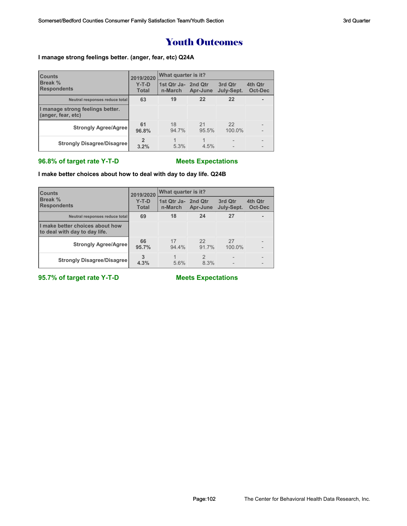### Youth Outcomes

### **I manage strong feelings better. (anger, fear, etc) Q24A**

| <b>Counts</b>                                          | 2019/2020               | What quarter is it?            |             |                          |                    |  |
|--------------------------------------------------------|-------------------------|--------------------------------|-------------|--------------------------|--------------------|--|
| Break %<br><b>Respondents</b>                          | $Y-T-D$<br><b>Total</b> | 1st Qtr Ja- 2nd Qtr<br>n-March | Apr-June    | 3rd Qtr<br>July-Sept.    | 4th Qtr<br>Oct-Dec |  |
| Neutral responses reduce total                         | 63                      | 19                             | 22          | 22                       |                    |  |
| I manage strong feelings better.<br>(anger, fear, etc) |                         |                                |             |                          |                    |  |
| <b>Strongly Agree/Agree</b>                            | 61<br>96.8%             | 18<br>94.7%                    | 21<br>95.5% | 22<br>100.0%             |                    |  |
| <b>Strongly Disagree/Disagree</b>                      | 3.2%                    | 5.3%                           | 4.5%        | $\overline{\phantom{0}}$ | $\qquad \qquad$    |  |

### **96.8% of target rate Y-T-D Meets Expectations**

**I make better choices about how to deal with day to day life. Q24B**

| <b>Counts</b>                                                    | 2019/2020               | What quarter is it?            |                        |                       |                    |  |
|------------------------------------------------------------------|-------------------------|--------------------------------|------------------------|-----------------------|--------------------|--|
| <b>Break %</b><br><b>Respondents</b>                             | $Y-T-D$<br><b>Total</b> | 1st Qtr Ja- 2nd Qtr<br>n-March | Apr-June               | 3rd Qtr<br>July-Sept. | 4th Qtr<br>Oct-Dec |  |
| Neutral responses reduce total                                   | 69                      | 18                             | 24                     | 27                    |                    |  |
| I make better choices about how<br>to deal with day to day life. |                         |                                |                        |                       |                    |  |
| <b>Strongly Agree/Agree</b>                                      | 66<br>95.7%             | 17<br>94.4%                    | 22<br>91.7%            | 27<br>100.0%          |                    |  |
| <b>Strongly Disagree/Disagree</b>                                | 3<br>4.3%               | 5.6%                           | $\mathfrak{p}$<br>8.3% |                       |                    |  |

**95.7% of target rate Y-T-D Meets Expectations**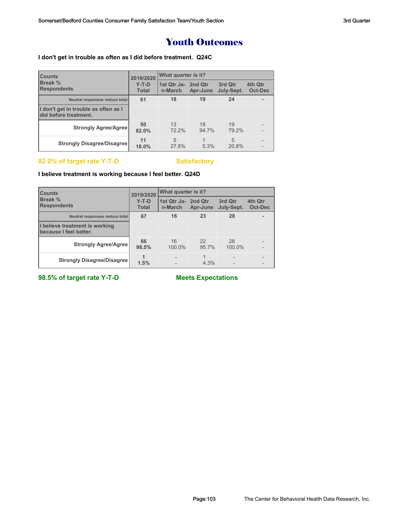### Youth Outcomes

### **I don't get in trouble as often as I did before treatment. Q24C**

| <b>Counts</b>                                                 | 2019/2020               | What quarter is it?            |             |                       |                          |  |
|---------------------------------------------------------------|-------------------------|--------------------------------|-------------|-----------------------|--------------------------|--|
| <b>Break %</b><br><b>Respondents</b>                          | $Y-T-D$<br><b>Total</b> | 1st Qtr Ja- 2nd Qtr<br>n-March | Apr-June    | 3rd Qtr<br>July-Sept. | 4th Qtr<br>Oct-Dec       |  |
| Neutral responses reduce total                                | 61                      | 18                             | 19          | 24                    |                          |  |
| I don't get in trouble as often as I<br>did before treatment. |                         |                                |             |                       |                          |  |
| <b>Strongly Agree/Agree</b>                                   | 50<br>82.0%             | 13<br>72.2%                    | 18<br>94.7% | 19<br>79.2%           |                          |  |
| <b>Strongly Disagree/Disagree</b>                             | 11<br>18.0%             | 5<br>27.8%                     | 5.3%        | 5<br>20.8%            | $\overline{\phantom{0}}$ |  |

### 82.0% of target rate Y-T-D Satisfactory

### **I believe treatment is working because I feel better. Q24D**

| <b>ICounts</b>                                           | 2019/2020               | <b>What quarter is it?</b>     |             |                       |                    |  |
|----------------------------------------------------------|-------------------------|--------------------------------|-------------|-----------------------|--------------------|--|
| <b>Break</b> %<br><b>Respondents</b>                     | $Y-T-D$<br><b>Total</b> | 1st Qtr Ja- 2nd Qtr<br>n-March | Apr-June    | 3rd Otr<br>July-Sept. | 4th Qtr<br>Oct-Dec |  |
| Neutral responses reduce total                           | 67                      | 16                             | 23          | 28                    |                    |  |
| I believe treatment is working<br>because I feel better. |                         |                                |             |                       |                    |  |
| <b>Strongly Agree/Agree</b>                              | 66<br>98.5%             | 16<br>100.0%                   | 22<br>95.7% | 28<br>100.0%          |                    |  |
| <b>Strongly Disagree/Disagree</b>                        | 1.5%                    |                                | 4.3%        |                       |                    |  |

**98.5% of target rate Y-T-D Meets Expectations**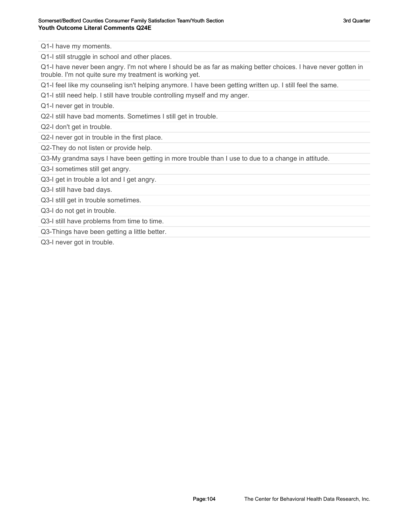Q1-I have my moments.

Q1-I still struggle in school and other places.

Q1-I have never been angry. I'm not where I should be as far as making better choices. I have never gotten in trouble. I'm not quite sure my treatment is working yet.

Q1-I feel like my counseling isn't helping anymore. I have been getting written up. I still feel the same.

Q1-I still need help. I still have trouble controlling myself and my anger.

Q1-I never get in trouble.

Q2-I still have bad moments. Sometimes I still get in trouble.

Q2-I don't get in trouble.

Q2-I never got in trouble in the first place.

Q2-They do not listen or provide help.

Q3-My grandma says I have been getting in more trouble than I use to due to a change in attitude.

Q3-I sometimes still get angry.

Q3-I get in trouble a lot and I get angry.

Q3-I still have bad days.

Q3-I still get in trouble sometimes.

Q3-I do not get in trouble.

Q3-I still have problems from time to time.

Q3-Things have been getting a little better.

Q3-I never got in trouble.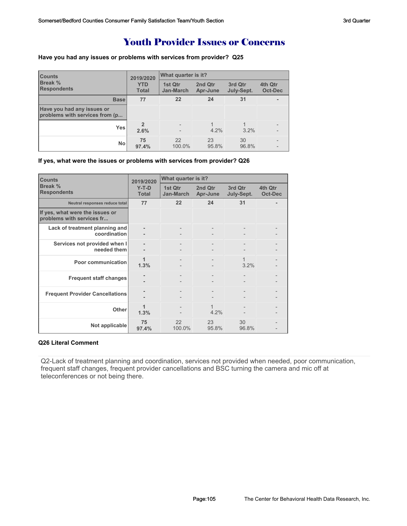## Youth Provider Issues or Concerns

### **Have you had any issues or problems with services from provider? Q25**

| <b>Counts</b><br><b>Break %</b><br><b>Respondents</b>        | 2019/2020                  | What quarter is it?  |                     |                       |                           |
|--------------------------------------------------------------|----------------------------|----------------------|---------------------|-----------------------|---------------------------|
|                                                              | <b>YTD</b><br><b>Total</b> | 1st Qtr<br>Jan-March | 2nd Qtr<br>Apr-June | 3rd Qtr<br>July-Sept. | 4th Qtr<br><b>Oct-Dec</b> |
| <b>Base</b>                                                  | 77                         | 22                   | 24                  | 31                    | ۰                         |
| Have you had any issues or<br>problems with services from (p |                            |                      |                     |                       |                           |
| <b>Yes</b>                                                   | 2.6%                       |                      | 4.2%                | 3.2%                  |                           |
| No                                                           | 75<br>97.4%                | 22<br>100.0%         | 23<br>95.8%         | 30<br>96.8%           |                           |

**If yes, what were the issues or problems with services from provider? Q26**

| <b>Counts</b>                                                | 2019/2020               | What quarter is it?  |                     |                       |                           |  |
|--------------------------------------------------------------|-------------------------|----------------------|---------------------|-----------------------|---------------------------|--|
| Break %<br><b>Respondents</b>                                | $Y-T-D$<br><b>Total</b> | 1st Qtr<br>Jan-March | 2nd Otr<br>Apr-June | 3rd Qtr<br>July-Sept. | 4th Qtr<br><b>Oct-Dec</b> |  |
| Neutral responses reduce total                               | 77                      | 22                   | 24                  | 31                    |                           |  |
| If yes, what were the issues or<br>problems with services fr |                         |                      |                     |                       |                           |  |
| Lack of treatment planning and<br>coordination               |                         |                      |                     |                       |                           |  |
| Services not provided when I<br>needed them                  |                         |                      |                     |                       |                           |  |
| <b>Poor communication</b>                                    | 1<br>1.3%               |                      |                     | 1<br>3.2%             |                           |  |
| <b>Frequent staff changes</b>                                |                         |                      |                     |                       |                           |  |
| <b>Frequent Provider Cancellations</b>                       |                         |                      |                     |                       |                           |  |
| Other                                                        | 1<br>1.3%               |                      | 4.2%                |                       |                           |  |
| Not applicable                                               | 75<br>97.4%             | 22<br>100.0%         | 23<br>95.8%         | 30<br>96.8%           |                           |  |

### **Q26 Literal Comment**

Q2-Lack of treatment planning and coordination, services not provided when needed, poor communication, frequent staff changes, frequent provider cancellations and BSC turning the camera and mic off at teleconferences or not being there.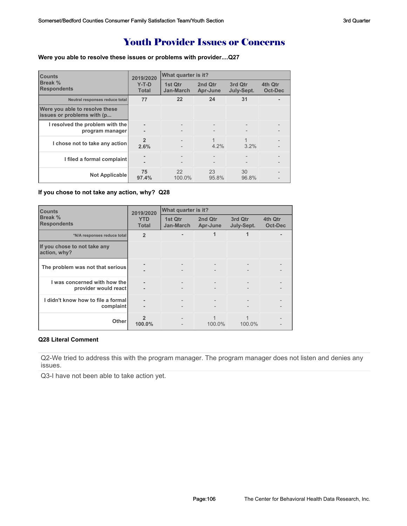## Youth Provider Issues or Concerns

**Were you able to resolve these issues or problems with provider....Q27**

| <b>Counts</b>                                                | 2019/2020               | What quarter is it?  |                     |                       |                           |  |
|--------------------------------------------------------------|-------------------------|----------------------|---------------------|-----------------------|---------------------------|--|
| Break %<br><b>Respondents</b>                                | $Y-T-D$<br><b>Total</b> | 1st Qtr<br>Jan-March | 2nd Otr<br>Apr-June | 3rd Qtr<br>July-Sept. | 4th Qtr<br><b>Oct-Dec</b> |  |
| Neutral responses reduce total                               | 77                      | 22                   | 24                  | 31                    |                           |  |
| Were you able to resolve these<br>issues or problems with (p |                         |                      |                     |                       |                           |  |
| I resolved the problem with the<br>program manager           |                         |                      |                     |                       |                           |  |
| I chose not to take any action                               | $\mathfrak{p}$<br>2.6%  |                      | 1<br>$4.2\%$        | 3.2%                  |                           |  |
| I filed a formal complaint                                   |                         |                      |                     |                       |                           |  |
| <b>Not Applicable</b>                                        | 75<br>97.4%             | 22<br>100.0%         | 23<br>95.8%         | 30<br>96.8%           |                           |  |

### **If you chose to not take any action, why? Q28**

| <b>Counts</b>                                        | 2019/2020                  | What quarter is it?  |                     |                          |                           |
|------------------------------------------------------|----------------------------|----------------------|---------------------|--------------------------|---------------------------|
| Break %<br><b>Respondents</b>                        | <b>YTD</b><br><b>Total</b> | 1st Qtr<br>Jan-March | 2nd Qtr<br>Apr-June | 3rd Qtr<br>July-Sept.    | 4th Qtr<br><b>Oct-Dec</b> |
| *N/A responses reduce total                          | $\overline{2}$             |                      |                     |                          |                           |
| If you chose to not take any<br>action, why?         |                            |                      |                     |                          |                           |
| The problem was not that serious                     |                            |                      |                     |                          |                           |
| I was concerned with how the<br>provider would react | ٠                          | $\qquad \qquad -$    |                     | $\overline{\phantom{a}}$ |                           |
| I didn't know how to file a formal<br>complaint      | ٠                          |                      |                     |                          |                           |
| <b>Other</b>                                         | 100.0%                     |                      | 100.0%              | 100.0%                   |                           |

### **Q28 Literal Comment**

Q2-We tried to address this with the program manager. The program manager does not listen and denies any issues.

Q3-I have not been able to take action yet.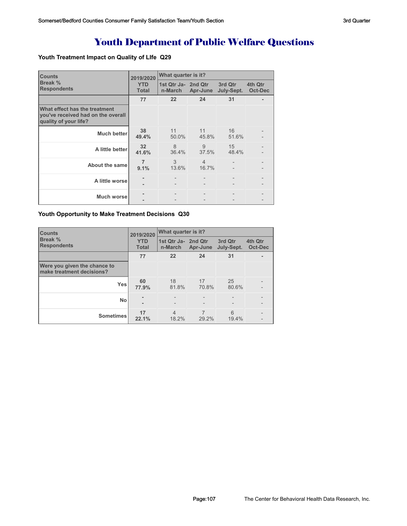# Youth Department of Public Welfare Questions

### **Youth Treatment Impact on Quality of LIfe Q29**

| <b>Counts</b>                                                                                | 2019/2020                  | What quarter is it?            |                         |                       |                    |  |
|----------------------------------------------------------------------------------------------|----------------------------|--------------------------------|-------------------------|-----------------------|--------------------|--|
| Break %<br><b>Respondents</b>                                                                | <b>YTD</b><br><b>Total</b> | 1st Qtr Ja- 2nd Qtr<br>n-March | Apr-June                | 3rd Qtr<br>July-Sept. | 4th Qtr<br>Oct-Dec |  |
|                                                                                              | 77                         | 22                             | 24                      | 31                    |                    |  |
| What effect has the treatment<br>you've received had on the overall<br>quality of your life? |                            |                                |                         |                       |                    |  |
| <b>Much better</b>                                                                           | 38<br>49.4%                | 11<br>50.0%                    | 11<br>45.8%             | 16<br>51.6%           |                    |  |
| A little better                                                                              | 32<br>41.6%                | 8<br>36.4%                     | 9<br>37.5%              | 15<br>48.4%           |                    |  |
| About the same                                                                               | $\overline{7}$<br>9.1%     | 3<br>13.6%                     | $\overline{4}$<br>16.7% |                       |                    |  |
| A little worse                                                                               | ۰                          |                                |                         |                       |                    |  |
| <b>Much worse</b>                                                                            |                            |                                |                         |                       |                    |  |

### **Youth Opportunity to Make Treatment Decisions Q30**

| <b>Counts</b>                                             | 2019/2020                  | What quarter is it?            |             |                       |                                     |  |
|-----------------------------------------------------------|----------------------------|--------------------------------|-------------|-----------------------|-------------------------------------|--|
| <b>Break %</b><br><b>Respondents</b>                      | <b>YTD</b><br><b>Total</b> | 1st Qtr Ja- 2nd Qtr<br>n-March | Apr-June    | 3rd Qtr<br>July-Sept. | 4th Qtr<br>Oct-Dec                  |  |
|                                                           | 77                         | 22                             | 24          | 31                    |                                     |  |
| Were you given the chance to<br>make treatment decisions? |                            |                                |             |                       |                                     |  |
| <b>Yes</b>                                                | 60<br>77.9%                | 18<br>81.8%                    | 17<br>70.8% | 25<br>80.6%           | $\qquad \qquad -$<br>$\overline{a}$ |  |
| <b>No</b>                                                 | ۰                          |                                |             |                       | $\qquad \qquad -$<br>$\overline{a}$ |  |
| <b>Sometimes</b>                                          | 17<br>22.1%                | $\overline{4}$<br>18.2%        | 29.2%       | 6<br>19.4%            | $\qquad \qquad -$                   |  |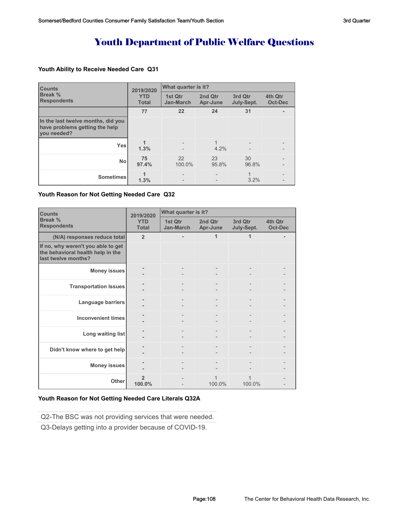# Youth Department of Public Welfare Questions

### **Youth Ability to Receive Needed Care Q31**

| <b>Counts</b>                                                                       | 2019/2020                  | What quarter is it?      |                     |                       |                           |  |
|-------------------------------------------------------------------------------------|----------------------------|--------------------------|---------------------|-----------------------|---------------------------|--|
| Break %<br><b>Respondents</b>                                                       | <b>YTD</b><br><b>Total</b> | 1st Qtr<br>Jan-March     | 2nd Qtr<br>Apr-June | 3rd Qtr<br>July-Sept. | 4th Qtr<br><b>Oct-Dec</b> |  |
|                                                                                     | 77                         | 22                       | 24                  | 31                    |                           |  |
| In the last twelve months, did you<br>have problems getting the help<br>vou needed? |                            |                          |                     |                       |                           |  |
| <b>Yes</b>                                                                          | 1.3%                       | $\qquad \qquad -$        | 4.2%                |                       |                           |  |
| <b>No</b>                                                                           | 75<br>97.4%                | 22<br>100.0%             | 23<br>95.8%         | 30<br>96.8%           |                           |  |
| <b>Sometimes</b>                                                                    | 1.3%                       | $\overline{\phantom{a}}$ |                     | 3.2%                  |                           |  |

#### **Youth Reason for Not Getting Needed Care Q32**

| <b>Counts</b>                                                                                  | 2019/2020                  | What quarter is it?  |                     |                       |                           |  |
|------------------------------------------------------------------------------------------------|----------------------------|----------------------|---------------------|-----------------------|---------------------------|--|
| <b>Break %</b><br><b>Respondents</b>                                                           | <b>YTD</b><br><b>Total</b> | 1st Qtr<br>Jan-March | 2nd Qtr<br>Apr-June | 3rd Qtr<br>July-Sept. | 4th Qtr<br><b>Oct-Dec</b> |  |
| (N/A) responses reduce total                                                                   | $\overline{2}$             |                      | 1                   | 1                     |                           |  |
| If no, why weren't you able to get<br>the behavioral health help in the<br>last twelve months? |                            |                      |                     |                       |                           |  |
| <b>Money issues</b>                                                                            |                            |                      |                     |                       |                           |  |
| <b>Transportation Issues</b>                                                                   |                            |                      |                     |                       |                           |  |
| Language barriers                                                                              |                            |                      |                     |                       |                           |  |
| <b>Inconvenient times</b>                                                                      |                            |                      |                     |                       |                           |  |
| Long waiting list                                                                              |                            |                      |                     |                       |                           |  |
| Didn't know where to get help                                                                  |                            |                      |                     |                       |                           |  |
| <b>Money issues</b>                                                                            |                            |                      |                     |                       |                           |  |
| Other                                                                                          | $\overline{2}$<br>100.0%   |                      | 100.0%              | 100.0%                |                           |  |

### **Youth Reason for Not Getting Needed Care Literals Q32A**

Q2-The BSC was not providing services that were needed.

Q3-Delays getting into a provider because of COVID-19.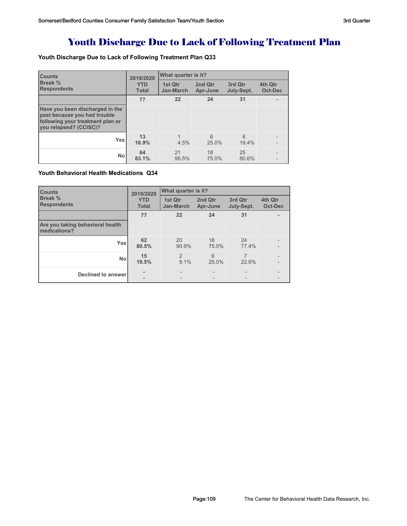## Youth Discharge Due to Lack of Following Treatment Plan

### **Youth Discharge Due to Lack of Following Treatment Plan Q33**

| <b>Counts</b>                                                                                                                 | 2019/2020                  | What quarter is it?         |                     |                       |                    |  |
|-------------------------------------------------------------------------------------------------------------------------------|----------------------------|-----------------------------|---------------------|-----------------------|--------------------|--|
| <b>Break %</b><br><b>Respondents</b>                                                                                          | <b>YTD</b><br><b>Total</b> | 1st Qtr<br><b>Jan-March</b> | 2nd Qtr<br>Apr-June | 3rd Qtr<br>July-Sept. | 4th Qtr<br>Oct-Dec |  |
|                                                                                                                               | 77                         | 22                          | 24                  | 31                    |                    |  |
| Have you been discharged in the<br>past because you had trouble<br>following your treatment plan or<br>you relapsed? (CCISC)? |                            |                             |                     |                       |                    |  |
| <b>Yes</b>                                                                                                                    | 13<br>16.9%                | 4.5%                        | 6<br>25.0%          | 6<br>19.4%            |                    |  |
| <b>No</b>                                                                                                                     | 64<br>83.1%                | 21<br>95.5%                 | 18<br>75.0%         | 25<br>80.6%           |                    |  |

### **Youth Behavioral Health Medications Q34**

| <b>Counts</b>                                    | 2019/2020                  | What quarter is it?      |                     |                       |                           |  |
|--------------------------------------------------|----------------------------|--------------------------|---------------------|-----------------------|---------------------------|--|
| Break %<br><b>Respondents</b>                    | <b>YTD</b><br><b>Total</b> | 1st Qtr<br>Jan-March     | 2nd Qtr<br>Apr-June | 3rd Qtr<br>July-Sept. | 4th Qtr<br><b>Oct-Dec</b> |  |
|                                                  | 77                         | 22                       | 24                  | 31                    |                           |  |
| Are you taking behavioral health<br>medications? |                            |                          |                     |                       |                           |  |
| <b>Yes</b>                                       | 62<br>80.5%                | 20<br>90.9%              | 18<br>75.0%         | 24<br>77.4%           |                           |  |
| <b>No</b>                                        | 15<br>19.5%                | 2<br>9.1%                | 6<br>25.0%          | 7<br>22.6%            |                           |  |
| <b>Declined to answer</b>                        | ۰<br>٠                     | $\overline{\phantom{a}}$ |                     |                       |                           |  |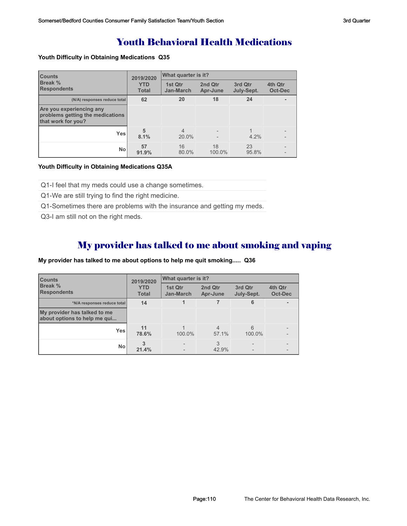### Youth Behavioral Health Medications

#### **Youth Difficulty in Obtaining Medications Q35**

| <b>Counts</b>                                                                      | 2019/2020<br><b>YTD</b><br><b>Total</b> | What quarter is it?         |                     |                       |                           |  |
|------------------------------------------------------------------------------------|-----------------------------------------|-----------------------------|---------------------|-----------------------|---------------------------|--|
| Break %<br><b>Respondents</b>                                                      |                                         | 1st Qtr<br><b>Jan-March</b> | 2nd Qtr<br>Apr-June | 3rd Qtr<br>July-Sept. | 4th Qtr<br><b>Oct-Dec</b> |  |
| (N/A) responses reduce total                                                       | 62                                      | 20                          | 18                  | 24                    |                           |  |
| Are you experiencing any<br>problems getting the medications<br>that work for you? |                                         |                             |                     |                       |                           |  |
| <b>Yes</b>                                                                         | 5<br>8.1%                               | $\overline{4}$<br>20.0%     |                     | 4.2%                  |                           |  |
| <b>No</b>                                                                          | 57<br>91.9%                             | 16<br>80.0%                 | 18<br>100.0%        | 23<br>95.8%           |                           |  |

#### **Youth Difficulty in Obtaining Medications Q35A**

Q1-I feel that my meds could use a change sometimes.

Q1-We are still trying to find the right medicine.

Q1-Sometimes there are problems with the insurance and getting my meds.

Q3-I am still not on the right meds.

### My provider has talked to me about smoking and vaping

### **My provider has talked to me about options to help me quit smoking..... Q36**

| <b>Counts</b>                                                | 2019/2020<br><b>YTD</b><br><b>Total</b> | <b>What quarter is it?</b> |                     |                       |                    |  |
|--------------------------------------------------------------|-----------------------------------------|----------------------------|---------------------|-----------------------|--------------------|--|
| <b>Break %</b><br><b>Respondents</b>                         |                                         | 1st Qtr<br>Jan-March       | 2nd Qtr<br>Apr-June | 3rd Qtr<br>July-Sept. | 4th Qtr<br>Oct-Dec |  |
| *N/A responses reduce total                                  | 14                                      |                            |                     | 6                     |                    |  |
| My provider has talked to me<br>about options to help me qui |                                         |                            |                     |                       |                    |  |
| <b>Yes</b>                                                   | 11<br>78.6%                             | 100.0%                     | 4<br>57.1%          | 6<br>100.0%           |                    |  |
| <b>No</b>                                                    | 3<br>21.4%                              |                            | 3<br>42.9%          |                       |                    |  |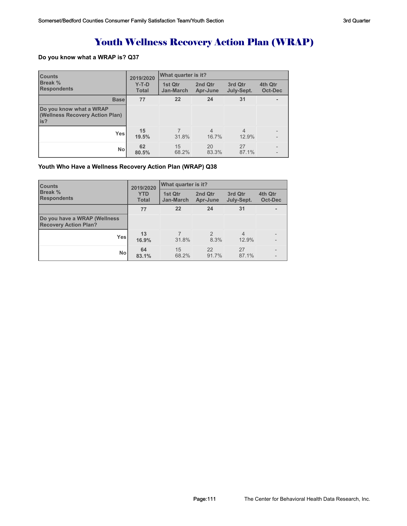## Youth Wellness Recovery Action Plan (WRAP)

### **Do you know what a WRAP is? Q37**

| <b>Counts</b>                                                      | 2019/2020<br>$Y-T-D$<br><b>Total</b> | What quarter is it?  |                         |                         |                    |  |
|--------------------------------------------------------------------|--------------------------------------|----------------------|-------------------------|-------------------------|--------------------|--|
| <b>Break %</b><br><b>Respondents</b>                               |                                      | 1st Qtr<br>Jan-March | 2nd Qtr<br>Apr-June     | 3rd Qtr<br>July-Sept.   | 4th Qtr<br>Oct-Dec |  |
| <b>Base</b>                                                        | 77                                   | 22                   | 24                      | 31                      |                    |  |
| Do you know what a WRAP<br>(Wellness Recovery Action Plan)<br>lis? |                                      |                      |                         |                         |                    |  |
| <b>Yes</b>                                                         | 15<br>19.5%                          | 31.8%                | $\overline{4}$<br>16.7% | $\overline{4}$<br>12.9% |                    |  |
| <b>No</b>                                                          | 62<br>80.5%                          | 15<br>68.2%          | 20<br>83.3%             | 27<br>87.1%             |                    |  |

### **Youth Who Have a Wellness Recovery Action Plan (WRAP) Q38**

| <b>Counts</b>                                                | 2019/2020<br><b>YTD</b><br><b>Total</b> | What quarter is it?  |                        |                         |                    |  |
|--------------------------------------------------------------|-----------------------------------------|----------------------|------------------------|-------------------------|--------------------|--|
| <b>Break</b> %<br><b>Respondents</b>                         |                                         | 1st Qtr<br>Jan-March | 2nd Qtr<br>Apr-June    | 3rd Qtr<br>July-Sept.   | 4th Qtr<br>Oct-Dec |  |
|                                                              | 77                                      | 22                   | 24                     | 31                      |                    |  |
| Do you have a WRAP (Wellness<br><b>Recovery Action Plan?</b> |                                         |                      |                        |                         |                    |  |
| Yesl                                                         | 13<br>16.9%                             | 31.8%                | $\mathfrak{D}$<br>8.3% | $\overline{4}$<br>12.9% |                    |  |
| Nol                                                          | 64<br>83.1%                             | 15<br>68.2%          | 22<br>91.7%            | 27<br>87.1%             |                    |  |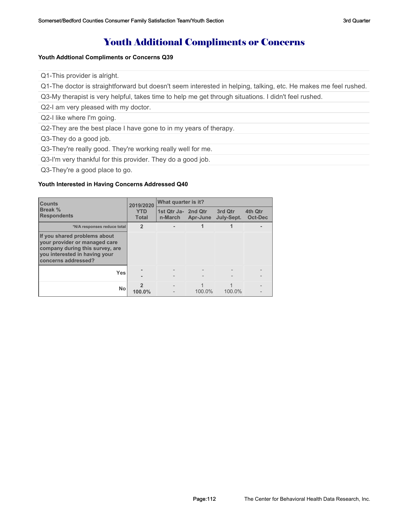### Youth Additional Compliments or Concerns

#### **Youth Addtional Compliments or Concerns Q39**

Q1-This provider is alright.

Q1-The doctor is straightforward but doesn't seem interested in helping, talking, etc. He makes me feel rushed.

Q3-My therapist is very helpful, takes time to help me get through situations. I didn't feel rushed.

Q2-I am very pleased with my doctor.

Q2-I like where I'm going.

Q2-They are the best place I have gone to in my years of therapy.

Q3-They do a good job.

Q3-They're really good. They're working really well for me.

Q3-I'm very thankful for this provider. They do a good job.

Q3-They're a good place to go.

#### **Youth Interested in Having Concerns Addressed Q40**

| <b>Counts</b>                                                                                                                                            | 2019/2020                  | What quarter is it?            |          |                       |                           |  |
|----------------------------------------------------------------------------------------------------------------------------------------------------------|----------------------------|--------------------------------|----------|-----------------------|---------------------------|--|
| Break %<br><b>Respondents</b>                                                                                                                            | <b>YTD</b><br><b>Total</b> | 1st Qtr Ja- 2nd Qtr<br>n-March | Apr-June | 3rd Qtr<br>July-Sept. | 4th Qtr<br><b>Oct-Dec</b> |  |
| *N/A responses reduce total                                                                                                                              | $\overline{2}$             |                                |          |                       |                           |  |
| If you shared problems about<br>vour provider or managed care<br>company during this survey, are<br>you interested in having your<br>concerns addressed? |                            |                                |          |                       |                           |  |
| Yes                                                                                                                                                      |                            |                                |          |                       |                           |  |
| <b>No</b>                                                                                                                                                | 100.0%                     |                                | 100.0%   | 100.0%                |                           |  |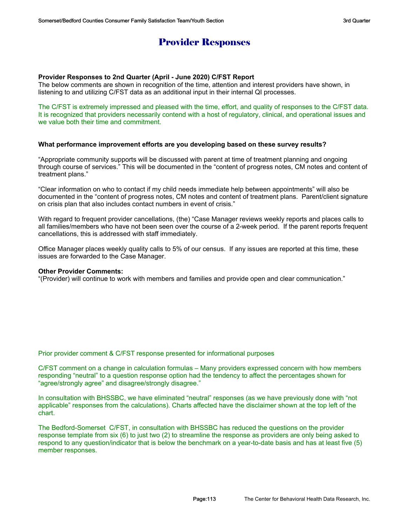### Provider Responses

### **Provider Responses to 2nd Quarter (April - June 2020) C/FST Report**

The below comments are shown in recognition of the time, attention and interest providers have shown, in listening to and utilizing C/FST data as an additional input in their internal QI processes.

The C/FST is extremely impressed and pleased with the time, effort, and quality of responses to the C/FST data. It is recognized that providers necessarily contend with a host of regulatory, clinical, and operational issues and we value both their time and commitment.

### **What performance improvement efforts are you developing based on these survey results?**

"Appropriate community supports will be discussed with parent at time of treatment planning and ongoing through course of services." This will be documented in the "content of progress notes, CM notes and content of treatment plans."

"Clear information on who to contact if my child needs immediate help between appointments" will also be documented in the "content of progress notes, CM notes and content of treatment plans. Parent/client signature on crisis plan that also includes contact numbers in event of crisis."

With regard to frequent provider cancellations, (the) "Case Manager reviews weekly reports and places calls to all families/members who have not been seen over the course of a 2-week period. If the parent reports frequent cancellations, this is addressed with staff immediately.

Office Manager places weekly quality calls to 5% of our census. If any issues are reported at this time, these issues are forwarded to the Case Manager.

### **Other Provider Comments:**

"(Provider) will continue to work with members and families and provide open and clear communication."

Prior provider comment & C/FST response presented for informational purposes

C/FST comment on a change in calculation formulas – Many providers expressed concern with how members responding "neutral" to a question response option had the tendency to affect the percentages shown for "agree/strongly agree" and disagree/strongly disagree."

In consultation with BHSSBC, we have eliminated "neutral" responses (as we have previously done with "not applicable" responses from the calculations). Charts affected have the disclaimer shown at the top left of the chart.

The Bedford-Somerset C/FST, in consultation with BHSSBC has reduced the questions on the provider response template from six (6) to just two (2) to streamline the response as providers are only being asked to respond to any question/indicator that is below the benchmark on a year-to-date basis and has at least five (5) member responses.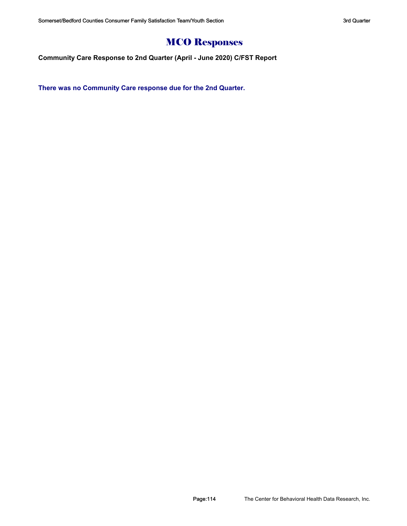# MCO Responses

**Community Care Response to 2nd Quarter (April - June 2020) C/FST Report**

**There was no Community Care response due for the 2nd Quarter.**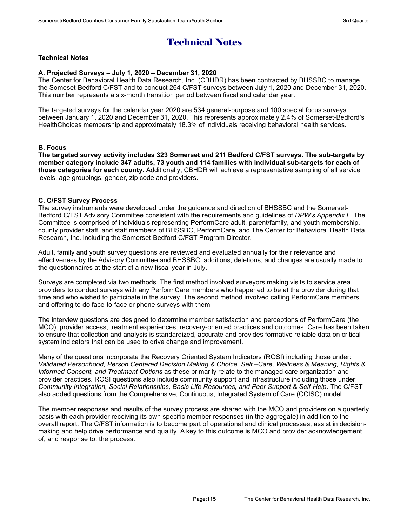## Technical Notes

### **Technical Notes**

### **A. Projected Surveys – July 1, 2020 – December 31, 2020**

The Center for Behavioral Health Data Research, Inc. (CBHDR) has been contracted by BHSSBC to manage the Someset-Bedford C/FST and to conduct 264 C/FST surveys between July 1, 2020 and December 31, 2020. This number represents a six-month transition period between fiscal and calendar year.

The targeted surveys for the calendar year 2020 are 534 general-purpose and 100 special focus surveys between January 1, 2020 and December 31, 2020. This represents approximately 2.4% of Somerset-Bedford's HealthChoices membership and approximately 18.3% of individuals receiving behavioral health services.

### **B. Focus**

**The targeted survey activity includes 323 Somerset and 211 Bedford C/FST surveys. The sub-targets by member category include 347 adults, 73 youth and 114 families with individual sub-targets for each of those categories for each county.** Additionally, CBHDR will achieve a representative sampling of all service levels, age groupings, gender, zip code and providers.

### **C. C/FST Survey Process**

The survey instruments were developed under the guidance and direction of BHSSBC and the Somerset-Bedford C/FST Advisory Committee consistent with the requirements and guidelines of *DPW's Appendix L*. The Committee is comprised of individuals representing PerformCare adult, parent/family, and youth membership, county provider staff, and staff members of BHSSBC, PerformCare, and The Center for Behavioral Health Data Research, Inc. including the Somerset-Bedford C/FST Program Director.

Adult, family and youth survey questions are reviewed and evaluated annually for their relevance and effectiveness by the Advisory Committee and BHSSBC; additions, deletions, and changes are usually made to the questionnaires at the start of a new fiscal year in July.

Surveys are completed via two methods. The first method involved surveyors making visits to service area providers to conduct surveys with any PerformCare members who happened to be at the provider during that time and who wished to participate in the survey. The second method involved calling PerformCare members and offering to do face-to-face or phone surveys with them

The interview questions are designed to determine member satisfaction and perceptions of PerformCare (the MCO), provider access, treatment experiences, recovery-oriented practices and outcomes. Care has been taken to ensure that collection and analysis is standardized, accurate and provides formative reliable data on critical system indicators that can be used to drive change and improvement.

Many of the questions incorporate the Recovery Oriented System Indicators (ROSI) including those under: *Validated Personhood, Person Centered Decision Making & Choice, Self –Care, Wellness & Meaning, Rights & Informed Consent, and Treatment Options* as these primarily relate to the managed care organization and provider practices. ROSI questions also include community support and infrastructure including those under: *Community Integration, Social Relationships, Basic Life Resources, and Peer Support & Self-Help*. The C/FST also added questions from the Comprehensive, Continuous, Integrated System of Care (CCISC) model.

The member responses and results of the survey process are shared with the MCO and providers on a quarterly basis with each provider receiving its own specific member responses (in the aggregate) in addition to the overall report. The C/FST information is to become part of operational and clinical processes, assist in decisionmaking and help drive performance and quality. A key to this outcome is MCO and provider acknowledgement of, and response to, the process.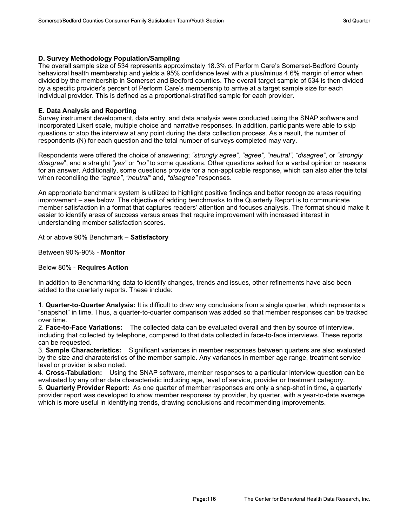### **D. Survey Methodology Population/Sampling**

The overall sample size of 534 represents approximately 18.3% of Perform Care's Somerset-Bedford County behavioral health membership and yields a 95% confidence level with a plus/minus 4.6% margin of error when divided by the membership in Somerset and Bedford counties. The overall target sample of 534 is then divided by a specific provider's percent of Perform Care's membership to arrive at a target sample size for each individual provider. This is defined as a proportional-stratified sample for each provider.

### **E. Data Analysis and Reporting**

Survey instrument development, data entry, and data analysis were conducted using the SNAP software and incorporated Likert scale, multiple choice and narrative responses. In addition, participants were able to skip questions or stop the interview at any point during the data collection process. As a result, the number of respondents (N) for each question and the total number of surveys completed may vary.

Respondents were offered the choice of answering; *"strongly agree", "agree", "neutral", "disagree"*, or *"strongly disagree*", and a straight *"yes"* or *"no"* to some questions. Other questions asked for a verbal opinion or reasons for an answer. Additionally, some questions provide for a non-applicable response, which can also alter the total when reconciling the *"agree"*, *"neutral"* and, *"disagree"* responses.

An appropriate benchmark system is utilized to highlight positive findings and better recognize areas requiring improvement – see below. The objective of adding benchmarks to the Quarterly Report is to communicate member satisfaction in a format that captures readers' attention and focuses analysis. The format should make it easier to identify areas of success versus areas that require improvement with increased interest in understanding member satisfaction scores.

At or above 90% Benchmark – **Satisfactory**

Between 90%-90% - **Monitor**

### Below 80% - **Requires Action**

In addition to Benchmarking data to identify changes, trends and issues, other refinements have also been added to the quarterly reports. These include:

1. **Quarter-to-Quarter Analysis:** It is difficult to draw any conclusions from a single quarter, which represents a "snapshot" in time. Thus, a quarter-to-quarter comparison was added so that member responses can be tracked over time.

2. **Face-to-Face Variations:** The collected data can be evaluated overall and then by source of interview, including that collected by telephone, compared to that data collected in face-to-face interviews. These reports can be requested.

3. **Sample Characteristics:** Significant variances in member responses between quarters are also evaluated by the size and characteristics of the member sample. Any variances in member age range, treatment service level or provider is also noted.

4. **Cross-Tabulation:** Using the SNAP software, member responses to a particular interview question can be evaluated by any other data characteristic including age, level of service, provider or treatment category.

5. **Quarterly Provider Report:** As one quarter of member responses are only a snap-shot in time, a quarterly provider report was developed to show member responses by provider, by quarter, with a year-to-date average which is more useful in identifying trends, drawing conclusions and recommending improvements.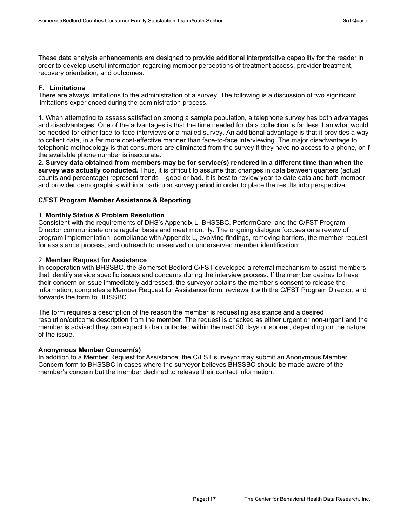These data analysis enhancements are designed to provide additional interpretative capability for the reader in order to develop useful information regarding member perceptions of treatment access, provider treatment, recovery orientation, and outcomes.

### **F. Limitations**

There are always limitations to the administration of a survey. The following is a discussion of two significant limitations experienced during the administration process.

1. When attempting to assess satisfaction among a sample population, a telephone survey has both advantages and disadvantages. One of the advantages is that the time needed for data collection is far less than what would be needed for either face-to-face interviews or a mailed survey. An additional advantage is that it provides a way to collect data, in a far more cost-effective manner than face-to-face interviewing. The major disadvantage to telephonic methodology is that consumers are eliminated from the survey if they have no access to a phone, or if the available phone number is inaccurate.

2. **Survey data obtained from members may be for service(s) rendered in a different time than when the survey was actually conducted.** Thus, it is difficult to assume that changes in data between quarters (actual counts and percentage) represent trends – good or bad. It is best to review year-to-date data and both member and provider demographics within a particular survey period in order to place the results into perspective.

### **C/FST Program Member Assistance & Reporting**

### 1. **Monthly Status & Problem Resolution**

Consistent with the requirements of DHS's Appendix L, BHSSBC, PerformCare, and the C/FST Program Director communicate on a regular basis and meet monthly. The ongoing dialogue focuses on a review of program implementation, compliance with Appendix L, evolving findings, removing barriers, the member request for assistance process, and outreach to un-served or underserved member identification.

### 2. **Member Request for Assistance**

In cooperation with BHSSBC, the Somerset-Bedford C/FST developed a referral mechanism to assist members that identify service specific issues and concerns during the interview process. If the member desires to have their concern or issue immediately addressed, the surveyor obtains the member's consent to release the information, completes a Member Request for Assistance form, reviews it with the C/FST Program Director, and forwards the form to BHSSBC.

The form requires a description of the reason the member is requesting assistance and a desired resolution/outcome description from the member. The request is checked as either urgent or non-urgent and the member is advised they can expect to be contacted within the next 30 days or sooner, depending on the nature of the issue.

### **Anonymous Member Concern(s)**

In addition to a Member Request for Assistance, the C/FST surveyor may submit an Anonymous Member Concern form to BHSSBC in cases where the surveyor believes BHSSBC should be made aware of the member's concern but the member declined to release their contact information.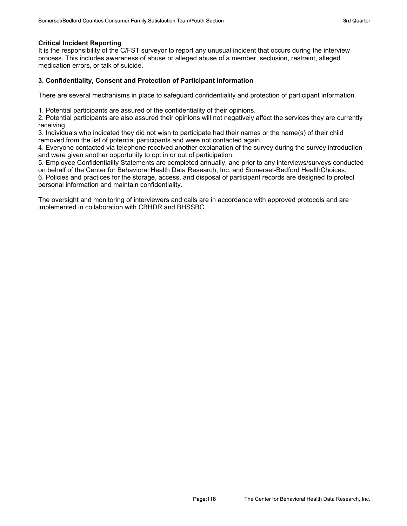### **Critical Incident Reporting**

It is the responsibility of the C/FST surveyor to report any unusual incident that occurs during the interview process. This includes awareness of abuse or alleged abuse of a member, seclusion, restraint, alleged medication errors, or talk of suicide.

### **3. Confidentiality, Consent and Protection of Participant Information**

There are several mechanisms in place to safeguard confidentiality and protection of participant information.

1. Potential participants are assured of the confidentiality of their opinions.

2. Potential participants are also assured their opinions will not negatively affect the services they are currently receiving.

3. Individuals who indicated they did not wish to participate had their names or the name(s) of their child removed from the list of potential participants and were not contacted again.

4. Everyone contacted via telephone received another explanation of the survey during the survey introduction and were given another opportunity to opt in or out of participation.

5. Employee Confidentiality Statements are completed annually, and prior to any interviews/surveys conducted on behalf of the Center for Behavioral Health Data Research, Inc. and Somerset-Bedford HealthChoices.

6. Policies and practices for the storage, access, and disposal of participant records are designed to protect personal information and maintain confidentiality.

The oversight and monitoring of interviewers and calls are in accordance with approved protocols and are implemented in collaboration with CBHDR and BHSSBC.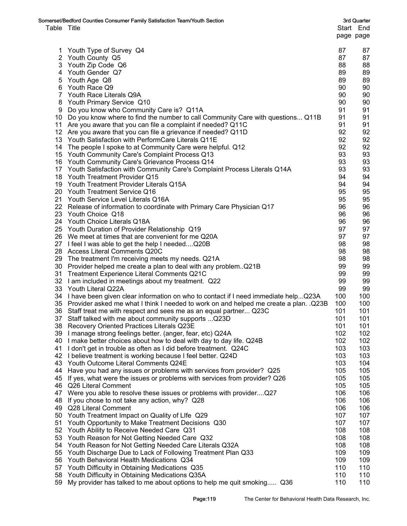| Table Title | Somerset/Bedford Counties Consumer Family Satisfaction Team/Youth Section                                                 |            | 3rd Quarter<br>Start End<br>page page |
|-------------|---------------------------------------------------------------------------------------------------------------------------|------------|---------------------------------------|
|             |                                                                                                                           |            |                                       |
| 1           | Youth Type of Survey Q4                                                                                                   | 87         | 87                                    |
|             | 2 Youth County Q5                                                                                                         | 87         | 87                                    |
|             | 3 Youth Zip Code Q6                                                                                                       | 88         | 88                                    |
|             | 4 Youth Gender Q7                                                                                                         | 89         | 89                                    |
| 5           | Youth Age Q8                                                                                                              | 89         | 89                                    |
|             | 6 Youth Race Q9                                                                                                           | 90         | 90                                    |
|             | 7 Youth Race Literals Q9A                                                                                                 | 90         | 90                                    |
| 8           | Youth Primary Service Q10                                                                                                 | 90         | 90                                    |
| 9           | Do you know who Community Care is? Q11A                                                                                   | 91         | 91                                    |
|             | 10 Do you know where to find the number to call Community Care with questions Q11B                                        | 91         | 91                                    |
|             | 11 Are you aware that you can file a complaint if needed? Q11C                                                            | 91         | 91                                    |
|             | 12 Are you aware that you can file a grievance if needed? Q11D                                                            | 92         | 92                                    |
|             | 13 Youth Satisfaction with PerformCare Literals Q11E                                                                      | 92         | 92                                    |
|             | 14 The people I spoke to at Community Care were helpful. Q12                                                              | 92         | 92                                    |
|             | 15 Youth Community Care's Complaint Process Q13                                                                           | 93         | 93                                    |
|             | 16 Youth Community Care's Grievance Process Q14                                                                           | 93         | 93                                    |
|             | 17 Youth Satisfaction with Community Care's Complaint Process Literals Q14A                                               | 93         | 93                                    |
|             | 18 Youth Treatment Provider Q15                                                                                           | 94         | 94                                    |
|             | 19 Youth Treatment Provider Literals Q15A                                                                                 | 94         | 94                                    |
|             | 20 Youth Treatment Service Q16                                                                                            | 95         | 95                                    |
|             | 21 Youth Service Level Literals Q16A                                                                                      | 95         | 95                                    |
|             | 22 Release of information to coordinate with Primary Care Physician Q17                                                   | 96         | 96                                    |
|             | 23 Youth Choice Q18                                                                                                       | 96         | 96                                    |
|             | 24 Youth Choice Literals Q18A                                                                                             | 96         | 96                                    |
|             | 25 Youth Duration of Provider Relationship Q19                                                                            | 97         | 97                                    |
|             | 26 We meet at times that are convenient for me Q20A                                                                       | 97         | 97                                    |
|             | 27 I feel I was able to get the help I neededQ20B                                                                         | 98         | 98                                    |
|             | 28 Access Literal Comments Q20C                                                                                           | 98<br>98   | 98<br>98                              |
|             | 29 The treatment I'm receiving meets my needs. Q21A<br>30 Provider helped me create a plan to deal with any problem. Q21B | 99         | 99                                    |
|             | 31 Treatment Experience Literal Comments Q21C                                                                             | 99         | 99                                    |
|             | 32 I am included in meetings about my treatment. Q22                                                                      | 99         | 99                                    |
|             | 33 Youth Literal Q22A                                                                                                     | 99         | 99                                    |
|             | 34 I have been given clear information on who to contact if I need immediate help Q23A                                    | 100        | 100                                   |
|             | 35 Provider asked me what I think I needed to work on and helped me create a plan. . Q23B                                 | 100        | 100                                   |
|             | 36 Staff treat me with respect and sees me as an equal partner Q23C                                                       | 101        | 101                                   |
|             | 37 Staff talked with me about community supports  Q23D                                                                    | 101        | 101                                   |
|             | 38 Recovery Oriented Practices Literals Q23E                                                                              | 101        | 101                                   |
|             | 39 I manage strong feelings better. (anger, fear, etc) Q24A                                                               | 102        | 102                                   |
|             | 40 I make better choices about how to deal with day to day life. Q24B                                                     | 102        | 102                                   |
| 41          | I don't get in trouble as often as I did before treatment. Q24C                                                           | 103        | 103                                   |
|             | 42 I believe treatment is working because I feel better. Q24D                                                             | 103        | 103                                   |
| 43          | Youth Outcome Literal Comments Q24E                                                                                       | 103        | 104                                   |
| 44          | Have you had any issues or problems with services from provider? Q25                                                      | 105        | 105                                   |
| 45          | If yes, what were the issues or problems with services from provider? Q26                                                 | 105        | 105                                   |
| 46          | Q26 Literal Comment                                                                                                       | 105        | 105                                   |
| 47          | Were you able to resolve these issues or problems with providerQ27                                                        | 106        | 106                                   |
| 48          | If you chose to not take any action, why? Q28                                                                             | 106        | 106                                   |
| 49          | Q28 Literal Comment                                                                                                       | 106        | 106                                   |
| 50          | Youth Treatment Impact on Quality of Life Q29                                                                             | 107        | 107                                   |
| 51          | Youth Opportunity to Make Treatment Decisions Q30                                                                         | 107        | 107                                   |
| 52          | Youth Ability to Receive Needed Care Q31                                                                                  | 108        | 108                                   |
| 53          | Youth Reason for Not Getting Needed Care Q32                                                                              | 108        | 108                                   |
|             | 54 Youth Reason for Not Getting Needed Care Literals Q32A                                                                 | 108        | 108                                   |
| 55          | Youth Discharge Due to Lack of Following Treatment Plan Q33                                                               | 109        | 109                                   |
| 56          | Youth Behavioral Health Medications Q34                                                                                   | 109        | 109                                   |
| 57<br>58    | Youth Difficulty in Obtaining Medications Q35<br>Youth Difficulty in Obtaining Medications Q35A                           | 110<br>110 | 110<br>110                            |
| 59          | My provider has talked to me about options to help me quit smoking Q36                                                    | 110        | 110                                   |
|             |                                                                                                                           |            |                                       |